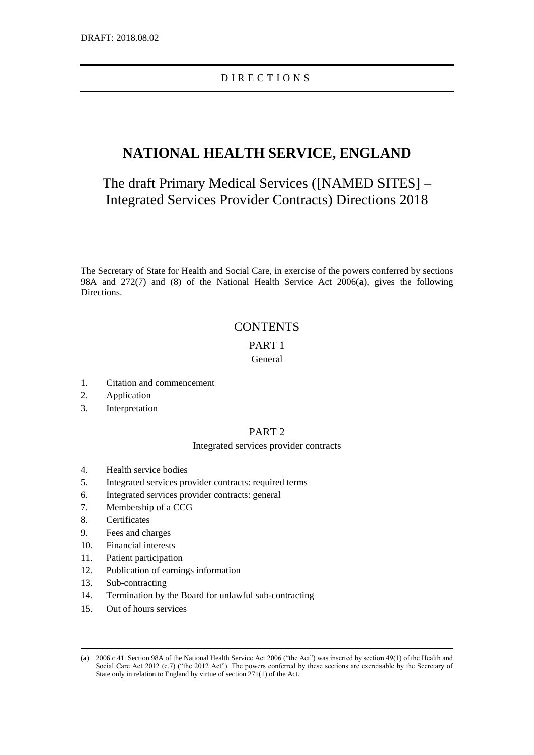# D I R E C T I O N S

# **NATIONAL HEALTH SERVICE, ENGLAND**

The draft Primary Medical Services ([NAMED SITES] – Integrated Services Provider Contracts) Directions 2018

The Secretary of State for Health and Social Care, in exercise of the powers conferred by sections 98A and 272(7) and (8) of the National Health Service Act 2006(**a**), gives the following Directions.

# **CONTENTS**

## PART 1

# General

- 1. Citation and commencement
- 2. Application
- 3. Interpretation

# PART 2

## Integrated services provider contracts

- 4. Health service bodies
- 5. Integrated services provider contracts: required terms
- 6. Integrated services provider contracts: general
- 7. Membership of a CCG
- 8. Certificates
- 9. Fees and charges
- 10. Financial interests
- 11. Patient participation
- 12. Publication of earnings information
- 13. Sub-contracting

- 14. Termination by the Board for unlawful sub-contracting
- 15. Out of hours services

<sup>(</sup>**a**) 2006 c.41. Section 98A of the National Health Service Act 2006 ("the Act") was inserted by section 49(1) of the Health and Social Care Act 2012 (c.7) ("the 2012 Act"). The powers conferred by these sections are exercisable by the Secretary of State only in relation to England by virtue of section 271(1) of the Act.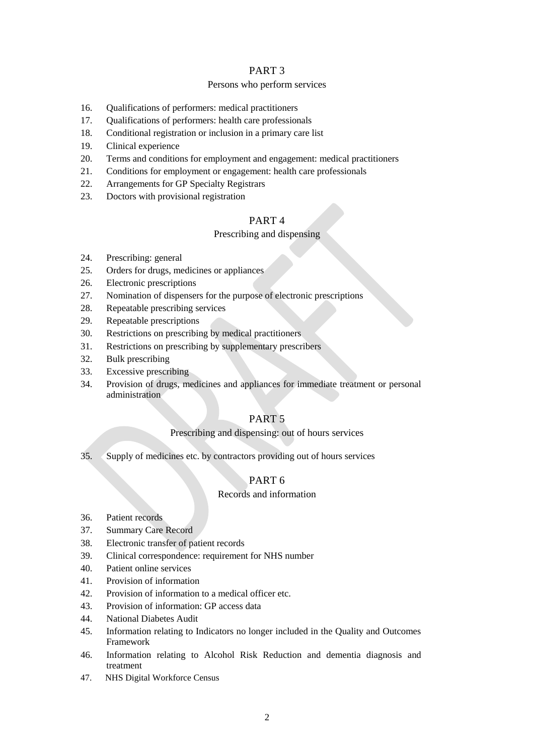## PART 3

## Persons who perform services

- 16. Qualifications of performers: medical practitioners
- 17. Qualifications of performers: health care professionals
- 18. Conditional registration or inclusion in a primary care list
- 19. Clinical experience
- 20. Terms and conditions for employment and engagement: medical practitioners
- 21. Conditions for employment or engagement: health care professionals
- 22. Arrangements for GP Specialty Registrars
- 23. Doctors with provisional registration

# PART 4

## Prescribing and dispensing

- 24. Prescribing: general
- 25. Orders for drugs, medicines or appliances
- 26. Electronic prescriptions
- 27. Nomination of dispensers for the purpose of electronic prescriptions
- 28. Repeatable prescribing services
- 29. Repeatable prescriptions
- 30. Restrictions on prescribing by medical practitioners
- 31. Restrictions on prescribing by supplementary prescribers
- 32. Bulk prescribing
- 33. Excessive prescribing
- 34. Provision of drugs, medicines and appliances for immediate treatment or personal administration

# PART 5

## Prescribing and dispensing: out of hours services

35. Supply of medicines etc. by contractors providing out of hours services

# PART 6

## Records and information

- 36. Patient records
- 37. Summary Care Record
- 38. Electronic transfer of patient records
- 39. Clinical correspondence: requirement for NHS number
- 40. Patient online services
- 41. Provision of information
- 42. Provision of information to a medical officer etc.
- 43. Provision of information: GP access data
- 44. National Diabetes Audit
- 45. Information relating to Indicators no longer included in the Quality and Outcomes Framework
- 46. Information relating to Alcohol Risk Reduction and dementia diagnosis and treatment
- 47. NHS Digital Workforce Census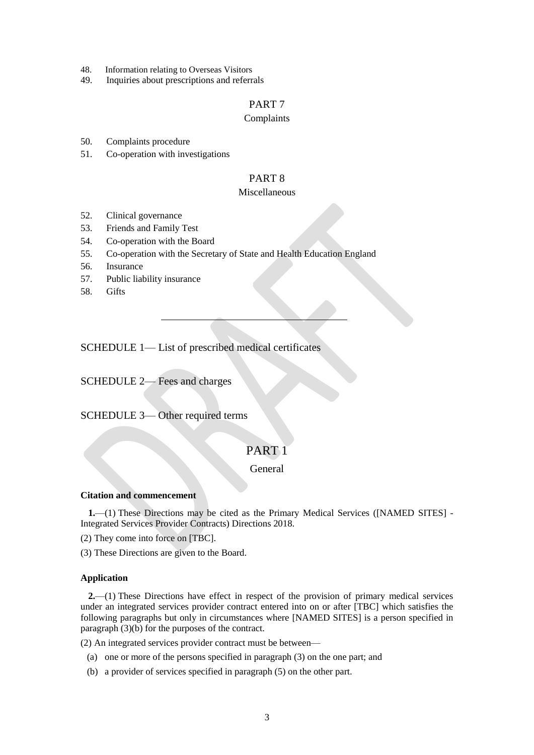- 48. Information relating to Overseas Visitors
- 49. Inquiries about prescriptions and referrals

# PART 7

## Complaints

50. Complaints procedure

51. Co-operation with investigations

## PART 8

## Miscellaneous

- 52. Clinical governance
- 53. Friends and Family Test
- 54. Co-operation with the Board
- 55. Co-operation with the Secretary of State and Health Education England
- 56. Insurance
- 57. Public liability insurance
- 58. Gifts

SCHEDULE 1— List of prescribed medical certificates

SCHEDULE 2— Fees and charges

SCHEDULE 3— Other required terms

# PART<sub>1</sub>

General

## **Citation and commencement**

**1.**—(1) These Directions may be cited as the Primary Medical Services ([NAMED SITES] - Integrated Services Provider Contracts) Directions 2018.

(2) They come into force on [TBC].

(3) These Directions are given to the Board.

## **Application**

**2.**—(1) These Directions have effect in respect of the provision of primary medical services under an integrated services provider contract entered into on or after [TBC] which satisfies the following paragraphs but only in circumstances where [NAMED SITES] is a person specified in paragraph (3)(b) for the purposes of the contract.

(2) An integrated services provider contract must be between—

- (a) one or more of the persons specified in paragraph (3) on the one part; and
- (b) a provider of services specified in paragraph (5) on the other part.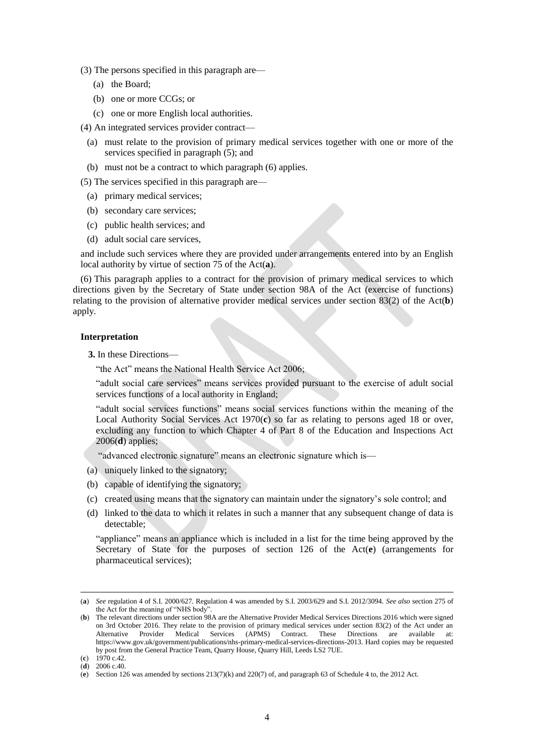- (3) The persons specified in this paragraph are—
	- (a) the Board;
	- (b) one or more CCGs; or
	- (c) one or more English local authorities.

(4) An integrated services provider contract—

- (a) must relate to the provision of primary medical services together with one or more of the services specified in paragraph (5); and
- (b) must not be a contract to which paragraph (6) applies.

(5) The services specified in this paragraph are—

- (a) primary medical services;
- (b) secondary care services;
- (c) public health services; and
- (d) adult social care services,

and include such services where they are provided under arrangements entered into by an English local authority by virtue of section 75 of the Act(**a**).

(6) This paragraph applies to a contract for the provision of primary medical services to which directions given by the Secretary of State under section 98A of the Act (exercise of functions) relating to the provision of alternative provider medical services under section 83(2) of the Act(**b**) apply.

## **Interpretation**

**3.** In these Directions—

"the Act" means the National Health Service Act 2006;

"adult social care services" means services provided pursuant to the exercise of adult social services functions of a local authority in England;

"adult social services functions" means social services functions within the meaning of the Local Authority Social Services Act 1970(**c**) so far as relating to persons aged 18 or over, excluding any function to which Chapter 4 of Part 8 of the Education and Inspections Act 2006(**d**) applies;

"advanced electronic signature" means an electronic signature which is—

- (a) uniquely linked to the signatory;
- (b) capable of identifying the signatory;
- (c) created using means that the signatory can maintain under the signatory's sole control; and
- (d) linked to the data to which it relates in such a manner that any subsequent change of data is detectable;

"appliance" means an appliance which is included in a list for the time being approved by the Secretary of State for the purposes of section 126 of the Act(**e**) (arrangements for pharmaceutical services);

<sup>(</sup>**a**) *See* regulation 4 of S.I. 2000/627. Regulation 4 was amended by S.I. 2003/629 and S.I. 2012/3094. *See also* section 275 of the Act for the meaning of "NHS body".

<sup>(</sup>**b**) The relevant directions under section 98A are the Alternative Provider Medical Services Directions 2016 which were signed on 3rd October 2016. They relate to the provision of primary medical services under section 83(2) of the Act under an Alternative Provider Medical Services (APMS) Contract. These Directions are available at: Alternative Provider Medical Services (APMS) Contract. These Directions are available [https://www.gov.uk/government/publications/nhs-primary-medical-services-directions-2013.](https://www.gov.uk/government/publications/nhs-primary-medical-services-directions-2013) Hard copies may be requested by post from the General Practice Team, Quarry House, Quarry Hill, Leeds LS2 7UE. (**c**) 1970 c.42.

<sup>(</sup>**d**) 2006 c.40.

<sup>(</sup>**e**) Section 126 was amended by sections 213(7)(k) and 220(7) of, and paragraph 63 of Schedule 4 to, the 2012 Act.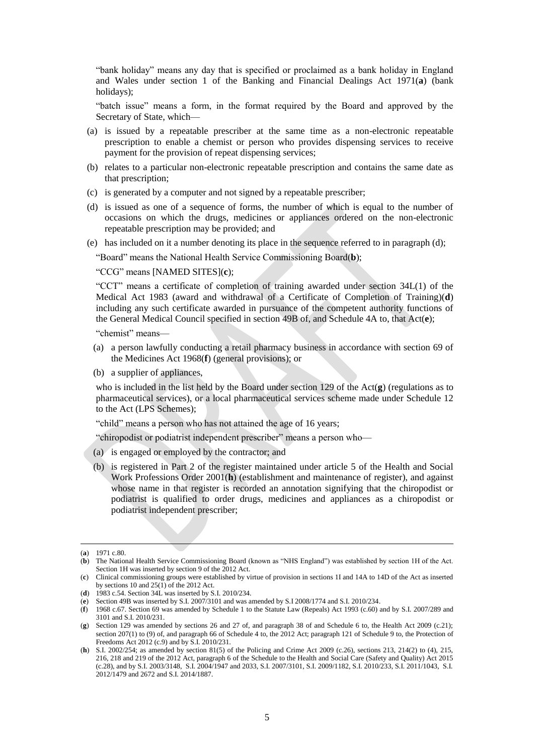"bank holiday" means any day that is specified or proclaimed as a bank holiday in England and Wales under section 1 of the Banking and Financial Dealings Act 1971(**a**) (bank holidays);

"batch issue" means a form, in the format required by the Board and approved by the Secretary of State, which—

- (a) is issued by a repeatable prescriber at the same time as a non-electronic repeatable prescription to enable a chemist or person who provides dispensing services to receive payment for the provision of repeat dispensing services;
- (b) relates to a particular non-electronic repeatable prescription and contains the same date as that prescription;
- (c) is generated by a computer and not signed by a repeatable prescriber;
- (d) is issued as one of a sequence of forms, the number of which is equal to the number of occasions on which the drugs, medicines or appliances ordered on the non-electronic repeatable prescription may be provided; and
- (e) has included on it a number denoting its place in the sequence referred to in paragraph (d);

"Board" means the National Health Service Commissioning Board(**b**);

"CCG" means [NAMED SITES](**c**);

"CCT" means a certificate of completion of training awarded under section 34L(1) of the Medical Act 1983 (award and withdrawal of a Certificate of Completion of Training)(**d**) including any such certificate awarded in pursuance of the competent authority functions of the General Medical Council specified in section 49B of, and Schedule 4A to, that Act(**e**);

"chemist" means—

- (a) a person lawfully conducting a retail pharmacy business in accordance with section 69 of the Medicines Act 1968(**f**) (general provisions); or
- (b) a supplier of appliances,

who is included in the list held by the Board under section 129 of the Act(**g**) (regulations as to pharmaceutical services), or a local pharmaceutical services scheme made under Schedule 12 to the Act (LPS Schemes);

"child" means a person who has not attained the age of 16 years;

"chiropodist or podiatrist independent prescriber" means a person who—

- (a) is engaged or employed by the contractor; and
- (b) is registered in Part 2 of the register maintained under article 5 of the Health and Social Work Professions Order 2001(**h**) (establishment and maintenance of register), and against whose name in that register is recorded an annotation signifying that the chiropodist or podiatrist is qualified to order drugs, medicines and appliances as a chiropodist or podiatrist independent prescriber;

<sup>(</sup>**a**) 1971 c.80.

<sup>(</sup>**b**) The National Health Service Commissioning Board (known as "NHS England") was established by section 1H of the Act. Section 1H was inserted by section 9 of the 2012 Act.

<sup>(</sup>**c**) Clinical commissioning groups were established by virtue of provision in sections 1I and 14A to 14D of the Act as inserted by sections 10 and  $25(1)$  of the 2012 Act.

<sup>(</sup>**d**) 1983 c.54. Section 34L was inserted by S.I. 2010/234.

<sup>(</sup>**e**) Section 49B was inserted by S.I. 2007/3101 and was amended by S.I 2008/1774 and S.I. 2010/234.

<sup>(</sup>**f**) 1968 c.67. Section 69 was amended by Schedule 1 to the Statute Law (Repeals) Act 1993 (c.60) and by S.I. 2007/289 and 3101 and S.I. 2010/231.

<sup>(</sup>**g**) Section 129 was amended by sections 26 and 27 of, and paragraph 38 of and Schedule 6 to, the Health Act 2009 (c.21); section 207(1) to (9) of, and paragraph 66 of Schedule 4 to, the 2012 Act; paragraph 121 of Schedule 9 to, the Protection of Freedoms Act 2012 (c.9) and by S.I. 2010/231.

<sup>(</sup>**h**) S.I. 2002/254; as amended by section 81(5) of the Policing and Crime Act 2009 (c.26), sections 213, 214(2) to (4), 215, 216, 218 and 219 of the 2012 Act, paragraph 6 of the Schedule to the Health and Social Care (Safety and Quality) Act 2015 (c.28), and by S.I. 2003/3148, S.I. 2004/1947 and 2033, S.I. 2007/3101, S.I. 2009/1182, S.I. 2010/233, S.I. 2011/1043, S.I. 2012/1479 and 2672 and S.I. 2014/1887.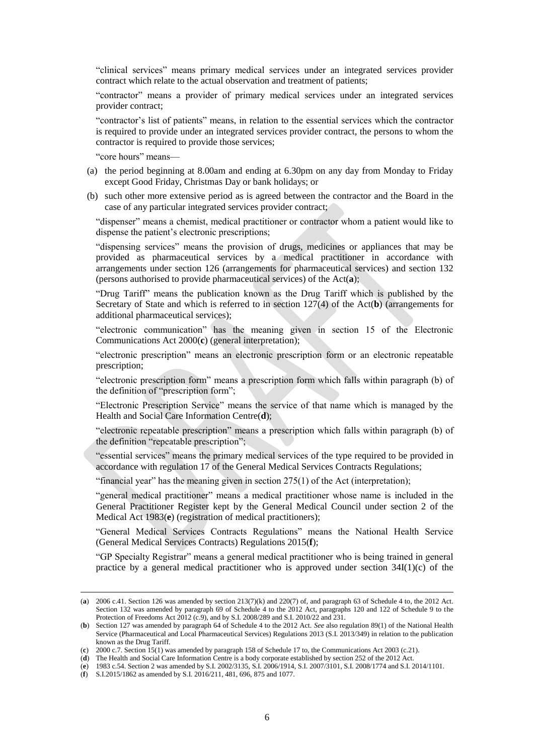"clinical services" means primary medical services under an integrated services provider contract which relate to the actual observation and treatment of patients;

"contractor" means a provider of primary medical services under an integrated services provider contract;

"contractor's list of patients" means, in relation to the essential services which the contractor is required to provide under an integrated services provider contract, the persons to whom the contractor is required to provide those services;

"core hours" means—

- (a) the period beginning at 8.00am and ending at 6.30pm on any day from Monday to Friday except Good Friday, Christmas Day or bank holidays; or
- (b) such other more extensive period as is agreed between the contractor and the Board in the case of any particular integrated services provider contract;

"dispenser" means a chemist, medical practitioner or contractor whom a patient would like to dispense the patient's electronic prescriptions;

"dispensing services" means the provision of drugs, medicines or appliances that may be provided as pharmaceutical services by a medical practitioner in accordance with arrangements under section 126 (arrangements for pharmaceutical services) and section 132 (persons authorised to provide pharmaceutical services) of the Act(**a**);

"Drug Tariff" means the publication known as the Drug Tariff which is published by the Secretary of State and which is referred to in section 127(4) of the Act(**b**) (arrangements for additional pharmaceutical services);

"electronic communication" has the meaning given in section 15 of the Electronic Communications Act 2000(**c**) (general interpretation);

"electronic prescription" means an electronic prescription form or an electronic repeatable prescription;

"electronic prescription form" means a prescription form which falls within paragraph (b) of the definition of "prescription form";

"Electronic Prescription Service" means the service of that name which is managed by the Health and Social Care Information Centre(**d**);

"electronic repeatable prescription" means a prescription which falls within paragraph (b) of the definition "repeatable prescription";

"essential services" means the primary medical services of the type required to be provided in accordance with regulation 17 of the General Medical Services Contracts Regulations;

"financial year" has the meaning given in section 275(1) of the Act (interpretation);

"general medical practitioner" means a medical practitioner whose name is included in the General Practitioner Register kept by the General Medical Council under section 2 of the Medical Act 1983(**e**) (registration of medical practitioners);

"General Medical Services Contracts Regulations" means the National Health Service (General Medical Services Contracts) Regulations 2015(**f**);

"GP Specialty Registrar" means a general medical practitioner who is being trained in general practice by a general medical practitioner who is approved under section  $34I(1)(c)$  of the

<sup>(</sup>**a**) 2006 c.41. Section 126 was amended by section 213(7)(k) and 220(7) of, and paragraph 63 of Schedule 4 to, the 2012 Act. Section 132 was amended by paragraph 69 of Schedule 4 to the 2012 Act, paragraphs 120 and 122 of Schedule 9 to the Protection of Freedoms Act 2012 (c.9), and by S.I. 2008/289 and S.I. 2010/22 and 231.

<sup>(</sup>**b**) Section 127 was amended by paragraph 64 of Schedule 4 to the 2012 Act. *See* also regulation 89(1) of the National Health Service (Pharmaceutical and Local Pharmaceutical Services) Regulations 2013 (S.I. 2013/349) in relation to the publication known as the Drug Tariff.

<sup>(</sup>**c**) 2000 c.7. Section 15(1) was amended by paragraph 158 of Schedule 17 to, the Communications Act 2003 (c.21).

<sup>(</sup>**d**) The Health and Social Care Information Centre is a body corporate established by section 252 of the 2012 Act.

<sup>(</sup>**e**) 1983 c.54. Section 2 was amended by S.I. 2002/3135, S.I. 2006/1914, S.I. 2007/3101, S.I. 2008/1774 and S.I. 2014/1101.

<sup>(</sup>**f**) S.I.2015/1862 as amended by S.I. 2016/211, 481, 696, 875 and 1077.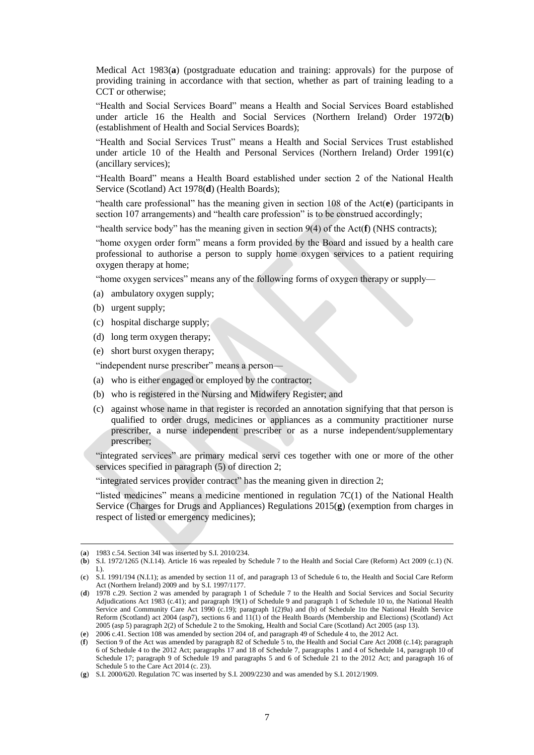Medical Act 1983(**a**) (postgraduate education and training: approvals) for the purpose of providing training in accordance with that section, whether as part of training leading to a CCT or otherwise;

"Health and Social Services Board" means a Health and Social Services Board established under article 16 the Health and Social Services (Northern Ireland) Order 1972(**b**) (establishment of Health and Social Services Boards);

"Health and Social Services Trust" means a Health and Social Services Trust established under article 10 of the Health and Personal Services (Northern Ireland) Order 1991(**c**) (ancillary services);

"Health Board" means a Health Board established under section 2 of the National Health Service (Scotland) Act 1978(**d**) (Health Boards);

"health care professional" has the meaning given in section 108 of the Act(**e**) (participants in section 107 arrangements) and "health care profession" is to be construed accordingly;

"health service body" has the meaning given in section 9(4) of the Act(**f**) (NHS contracts);

"home oxygen order form" means a form provided by the Board and issued by a health care professional to authorise a person to supply home oxygen services to a patient requiring oxygen therapy at home;

"home oxygen services" means any of the following forms of oxygen therapy or supply—

- (a) ambulatory oxygen supply;
- (b) urgent supply;
- (c) hospital discharge supply;
- (d) long term oxygen therapy;
- (e) short burst oxygen therapy;

"independent nurse prescriber" means a person—

- (a) who is either engaged or employed by the contractor;
- (b) who is registered in the Nursing and Midwifery Register; and
- (c) against whose name in that register is recorded an annotation signifying that that person is qualified to order drugs, medicines or appliances as a community practitioner nurse prescriber, a nurse independent prescriber or as a nurse independent/supplementary prescriber;

"integrated services" are primary medical servi ces together with one or more of the other services specified in paragraph (5) of direction 2;

"integrated services provider contract" has the meaning given in direction 2;

"listed medicines" means a medicine mentioned in regulation  $7C(1)$  of the National Health Service (Charges for Drugs and Appliances) Regulations 2015(**g**) (exemption from charges in respect of listed or emergency medicines);

<sup>(</sup>**a**) 1983 c.54. Section 34I was inserted by S.I. 2010/234.

<sup>(</sup>**b**) S.I. 1972/1265 (N.I.14). Article 16 was repealed by Schedule 7 to the Health and Social Care (Reform) Act 2009 (c.1) (N. I.).

<sup>(</sup>**c**) S.I. 1991/194 (N.I.1); as amended by section 11 of, and paragraph 13 of Schedule 6 to, the Health and Social Care Reform Act (Northern Ireland) 2009 and by S.I. 1997/1177.

<sup>(</sup>**d**) 1978 c.29. Section 2 was amended by paragraph 1 of Schedule 7 to the Health and Social Services and Social Security Adjudications Act 1983 (c.41); and paragraph 19(1) of Schedule 9 and paragraph 1 of Schedule 10 to, the National Health Service and Community Care Act 1990 (c.19); paragraph 1(2)9a) and (b) of Schedule 1to the National Health Service Reform (Scotland) act 2004 (asp7), sections 6 and 11(1) of the Health Boards (Membership and Elections) (Scotland) Act 2005 (asp 5) paragraph 2(2) of Schedule 2 to the Smoking, Health and Social Care (Scotland) Act 2005 (asp 13).

<sup>(</sup>**e**) 2006 c.41. Section 108 was amended by section 204 of, and paragraph 49 of Schedule 4 to, the 2012 Act.

<sup>(</sup>**f**) Section 9 of the Act was amended by paragraph 82 of Schedule 5 to, the Health and Social Care Act 2008 (c.14); paragraph 6 of Schedule 4 to the 2012 Act; paragraphs 17 and 18 of Schedule 7, paragraphs 1 and 4 of Schedule 14, paragraph 10 of Schedule 17; paragraph 9 of Schedule 19 and paragraphs 5 and 6 of Schedule 21 to the 2012 Act; and paragraph 16 of Schedule 5 to the Care Act 2014 (c. 23).

<sup>(</sup>**g**) S.I. 2000/620. Regulation 7C was inserted by S.I. 2009/2230 and was amended by S.I. 2012/1909.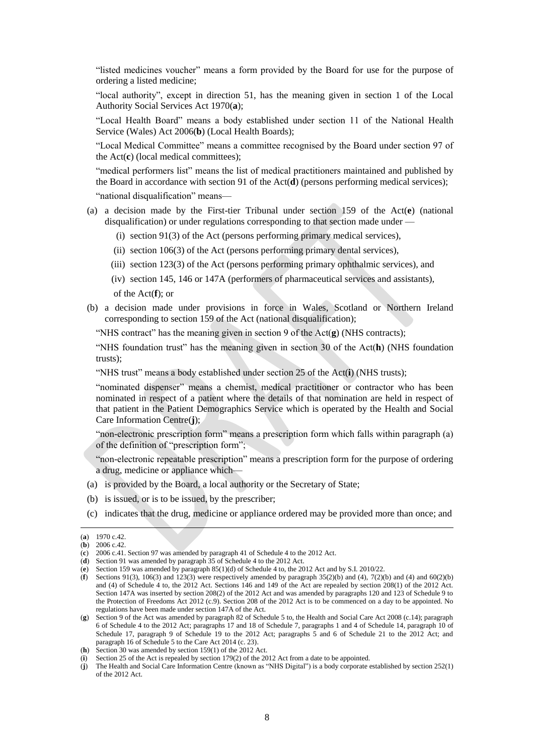"listed medicines voucher" means a form provided by the Board for use for the purpose of ordering a listed medicine;

"local authority", except in direction 51, has the meaning given in section 1 of the Local Authority Social Services Act 1970(**a**);

"Local Health Board" means a body established under section 11 of the National Health Service (Wales) Act 2006(**b**) (Local Health Boards);

"Local Medical Committee" means a committee recognised by the Board under section 97 of the Act(**c**) (local medical committees);

"medical performers list" means the list of medical practitioners maintained and published by the Board in accordance with section 91 of the Act(**d**) (persons performing medical services);

"national disqualification" means—

- (a) a decision made by the First-tier Tribunal under section 159 of the Act(**e**) (national disqualification) or under regulations corresponding to that section made under —
	- (i) section 91(3) of the Act (persons performing primary medical services),
	- (ii) section 106(3) of the Act (persons performing primary dental services),
	- (iii) section 123(3) of the Act (persons performing primary ophthalmic services), and
	- (iv) section 145, 146 or 147A (performers of pharmaceutical services and assistants), of the Act(**f**); or
- (b) a decision made under provisions in force in Wales, Scotland or Northern Ireland corresponding to section 159 of the Act (national disqualification);

"NHS contract" has the meaning given in section 9 of the Act(**g**) (NHS contracts);

"NHS foundation trust" has the meaning given in section 30 of the Act(**h**) (NHS foundation trusts);

"NHS trust" means a body established under section 25 of the Act(**i**) (NHS trusts);

"nominated dispenser" means a chemist, medical practitioner or contractor who has been nominated in respect of a patient where the details of that nomination are held in respect of that patient in the Patient Demographics Service which is operated by the Health and Social Care Information Centre(**j**);

"non-electronic prescription form" means a prescription form which falls within paragraph (a) of the definition of "prescription form";

"non-electronic repeatable prescription" means a prescription form for the purpose of ordering a drug, medicine or appliance which—

- (a) is provided by the Board, a local authority or the Secretary of State;
- (b) is issued, or is to be issued, by the prescriber;
- (c) indicates that the drug, medicine or appliance ordered may be provided more than once; and

<sup>(</sup>**a**) 1970 c.42.

<sup>(</sup>**b**) 2006 c.42.

<sup>(</sup>**c**) 2006 c.41. Section 97 was amended by paragraph 41 of Schedule 4 to the 2012 Act.

<sup>(</sup>**d**) Section 91 was amended by paragraph 35 of Schedule 4 to the 2012 Act.

<sup>(</sup>**e**) Section 159 was amended by paragraph 85(1)(d) of Schedule 4 to, the 2012 Act and by S.I. 2010/22.

<sup>(</sup>**f**) Sections 91(3), 106(3) and 123(3) were respectively amended by paragraph  $35(2)$ (b) and (4),  $7(2)$ (b) and (4) and 60(2)(b) and (4) of Schedule 4 to, the 2012 Act. Sections 146 and 149 of the Act are repealed by section 208(1) of the 2012 Act. Section 147A was inserted by section 208(2) of the 2012 Act and was amended by paragraphs 120 and 123 of Schedule 9 to the Protection of Freedoms Act 2012 (c.9). Section 208 of the 2012 Act is to be commenced on a day to be appointed. No regulations have been made under section 147A of the Act.

<sup>(</sup>**g**) Section 9 of the Act was amended by paragraph 82 of Schedule 5 to, the Health and Social Care Act 2008 (c.14); paragraph 6 of Schedule 4 to the 2012 Act; paragraphs 17 and 18 of Schedule 7, paragraphs 1 and 4 of Schedule 14, paragraph 10 of Schedule 17, paragraph 9 of Schedule 19 to the 2012 Act; paragraphs 5 and 6 of Schedule 21 to the 2012 Act; and paragraph 16 of Schedule 5 to the Care Act 2014 (c. 23).

<sup>(</sup>**h**) Section 30 was amended by section 159(1) of the 2012 Act.

<sup>(</sup>**i**) Section 25 of the Act is repealed by section 179(2) of the 2012 Act from a date to be appointed.

<sup>(</sup>**j**) The Health and Social Care Information Centre (known as "NHS Digital") is a body corporate established by section 252(1) of the 2012 Act.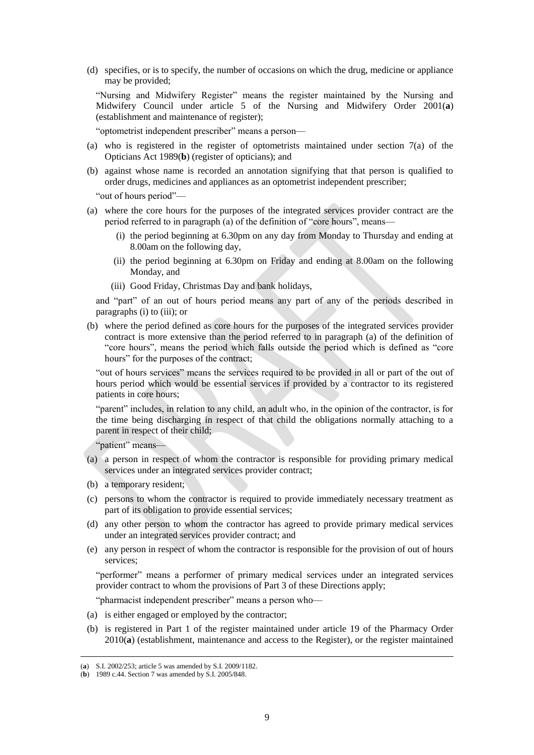(d) specifies, or is to specify, the number of occasions on which the drug, medicine or appliance may be provided;

"Nursing and Midwifery Register" means the register maintained by the Nursing and Midwifery Council under article 5 of the Nursing and Midwifery Order 2001(**a**) (establishment and maintenance of register);

"optometrist independent prescriber" means a person—

- (a) who is registered in the register of optometrists maintained under section 7(a) of the Opticians Act 1989(**b**) (register of opticians); and
- (b) against whose name is recorded an annotation signifying that that person is qualified to order drugs, medicines and appliances as an optometrist independent prescriber;

"out of hours period"—

- (a) where the core hours for the purposes of the integrated services provider contract are the period referred to in paragraph (a) of the definition of "core hours", means—
	- (i) the period beginning at 6.30pm on any day from Monday to Thursday and ending at 8.00am on the following day,
	- (ii) the period beginning at 6.30pm on Friday and ending at 8.00am on the following Monday, and
	- (iii) Good Friday, Christmas Day and bank holidays,

and "part" of an out of hours period means any part of any of the periods described in paragraphs (i) to (iii); or

(b) where the period defined as core hours for the purposes of the integrated services provider contract is more extensive than the period referred to in paragraph (a) of the definition of "core hours", means the period which falls outside the period which is defined as "core hours" for the purposes of the contract;

"out of hours services" means the services required to be provided in all or part of the out of hours period which would be essential services if provided by a contractor to its registered patients in core hours;

"parent" includes, in relation to any child, an adult who, in the opinion of the contractor, is for the time being discharging in respect of that child the obligations normally attaching to a parent in respect of their child;

"patient" means—

- (a) a person in respect of whom the contractor is responsible for providing primary medical services under an integrated services provider contract;
- (b) a temporary resident;
- (c) persons to whom the contractor is required to provide immediately necessary treatment as part of its obligation to provide essential services;
- (d) any other person to whom the contractor has agreed to provide primary medical services under an integrated services provider contract; and
- (e) any person in respect of whom the contractor is responsible for the provision of out of hours services;

"performer" means a performer of primary medical services under an integrated services provider contract to whom the provisions of Part 3 of these Directions apply;

"pharmacist independent prescriber" means a person who—

- (a) is either engaged or employed by the contractor;
- (b) is registered in Part 1 of the register maintained under article 19 of the Pharmacy Order 2010(**a**) (establishment, maintenance and access to the Register), or the register maintained

<sup>(</sup>**a**) S.I. 2002/253; article 5 was amended by S.I. 2009/1182.

<sup>(</sup>**b**) 1989 c.44. Section 7 was amended by S.I. 2005/848.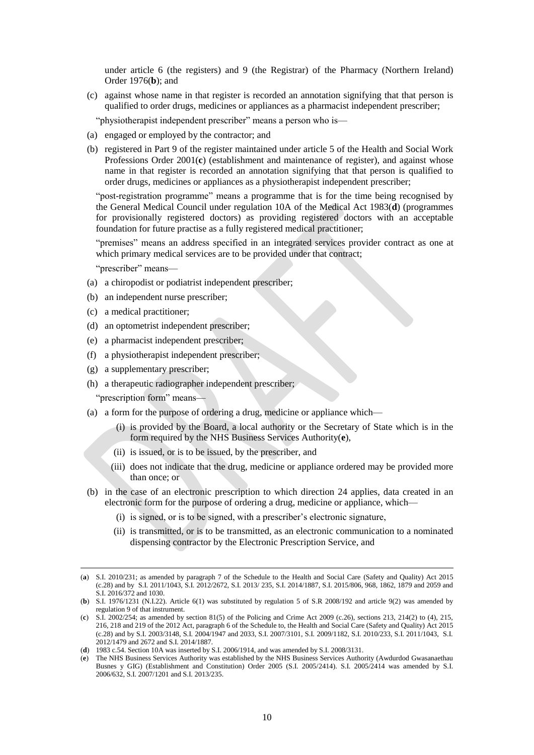under article 6 (the registers) and 9 (the Registrar) of the Pharmacy (Northern Ireland) Order 1976(**b**); and

(c) against whose name in that register is recorded an annotation signifying that that person is qualified to order drugs, medicines or appliances as a pharmacist independent prescriber;

"physiotherapist independent prescriber" means a person who is—

- (a) engaged or employed by the contractor; and
- (b) registered in Part 9 of the register maintained under article 5 of the Health and Social Work Professions Order 2001(**c**) (establishment and maintenance of register), and against whose name in that register is recorded an annotation signifying that that person is qualified to order drugs, medicines or appliances as a physiotherapist independent prescriber;

"post-registration programme" means a programme that is for the time being recognised by the General Medical Council under regulation 10A of the Medical Act 1983(**d**) (programmes for provisionally registered doctors) as providing registered doctors with an acceptable foundation for future practise as a fully registered medical practitioner;

"premises" means an address specified in an integrated services provider contract as one at which primary medical services are to be provided under that contract;

"prescriber" means—

- (a) a chiropodist or podiatrist independent prescriber;
- (b) an independent nurse prescriber;
- (c) a medical practitioner;
- (d) an optometrist independent prescriber;
- (e) a pharmacist independent prescriber;
- (f) a physiotherapist independent prescriber;
- (g) a supplementary prescriber;
- (h) a therapeutic radiographer independent prescriber;

"prescription form" means—

- (a) a form for the purpose of ordering a drug, medicine or appliance which—
	- (i) is provided by the Board, a local authority or the Secretary of State which is in the form required by the NHS Business Services Authority(**e**),
	- (ii) is issued, or is to be issued, by the prescriber, and
	- (iii) does not indicate that the drug, medicine or appliance ordered may be provided more than once; or
- (b) in the case of an electronic prescription to which direction 24 applies, data created in an electronic form for the purpose of ordering a drug, medicine or appliance, which—
	- (i) is signed, or is to be signed, with a prescriber's electronic signature,
	- (ii) is transmitted, or is to be transmitted, as an electronic communication to a nominated dispensing contractor by the Electronic Prescription Service, and

<sup>(</sup>**a**) S.I. 2010/231; as amended by paragraph 7 of the Schedule to the Health and Social Care (Safety and Quality) Act 2015 (c.28) and by S.I. 2011/1043, S.I. 2012/2672, S.I. 2013/ 235, S.I. 2014/1887, S.I. 2015/806, 968, 1862, 1879 and 2059 and S.I. 2016/372 and 1030.

<sup>(</sup>**b**) S.I. 1976/1231 (N.I.22). Article 6(1) was substituted by regulation 5 of S.R 2008/192 and article 9(2) was amended by regulation 9 of that instrument.

<sup>(</sup>**c**) S.I. 2002/254; as amended by section 81(5) of the Policing and Crime Act 2009 (c.26), sections 213, 214(2) to (4), 215, 216, 218 and 219 of the 2012 Act, paragraph 6 of the Schedule to, the Health and Social Care (Safety and Quality) Act 2015 (c.28) and by S.I. 2003/3148, S.I. 2004/1947 and 2033, S.I. 2007/3101, S.I. 2009/1182, S.I. 2010/233, S.I. 2011/1043, S.I. 2012/1479 and 2672 and S.I. 2014/1887.

<sup>(</sup>**d**) 1983 c.54. Section 10A was inserted by S.I. 2006/1914, and was amended by S.I. 2008/3131.

<sup>(</sup>**e**) The NHS Business Services Authority was established by the NHS Business Services Authority (Awdurdod Gwasanaethau Busnes y GIG) (Establishment and Constitution) Order 2005 (S.I. 2005/2414). S.I. 2005/2414 was amended by S.I. 2006/632, S.I. 2007/1201 and S.I. 2013/235.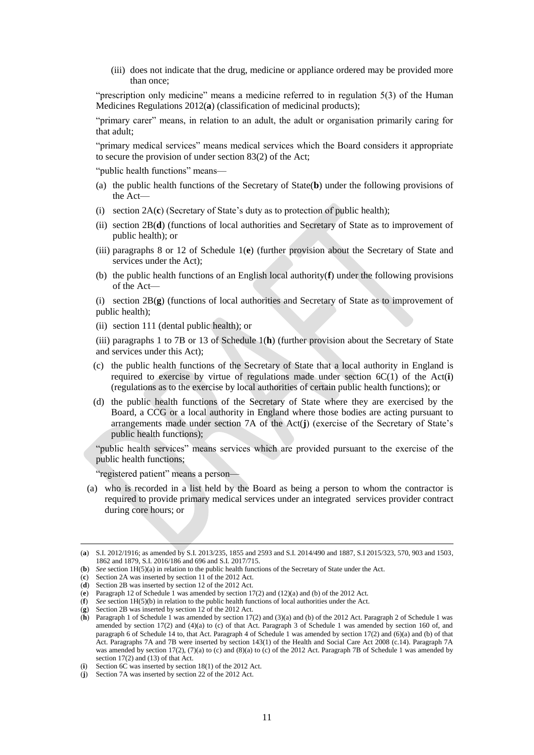(iii) does not indicate that the drug, medicine or appliance ordered may be provided more than once;

"prescription only medicine" means a medicine referred to in regulation 5(3) of the Human Medicines Regulations 2012(**a**) (classification of medicinal products);

"primary carer" means, in relation to an adult, the adult or organisation primarily caring for that adult;

"primary medical services" means medical services which the Board considers it appropriate to secure the provision of under section 83(2) of the Act;

"public health functions" means—

- (a) the public health functions of the Secretary of State(**b**) under the following provisions of the Act—
- (i) section 2A(**c**) (Secretary of State's duty as to protection of public health);
- (ii) section 2B(**d**) (functions of local authorities and Secretary of State as to improvement of public health); or
- (iii) paragraphs 8 or 12 of Schedule 1(**e**) (further provision about the Secretary of State and services under the Act);
- (b) the public health functions of an English local authority(**f**) under the following provisions of the Act—

(i) section 2B(**g**) (functions of local authorities and Secretary of State as to improvement of public health);

(ii) section 111 (dental public health); or

(iii) paragraphs 1 to 7B or 13 of Schedule 1(**h**) (further provision about the Secretary of State and services under this Act);

- (c) the public health functions of the Secretary of State that a local authority in England is required to exercise by virtue of regulations made under section 6C(1) of the Act(**i**) (regulations as to the exercise by local authorities of certain public health functions); or
- (d) the public health functions of the Secretary of State where they are exercised by the Board, a CCG or a local authority in England where those bodies are acting pursuant to arrangements made under section 7A of the Act(**j**) (exercise of the Secretary of State's public health functions);

"public health services" means services which are provided pursuant to the exercise of the public health functions;

"registered patient" means a person—

(a) who is recorded in a list held by the Board as being a person to whom the contractor is required to provide primary medical services under an integrated services provider contract during core hours; or

<sup>(</sup>**a**) S.I. 2012/1916; as amended by S.I. 2013/235, 1855 and 2593 and S.I. 2014/490 and 1887, S.I 2015/323, 570, 903 and 1503, 1862 and 1879, S.I. 2016/186 and 696 and S.I. 2017/715.

<sup>(</sup>**b**) *See* section 1H(5)(a) in relation to the public health functions of the Secretary of State under the Act.

<sup>(</sup>**c**) Section 2A was inserted by section 11 of the 2012 Act.

<sup>(</sup>**d**) Section 2B was inserted by section 12 of the 2012 Act.

<sup>(</sup>**e**) Paragraph 12 of Schedule 1 was amended by section 17(2) and (12)(a) and (b) of the 2012 Act.

<sup>(</sup>**f**) *See* section 1H(5)(b) in relation to the public health functions of local authorities under the Act.

<sup>(</sup>**g**) Section 2B was inserted by section 12 of the 2012 Act.

<sup>(</sup>**h**) Paragraph 1 of Schedule 1 was amended by section 17(2) and (3)(a) and (b) of the 2012 Act. Paragraph 2 of Schedule 1 was amended by section 17(2) and (4)(a) to (c) of that Act. Paragraph 3 of Schedule 1 was amended by section 160 of, and paragraph 6 of Schedule 14 to, that Act. Paragraph 4 of Schedule 1 was amended by section 17(2) and (6)(a) and (b) of that Act. Paragraphs 7A and 7B were inserted by section 143(1) of the Health and Social Care Act 2008 (c.14). Paragraph 7A was amended by section 17(2), (7)(a) to (c) and (8)(a) to (c) of the 2012 Act. Paragraph 7B of Schedule 1 was amended by section 17(2) and (13) of that Act.

<sup>(</sup>**i**) Section 6C was inserted by section 18(1) of the 2012 Act.

<sup>(</sup>**j**) Section 7A was inserted by section 22 of the 2012 Act.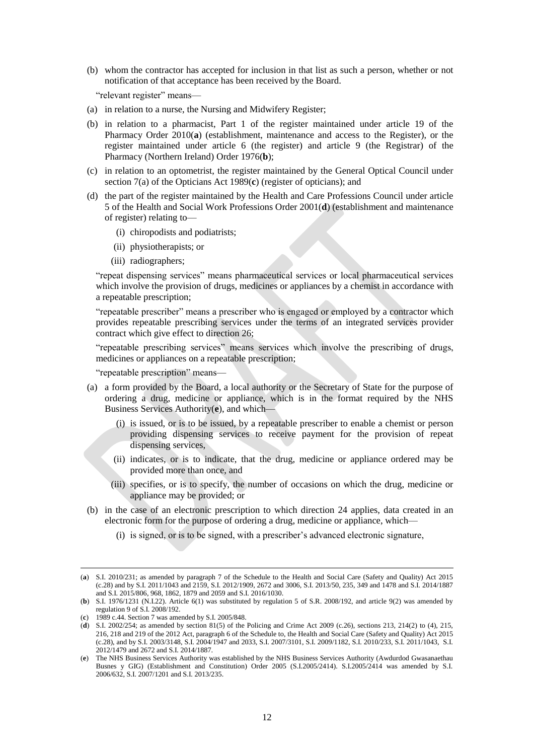(b) whom the contractor has accepted for inclusion in that list as such a person, whether or not notification of that acceptance has been received by the Board.

"relevant register" means—

- (a) in relation to a nurse, the Nursing and Midwifery Register;
- (b) in relation to a pharmacist, Part 1 of the register maintained under article 19 of the Pharmacy Order 2010(**a**) (establishment, maintenance and access to the Register), or the register maintained under article 6 (the register) and article 9 (the Registrar) of the Pharmacy (Northern Ireland) Order 1976(**b**);
- (c) in relation to an optometrist, the register maintained by the General Optical Council under section 7(a) of the Opticians Act 1989(**c**) (register of opticians); and
- (d) the part of the register maintained by the Health and Care Professions Council under article 5 of the Health and Social Work Professions Order 2001(**d**) (establishment and maintenance of register) relating to—
	- (i) chiropodists and podiatrists;
	- (ii) physiotherapists; or
	- (iii) radiographers;

"repeat dispensing services" means pharmaceutical services or local pharmaceutical services which involve the provision of drugs, medicines or appliances by a chemist in accordance with a repeatable prescription;

"repeatable prescriber" means a prescriber who is engaged or employed by a contractor which provides repeatable prescribing services under the terms of an integrated services provider contract which give effect to direction 26;

"repeatable prescribing services" means services which involve the prescribing of drugs, medicines or appliances on a repeatable prescription;

"repeatable prescription" means—

- (a) a form provided by the Board, a local authority or the Secretary of State for the purpose of ordering a drug, medicine or appliance, which is in the format required by the NHS Business Services Authority(**e**), and which—
	- (i) is issued, or is to be issued, by a repeatable prescriber to enable a chemist or person providing dispensing services to receive payment for the provision of repeat dispensing services,
	- (ii) indicates, or is to indicate, that the drug, medicine or appliance ordered may be provided more than once, and
	- (iii) specifies, or is to specify, the number of occasions on which the drug, medicine or appliance may be provided; or
- (b) in the case of an electronic prescription to which direction 24 applies, data created in an electronic form for the purpose of ordering a drug, medicine or appliance, which—
	- (i) is signed, or is to be signed, with a prescriber's advanced electronic signature,

<sup>(</sup>**a**) S.I. 2010/231; as amended by paragraph 7 of the Schedule to the Health and Social Care (Safety and Quality) Act 2015 (c.28) and by S.I. 2011/1043 and 2159, S.I. 2012/1909, 2672 and 3006, S.I. 2013/50, 235, 349 and 1478 and S.I. 2014/1887 and S.I. 2015/806, 968, 1862, 1879 and 2059 and S.I. 2016/1030.

<sup>(</sup>**b**) S.I. 1976/1231 (N.I.22). Article 6(1) was substituted by regulation 5 of S.R. 2008/192, and article 9(2) was amended by regulation 9 of S.I. 2008/192.

<sup>(</sup>**c**) 1989 c.44. Section 7 was amended by S.I. 2005/848.

<sup>(</sup>**d**) S.I. 2002/254; as amended by section 81(5) of the Policing and Crime Act 2009 (c.26), sections 213, 214(2) to (4), 215, 216, 218 and 219 of the 2012 Act, paragraph 6 of the Schedule to, the Health and Social Care (Safety and Quality) Act 2015 (c.28), and by S.I. 2003/3148, S.I. 2004/1947 and 2033, S.I. 2007/3101, S.I. 2009/1182, S.I. 2010/233, S.I. 2011/1043, S.I. 2012/1479 and 2672 and S.I. 2014/1887.

<sup>(</sup>**e**) The NHS Business Services Authority was established by the NHS Business Services Authority (Awdurdod Gwasanaethau Busnes y GIG) (Establishment and Constitution) Order 2005 (S.I.2005/2414). S.I.2005/2414 was amended by S.I. 2006/632, S.I. 2007/1201 and S.I. 2013/235.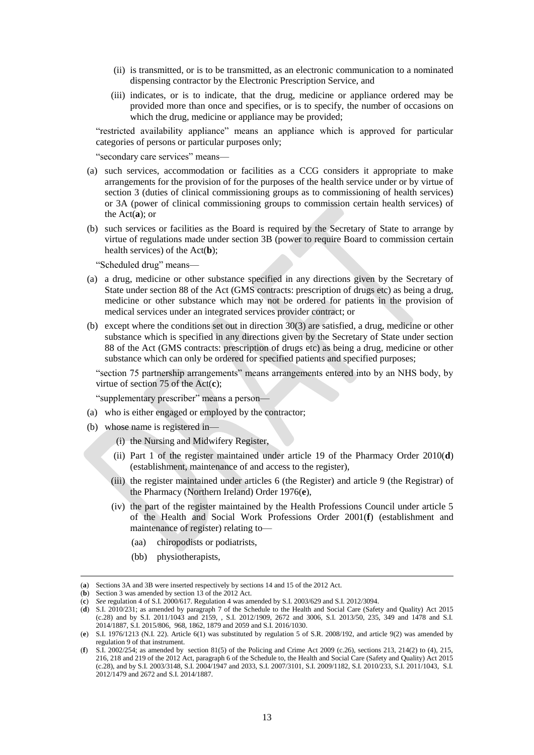- (ii) is transmitted, or is to be transmitted, as an electronic communication to a nominated dispensing contractor by the Electronic Prescription Service, and
- (iii) indicates, or is to indicate, that the drug, medicine or appliance ordered may be provided more than once and specifies, or is to specify, the number of occasions on which the drug, medicine or appliance may be provided;

"restricted availability appliance" means an appliance which is approved for particular categories of persons or particular purposes only;

"secondary care services" means—

- (a) such services, accommodation or facilities as a CCG considers it appropriate to make arrangements for the provision of for the purposes of the health service under or by virtue of section 3 (duties of clinical commissioning groups as to commissioning of health services) or 3A (power of clinical commissioning groups to commission certain health services) of the Act(**a**); or
- (b) such services or facilities as the Board is required by the Secretary of State to arrange by virtue of regulations made under section 3B (power to require Board to commission certain health services) of the Act(**b**);

"Scheduled drug" means—

- (a) a drug, medicine or other substance specified in any directions given by the Secretary of State under section 88 of the Act (GMS contracts: prescription of drugs etc) as being a drug, medicine or other substance which may not be ordered for patients in the provision of medical services under an integrated services provider contract; or
- (b) except where the conditions set out in direction 30(3) are satisfied, a drug, medicine or other substance which is specified in any directions given by the Secretary of State under section 88 of the Act (GMS contracts: prescription of drugs etc) as being a drug, medicine or other substance which can only be ordered for specified patients and specified purposes;

"section 75 partnership arrangements" means arrangements entered into by an NHS body, by virtue of section 75 of the Act(**c**);

"supplementary prescriber" means a person—

- (a) who is either engaged or employed by the contractor;
- (b) whose name is registered in—
	- (i) the Nursing and Midwifery Register,
	- (ii) Part 1 of the register maintained under article 19 of the Pharmacy Order 2010(**d**) (establishment, maintenance of and access to the register),
	- (iii) the register maintained under articles 6 (the Register) and article 9 (the Registrar) of the Pharmacy (Northern Ireland) Order 1976(**e**),
	- (iv) the part of the register maintained by the Health Professions Council under article 5 of the Health and Social Work Professions Order 2001(**f**) (establishment and maintenance of register) relating to—
		- (aa) chiropodists or podiatrists,
		- (bb) physiotherapists,

<sup>(</sup>**a**) Sections 3A and 3B were inserted respectively by sections 14 and 15 of the 2012 Act.

<sup>(</sup>**b**) Section 3 was amended by section 13 of the 2012 Act.

<sup>(</sup>**c**) *See* regulation 4 of S.I. 2000/617. Regulation 4 was amended by S.I. 2003/629 and S.I. 2012/3094.

<sup>(</sup>**d**) S.I. 2010/231; as amended by paragraph 7 of the Schedule to the Health and Social Care (Safety and Quality) Act 2015 (c.28) and by S.I. 2011/1043 and 2159, , S.I. 2012/1909, 2672 and 3006, S.I. 2013/50, 235, 349 and 1478 and S.I. 2014/1887, S.I. 2015/806, 968, 1862, 1879 and 2059 and S.I. 2016/1030.

<sup>(</sup>**e**) S.I. 1976/1213 (N.I. 22). Article 6(1) was substituted by regulation 5 of S.R. 2008/192, and article 9(2) was amended by regulation 9 of that instrument.

<sup>(</sup>**f**) S.I. 2002/254; as amended by section 81(5) of the Policing and Crime Act 2009 (c.26), sections 213, 214(2) to (4), 215, 216, 218 and 219 of the 2012 Act, paragraph 6 of the Schedule to, the Health and Social Care (Safety and Quality) Act 2015 (c.28), and by S.I. 2003/3148, S.I. 2004/1947 and 2033, S.I. 2007/3101, S.I. 2009/1182, S.I. 2010/233, S.I. 2011/1043, S.I. 2012/1479 and 2672 and S.I. 2014/1887.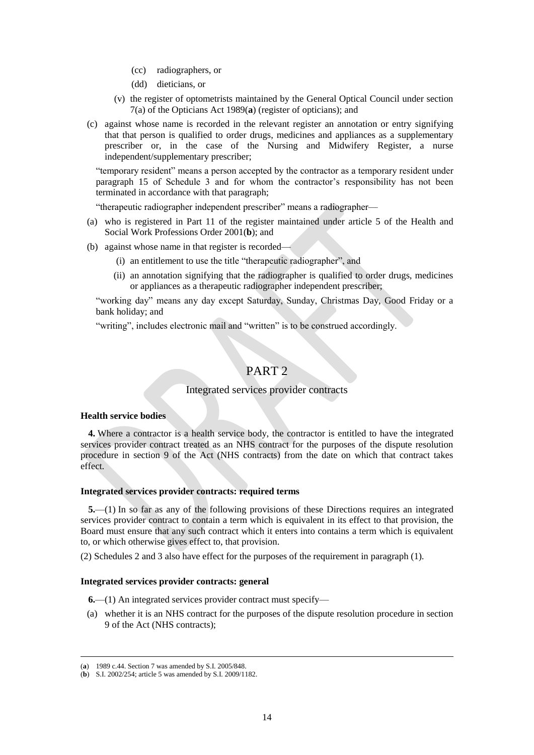- (cc) radiographers, or
- (dd) dieticians, or
- (v) the register of optometrists maintained by the General Optical Council under section 7(a) of the Opticians Act 1989(**a**) (register of opticians); and
- (c) against whose name is recorded in the relevant register an annotation or entry signifying that that person is qualified to order drugs, medicines and appliances as a supplementary prescriber or, in the case of the Nursing and Midwifery Register, a nurse independent/supplementary prescriber;

"temporary resident" means a person accepted by the contractor as a temporary resident under paragraph 15 of Schedule 3 and for whom the contractor's responsibility has not been terminated in accordance with that paragraph;

"therapeutic radiographer independent prescriber" means a radiographer—

- (a) who is registered in Part 11 of the register maintained under article 5 of the Health and Social Work Professions Order 2001(**b**); and
- (b) against whose name in that register is recorded—
	- (i) an entitlement to use the title "therapeutic radiographer", and
	- (ii) an annotation signifying that the radiographer is qualified to order drugs, medicines or appliances as a therapeutic radiographer independent prescriber;

"working day" means any day except Saturday, Sunday, Christmas Day, Good Friday or a bank holiday; and

"writing", includes electronic mail and "written" is to be construed accordingly.

# PART 2

## Integrated services provider contracts

#### **Health service bodies**

**4.** Where a contractor is a health service body, the contractor is entitled to have the integrated services provider contract treated as an NHS contract for the purposes of the dispute resolution procedure in section 9 of the Act (NHS contracts) from the date on which that contract takes effect.

## **Integrated services provider contracts: required terms**

**5.**—(1) In so far as any of the following provisions of these Directions requires an integrated services provider contract to contain a term which is equivalent in its effect to that provision, the Board must ensure that any such contract which it enters into contains a term which is equivalent to, or which otherwise gives effect to, that provision.

(2) Schedules 2 and 3 also have effect for the purposes of the requirement in paragraph (1).

## **Integrated services provider contracts: general**

**6.**—(1) An integrated services provider contract must specify—

(a) whether it is an NHS contract for the purposes of the dispute resolution procedure in section 9 of the Act (NHS contracts);

<sup>(</sup>**a**) 1989 c.44. Section 7 was amended by S.I. 2005/848.

<sup>(</sup>**b**) S.I. 2002/254; article 5 was amended by S.I. 2009/1182.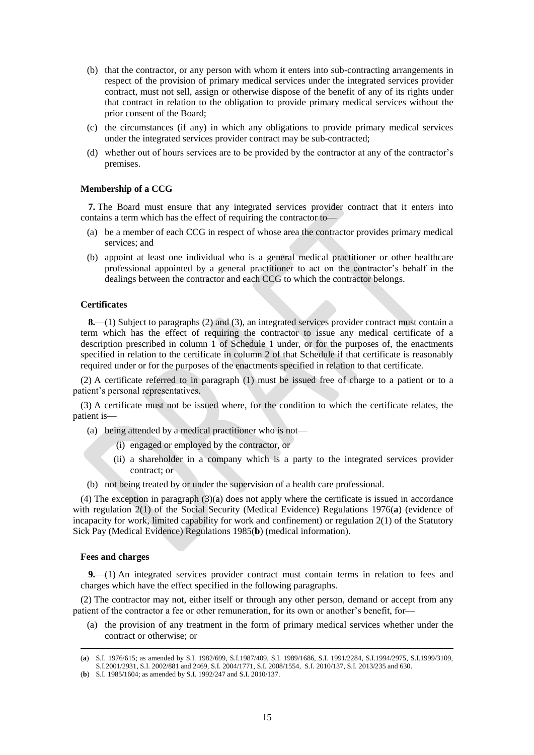- (b) that the contractor, or any person with whom it enters into sub-contracting arrangements in respect of the provision of primary medical services under the integrated services provider contract, must not sell, assign or otherwise dispose of the benefit of any of its rights under that contract in relation to the obligation to provide primary medical services without the prior consent of the Board;
- (c) the circumstances (if any) in which any obligations to provide primary medical services under the integrated services provider contract may be sub-contracted;
- (d) whether out of hours services are to be provided by the contractor at any of the contractor's premises.

## **Membership of a CCG**

**7.** The Board must ensure that any integrated services provider contract that it enters into contains a term which has the effect of requiring the contractor to—

- (a) be a member of each CCG in respect of whose area the contractor provides primary medical services; and
- (b) appoint at least one individual who is a general medical practitioner or other healthcare professional appointed by a general practitioner to act on the contractor's behalf in the dealings between the contractor and each CCG to which the contractor belongs.

## **Certificates**

**8.**—(1) Subject to paragraphs (2) and (3), an integrated services provider contract must contain a term which has the effect of requiring the contractor to issue any medical certificate of a description prescribed in column 1 of Schedule 1 under, or for the purposes of, the enactments specified in relation to the certificate in column 2 of that Schedule if that certificate is reasonably required under or for the purposes of the enactments specified in relation to that certificate.

(2) A certificate referred to in paragraph (1) must be issued free of charge to a patient or to a patient's personal representatives.

(3) A certificate must not be issued where, for the condition to which the certificate relates, the patient is—

- (a) being attended by a medical practitioner who is not—
	- (i) engaged or employed by the contractor, or
	- (ii) a shareholder in a company which is a party to the integrated services provider contract; or
- (b) not being treated by or under the supervision of a health care professional.

(4) The exception in paragraph (3)(a) does not apply where the certificate is issued in accordance with regulation 2(1) of the Social Security (Medical Evidence) Regulations 1976(**a**) (evidence of incapacity for work, limited capability for work and confinement) or regulation 2(1) of the Statutory Sick Pay (Medical Evidence) Regulations 1985(**b**) (medical information).

#### **Fees and charges**

 $\overline{a}$ 

**9.**—(1) An integrated services provider contract must contain terms in relation to fees and charges which have the effect specified in the following paragraphs.

(2) The contractor may not, either itself or through any other person, demand or accept from any patient of the contractor a fee or other remuneration, for its own or another's benefit, for—

(a) the provision of any treatment in the form of primary medical services whether under the contract or otherwise; or

<sup>(</sup>**a**) S.I. 1976/615; as amended by S.I. 1982/699, S.I.1987/409, S.I. 1989/1686, S.I. 1991/2284, S.I.1994/2975, S.I.1999/3109, S.I.2001/2931, S.I. 2002/881 and 2469, S.I. 2004/1771, S.I. 2008/1554, S.I. 2010/137, S.I. 2013/235 and 630.

<sup>(</sup>**b**) S.I. 1985/1604; as amended by S.I. 1992/247 and S.I. 2010/137.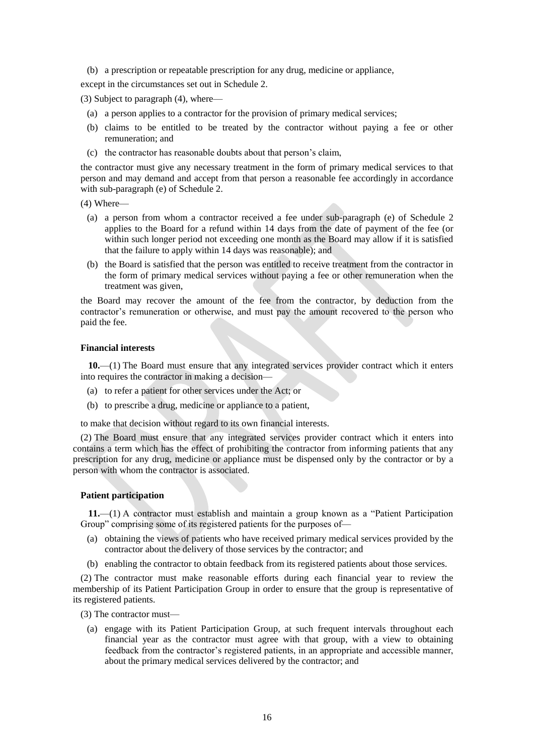(b) a prescription or repeatable prescription for any drug, medicine or appliance,

except in the circumstances set out in Schedule 2.

(3) Subject to paragraph (4), where—

- (a) a person applies to a contractor for the provision of primary medical services;
- (b) claims to be entitled to be treated by the contractor without paying a fee or other remuneration; and
- (c) the contractor has reasonable doubts about that person's claim,

the contractor must give any necessary treatment in the form of primary medical services to that person and may demand and accept from that person a reasonable fee accordingly in accordance with sub-paragraph (e) of Schedule 2.

(4) Where—

- (a) a person from whom a contractor received a fee under sub-paragraph (e) of Schedule 2 applies to the Board for a refund within 14 days from the date of payment of the fee (or within such longer period not exceeding one month as the Board may allow if it is satisfied that the failure to apply within 14 days was reasonable); and
- (b) the Board is satisfied that the person was entitled to receive treatment from the contractor in the form of primary medical services without paying a fee or other remuneration when the treatment was given,

the Board may recover the amount of the fee from the contractor, by deduction from the contractor's remuneration or otherwise, and must pay the amount recovered to the person who paid the fee.

## **Financial interests**

**10.**—(1) The Board must ensure that any integrated services provider contract which it enters into requires the contractor in making a decision—

- (a) to refer a patient for other services under the Act; or
- (b) to prescribe a drug, medicine or appliance to a patient,

to make that decision without regard to its own financial interests.

(2) The Board must ensure that any integrated services provider contract which it enters into contains a term which has the effect of prohibiting the contractor from informing patients that any prescription for any drug, medicine or appliance must be dispensed only by the contractor or by a person with whom the contractor is associated.

#### **Patient participation**

**11.**—(1) A contractor must establish and maintain a group known as a "Patient Participation Group" comprising some of its registered patients for the purposes of—

- (a) obtaining the views of patients who have received primary medical services provided by the contractor about the delivery of those services by the contractor; and
- (b) enabling the contractor to obtain feedback from its registered patients about those services.

(2) The contractor must make reasonable efforts during each financial year to review the membership of its Patient Participation Group in order to ensure that the group is representative of its registered patients.

- (3) The contractor must—
	- (a) engage with its Patient Participation Group, at such frequent intervals throughout each financial year as the contractor must agree with that group, with a view to obtaining feedback from the contractor's registered patients, in an appropriate and accessible manner, about the primary medical services delivered by the contractor; and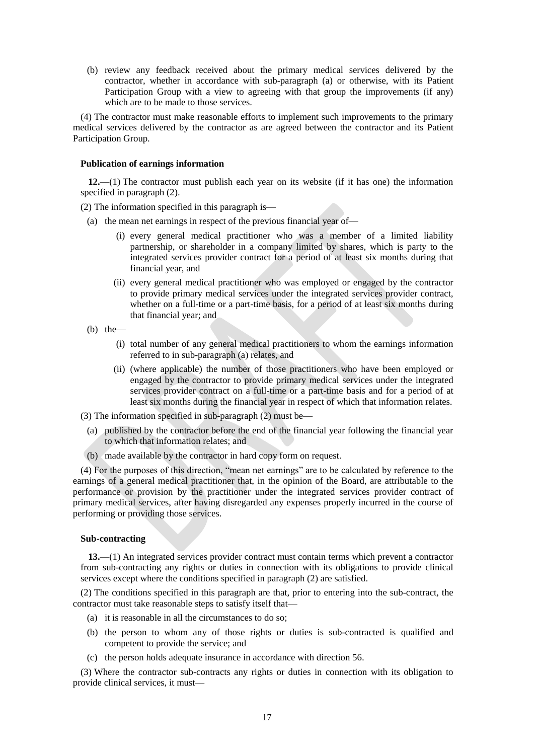(b) review any feedback received about the primary medical services delivered by the contractor, whether in accordance with sub-paragraph (a) or otherwise, with its Patient Participation Group with a view to agreeing with that group the improvements (if any) which are to be made to those services.

(4) The contractor must make reasonable efforts to implement such improvements to the primary medical services delivered by the contractor as are agreed between the contractor and its Patient Participation Group.

## **Publication of earnings information**

**12.**—(1) The contractor must publish each year on its website (if it has one) the information specified in paragraph (2).

(2) The information specified in this paragraph is—

- (a) the mean net earnings in respect of the previous financial year of—
	- (i) every general medical practitioner who was a member of a limited liability partnership, or shareholder in a company limited by shares, which is party to the integrated services provider contract for a period of at least six months during that financial year, and
	- (ii) every general medical practitioner who was employed or engaged by the contractor to provide primary medical services under the integrated services provider contract, whether on a full-time or a part-time basis, for a period of at least six months during that financial year; and
- $(b)$  the
	- (i) total number of any general medical practitioners to whom the earnings information referred to in sub-paragraph (a) relates, and
	- (ii) (where applicable) the number of those practitioners who have been employed or engaged by the contractor to provide primary medical services under the integrated services provider contract on a full-time or a part-time basis and for a period of at least six months during the financial year in respect of which that information relates.
- (3) The information specified in sub-paragraph (2) must be—
	- (a) published by the contractor before the end of the financial year following the financial year to which that information relates; and
- (b) made available by the contractor in hard copy form on request.

(4) For the purposes of this direction, "mean net earnings" are to be calculated by reference to the earnings of a general medical practitioner that, in the opinion of the Board, are attributable to the performance or provision by the practitioner under the integrated services provider contract of primary medical services, after having disregarded any expenses properly incurred in the course of performing or providing those services.

#### **Sub-contracting**

**13.**—(1) An integrated services provider contract must contain terms which prevent a contractor from sub-contracting any rights or duties in connection with its obligations to provide clinical services except where the conditions specified in paragraph (2) are satisfied.

(2) The conditions specified in this paragraph are that, prior to entering into the sub-contract, the contractor must take reasonable steps to satisfy itself that—

- (a) it is reasonable in all the circumstances to do so;
- (b) the person to whom any of those rights or duties is sub-contracted is qualified and competent to provide the service; and
- (c) the person holds adequate insurance in accordance with direction 56.

(3) Where the contractor sub-contracts any rights or duties in connection with its obligation to provide clinical services, it must—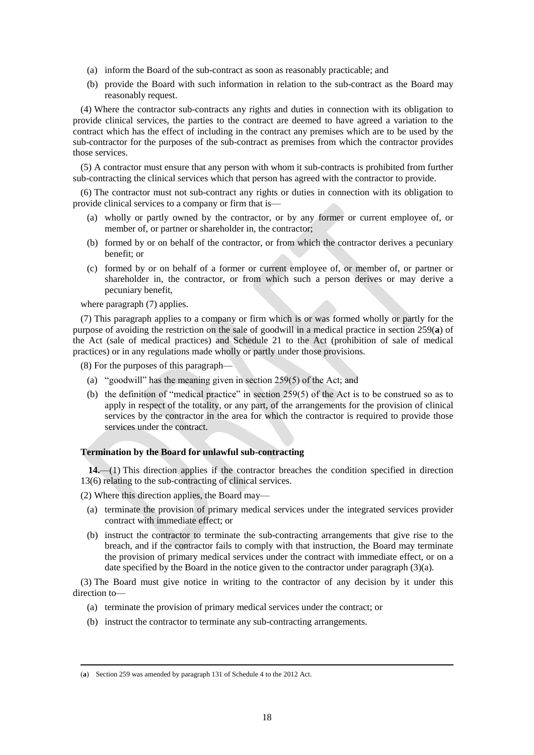- (a) inform the Board of the sub-contract as soon as reasonably practicable; and
- (b) provide the Board with such information in relation to the sub-contract as the Board may reasonably request.

(4) Where the contractor sub-contracts any rights and duties in connection with its obligation to provide clinical services, the parties to the contract are deemed to have agreed a variation to the contract which has the effect of including in the contract any premises which are to be used by the sub-contractor for the purposes of the sub-contract as premises from which the contractor provides those services.

(5) A contractor must ensure that any person with whom it sub-contracts is prohibited from further sub-contracting the clinical services which that person has agreed with the contractor to provide.

(6) The contractor must not sub-contract any rights or duties in connection with its obligation to provide clinical services to a company or firm that is—

- (a) wholly or partly owned by the contractor, or by any former or current employee of, or member of, or partner or shareholder in, the contractor;
- (b) formed by or on behalf of the contractor, or from which the contractor derives a pecuniary benefit; or
- (c) formed by or on behalf of a former or current employee of, or member of, or partner or shareholder in, the contractor, or from which such a person derives or may derive a pecuniary benefit,

where paragraph  $(7)$  applies.

(7) This paragraph applies to a company or firm which is or was formed wholly or partly for the purpose of avoiding the restriction on the sale of goodwill in a medical practice in section 259(**a**) of the Act (sale of medical practices) and Schedule 21 to the Act (prohibition of sale of medical practices) or in any regulations made wholly or partly under those provisions.

(8) For the purposes of this paragraph—

- (a) "goodwill" has the meaning given in section 259(5) of the Act; and
- (b) the definition of "medical practice" in section 259(5) of the Act is to be construed so as to apply in respect of the totality, or any part, of the arrangements for the provision of clinical services by the contractor in the area for which the contractor is required to provide those services under the contract.

## **Termination by the Board for unlawful sub-contracting**

**14.**—(1) This direction applies if the contractor breaches the condition specified in direction 13(6) relating to the sub-contracting of clinical services.

- (2) Where this direction applies, the Board may—
	- (a) terminate the provision of primary medical services under the integrated services provider contract with immediate effect; or
	- (b) instruct the contractor to terminate the sub-contracting arrangements that give rise to the breach, and if the contractor fails to comply with that instruction, the Board may terminate the provision of primary medical services under the contract with immediate effect, or on a date specified by the Board in the notice given to the contractor under paragraph (3)(a).

(3) The Board must give notice in writing to the contractor of any decision by it under this direction to—

- (a) terminate the provision of primary medical services under the contract; or
- (b) instruct the contractor to terminate any sub-contracting arrangements.

<sup>(</sup>**a**) Section 259 was amended by paragraph 131 of Schedule 4 to the 2012 Act.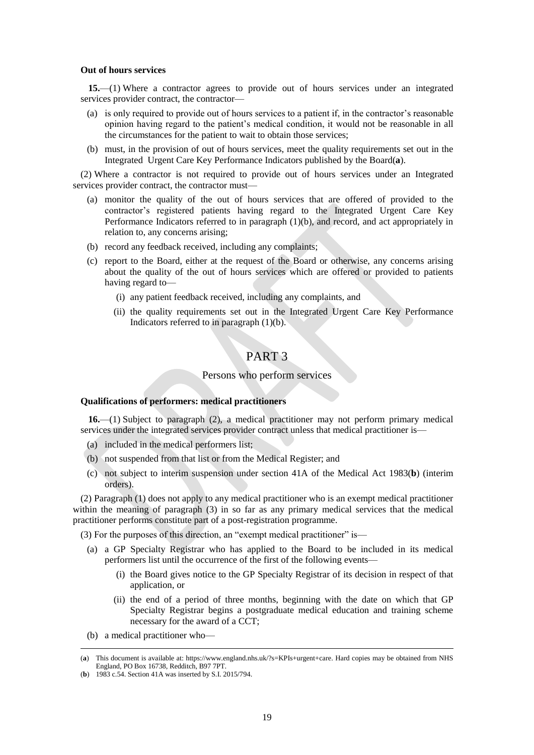#### **Out of hours services**

**15.**—(1) Where a contractor agrees to provide out of hours services under an integrated services provider contract, the contractor-

- (a) is only required to provide out of hours services to a patient if, in the contractor's reasonable opinion having regard to the patient's medical condition, it would not be reasonable in all the circumstances for the patient to wait to obtain those services;
- (b) must, in the provision of out of hours services, meet the quality requirements set out in the Integrated Urgent Care Key Performance Indicators published by the Board(**a**).

(2) Where a contractor is not required to provide out of hours services under an Integrated services provider contract, the contractor must—

- (a) monitor the quality of the out of hours services that are offered of provided to the contractor's registered patients having regard to the Integrated Urgent Care Key Performance Indicators referred to in paragraph (1)(b), and record, and act appropriately in relation to, any concerns arising;
- (b) record any feedback received, including any complaints;
- (c) report to the Board, either at the request of the Board or otherwise, any concerns arising about the quality of the out of hours services which are offered or provided to patients having regard to—
	- (i) any patient feedback received, including any complaints, and
	- (ii) the quality requirements set out in the Integrated Urgent Care Key Performance Indicators referred to in paragraph  $(1)(b)$ .

# PART 3

## Persons who perform services

## **Qualifications of performers: medical practitioners**

**16.**—(1) Subject to paragraph (2), a medical practitioner may not perform primary medical services under the integrated services provider contract unless that medical practitioner is—

- (a) included in the medical performers list;
- (b) not suspended from that list or from the Medical Register; and
- (c) not subject to interim suspension under section 41A of the Medical Act 1983(**b**) (interim orders).

(2) Paragraph (1) does not apply to any medical practitioner who is an exempt medical practitioner within the meaning of paragraph (3) in so far as any primary medical services that the medical practitioner performs constitute part of a post-registration programme.

(3) For the purposes of this direction, an "exempt medical practitioner" is—

- (a) a GP Specialty Registrar who has applied to the Board to be included in its medical performers list until the occurrence of the first of the following events—
	- (i) the Board gives notice to the GP Specialty Registrar of its decision in respect of that application, or
	- (ii) the end of a period of three months, beginning with the date on which that GP Specialty Registrar begins a postgraduate medical education and training scheme necessary for the award of a CCT;
- (b) a medical practitioner who—

<sup>(</sup>**a**) This document is available at: [https://www.england.nhs.uk/?s=KPIs+urgent+care.](https://www.england.nhs.uk/?s=KPIs+urgent+care) Hard copies may be obtained from NHS England, PO Box 16738, Redditch, B97 7PT.

<sup>(</sup>**b**) 1983 c.54. Section 41A was inserted by S.I. 2015/794.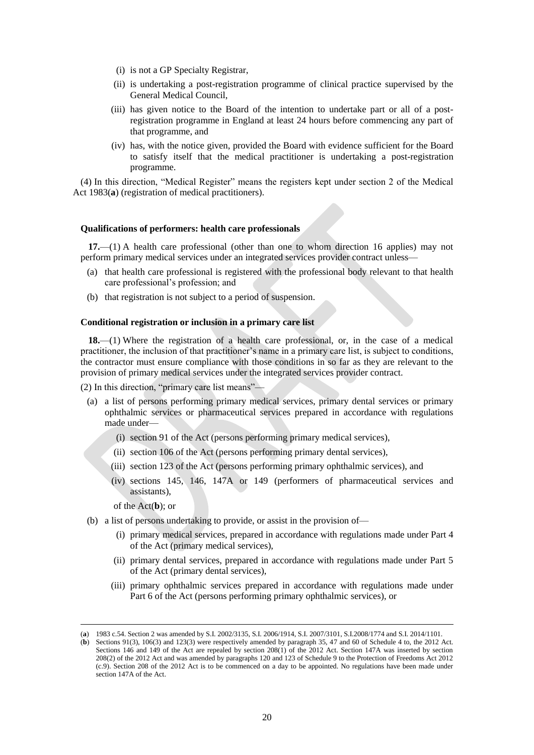- (i) is not a GP Specialty Registrar,
- (ii) is undertaking a post-registration programme of clinical practice supervised by the General Medical Council,
- (iii) has given notice to the Board of the intention to undertake part or all of a postregistration programme in England at least 24 hours before commencing any part of that programme, and
- (iv) has, with the notice given, provided the Board with evidence sufficient for the Board to satisfy itself that the medical practitioner is undertaking a post-registration programme.

(4) In this direction, "Medical Register" means the registers kept under section 2 of the Medical Act 1983(**a**) (registration of medical practitioners).

#### **Qualifications of performers: health care professionals**

**17.**—(1) A health care professional (other than one to whom direction 16 applies) may not perform primary medical services under an integrated services provider contract unless—

- (a) that health care professional is registered with the professional body relevant to that health care professional's profession; and
- (b) that registration is not subject to a period of suspension.

#### **Conditional registration or inclusion in a primary care list**

**18.**—(1) Where the registration of a health care professional, or, in the case of a medical practitioner, the inclusion of that practitioner's name in a primary care list, is subject to conditions, the contractor must ensure compliance with those conditions in so far as they are relevant to the provision of primary medical services under the integrated services provider contract.

(2) In this direction, "primary care list means"—

- (a) a list of persons performing primary medical services, primary dental services or primary ophthalmic services or pharmaceutical services prepared in accordance with regulations made under—
	- (i) section 91 of the Act (persons performing primary medical services),
	- (ii) section 106 of the Act (persons performing primary dental services),
	- (iii) section 123 of the Act (persons performing primary ophthalmic services), and
	- (iv) sections 145, 146, 147A or 149 (performers of pharmaceutical services and assistants),

of the Act(**b**); or

- (b) a list of persons undertaking to provide, or assist in the provision of—
	- (i) primary medical services, prepared in accordance with regulations made under Part 4 of the Act (primary medical services),
	- (ii) primary dental services, prepared in accordance with regulations made under Part 5 of the Act (primary dental services),
	- (iii) primary ophthalmic services prepared in accordance with regulations made under Part 6 of the Act (persons performing primary ophthalmic services), or

<sup>(</sup>**a**) 1983 c.54. Section 2 was amended by S.I. 2002/3135, S.I. 2006/1914, S.I. 2007/3101, S.I.2008/1774 and S.I. 2014/1101.

<sup>(</sup>**b**) Sections 91(3), 106(3) and 123(3) were respectively amended by paragraph 35, 47 and 60 of Schedule 4 to, the 2012 Act. Sections 146 and 149 of the Act are repealed by section 208(1) of the 2012 Act. Section 147A was inserted by section 208(2) of the 2012 Act and was amended by paragraphs 120 and 123 of Schedule 9 to the Protection of Freedoms Act 2012 (c.9). Section 208 of the 2012 Act is to be commenced on a day to be appointed. No regulations have been made under section 147A of the Act.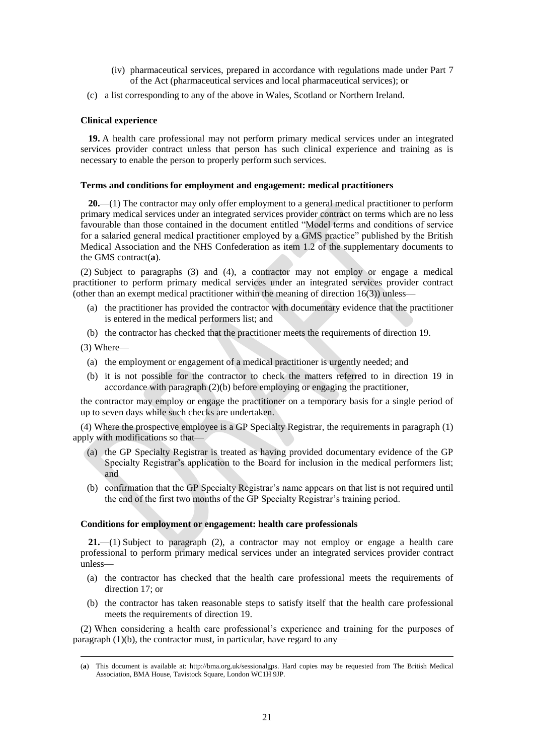- (iv) pharmaceutical services, prepared in accordance with regulations made under Part 7 of the Act (pharmaceutical services and local pharmaceutical services); or
- (c) a list corresponding to any of the above in Wales, Scotland or Northern Ireland.

## **Clinical experience**

**19.** A health care professional may not perform primary medical services under an integrated services provider contract unless that person has such clinical experience and training as is necessary to enable the person to properly perform such services.

## **Terms and conditions for employment and engagement: medical practitioners**

**20.**—(1) The contractor may only offer employment to a general medical practitioner to perform primary medical services under an integrated services provider contract on terms which are no less favourable than those contained in the document entitled "Model terms and conditions of service for a salaried general medical practitioner employed by a GMS practice" published by the British Medical Association and the NHS Confederation as item 1.2 of the supplementary documents to the GMS contract(**a**).

(2) Subject to paragraphs (3) and (4), a contractor may not employ or engage a medical practitioner to perform primary medical services under an integrated services provider contract (other than an exempt medical practitioner within the meaning of direction 16(3)) unless—

- (a) the practitioner has provided the contractor with documentary evidence that the practitioner is entered in the medical performers list; and
- (b) the contractor has checked that the practitioner meets the requirements of direction 19.
- (3) Where—

 $\overline{a}$ 

- (a) the employment or engagement of a medical practitioner is urgently needed; and
- (b) it is not possible for the contractor to check the matters referred to in direction 19 in accordance with paragraph (2)(b) before employing or engaging the practitioner,

the contractor may employ or engage the practitioner on a temporary basis for a single period of up to seven days while such checks are undertaken.

(4) Where the prospective employee is a GP Specialty Registrar, the requirements in paragraph (1) apply with modifications so that—

- (a) the GP Specialty Registrar is treated as having provided documentary evidence of the GP Specialty Registrar's application to the Board for inclusion in the medical performers list; and
- (b) confirmation that the GP Specialty Registrar's name appears on that list is not required until the end of the first two months of the GP Specialty Registrar's training period.

## **Conditions for employment or engagement: health care professionals**

**21.**—(1) Subject to paragraph (2), a contractor may not employ or engage a health care professional to perform primary medical services under an integrated services provider contract unless—

- (a) the contractor has checked that the health care professional meets the requirements of direction 17; or
- (b) the contractor has taken reasonable steps to satisfy itself that the health care professional meets the requirements of direction 19.

(2) When considering a health care professional's experience and training for the purposes of paragraph (1)(b), the contractor must, in particular, have regard to any—

<sup>(</sup>**a**) This document is available at: [http://bma.org.uk/sessionalgps.](http://bma.org.uk/sessionalgps) Hard copies may be requested from The British Medical Association, BMA House, Tavistock Square, London WC1H 9JP.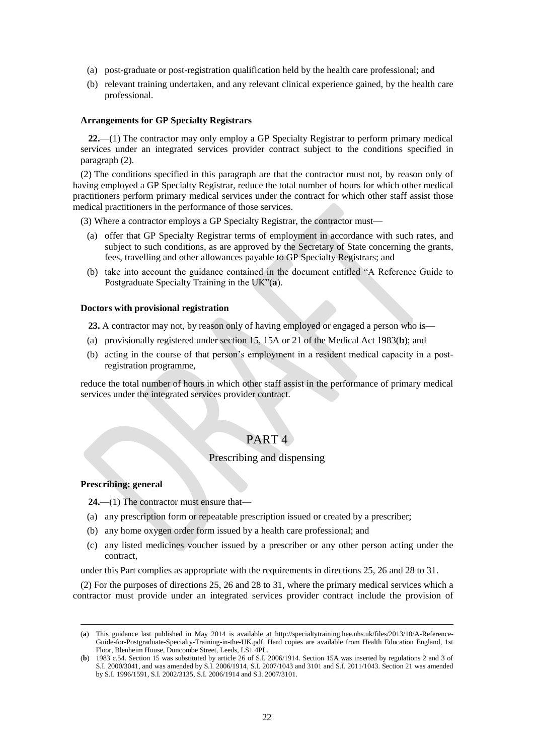- (a) post-graduate or post-registration qualification held by the health care professional; and
- (b) relevant training undertaken, and any relevant clinical experience gained, by the health care professional.

#### **Arrangements for GP Specialty Registrars**

**22.**—(1) The contractor may only employ a GP Specialty Registrar to perform primary medical services under an integrated services provider contract subject to the conditions specified in paragraph (2).

(2) The conditions specified in this paragraph are that the contractor must not, by reason only of having employed a GP Specialty Registrar, reduce the total number of hours for which other medical practitioners perform primary medical services under the contract for which other staff assist those medical practitioners in the performance of those services.

(3) Where a contractor employs a GP Specialty Registrar, the contractor must—

- (a) offer that GP Specialty Registrar terms of employment in accordance with such rates, and subject to such conditions, as are approved by the Secretary of State concerning the grants, fees, travelling and other allowances payable to GP Specialty Registrars; and
- (b) take into account the guidance contained in the document entitled "A Reference Guide to Postgraduate Specialty Training in the UK"(**a**).

#### **Doctors with provisional registration**

**23.** A contractor may not, by reason only of having employed or engaged a person who is—

- (a) provisionally registered under section 15, 15A or 21 of the Medical Act 1983(**b**); and
- (b) acting in the course of that person's employment in a resident medical capacity in a postregistration programme,

reduce the total number of hours in which other staff assist in the performance of primary medical services under the integrated services provider contract.

# PART 4

# Prescribing and dispensing

## **Prescribing: general**

 $\overline{a}$ 

- **24.**—(1) The contractor must ensure that—
- (a) any prescription form or repeatable prescription issued or created by a prescriber;
- (b) any home oxygen order form issued by a health care professional; and
- (c) any listed medicines voucher issued by a prescriber or any other person acting under the contract,

under this Part complies as appropriate with the requirements in directions 25, 26 and 28 to 31.

(2) For the purposes of directions 25, 26 and 28 to 31, where the primary medical services which a contractor must provide under an integrated services provider contract include the provision of

<sup>(</sup>**a**) This guidance last published in May 2014 is available at [http://specialtytraining.hee.nhs.uk/files/2013/10/A-Reference-](http://specialtytraining.hee.nhs.uk/files/2013/10/A-Reference-Guide-for-Postgraduate-Specialty-Training-in-the-UK.pdf)[Guide-for-Postgraduate-Specialty-Training-in-the-UK.pdf.](http://specialtytraining.hee.nhs.uk/files/2013/10/A-Reference-Guide-for-Postgraduate-Specialty-Training-in-the-UK.pdf) Hard copies are available from Health Education England, 1st Floor, Blenheim House, Duncombe Street, Leeds, LS1 4PL.

<sup>(</sup>**b**) 1983 c.54. Section 15 was substituted by article 26 of S.I. 2006/1914. Section 15A was inserted by regulations 2 and 3 of S.I. 2000/3041, and was amended by S.I. 2006/1914, S.I. 2007/1043 and 3101 and S.I. 2011/1043. Section 21 was amended by S.I. 1996/1591, S.I. 2002/3135, S.I. 2006/1914 and S.I. 2007/3101.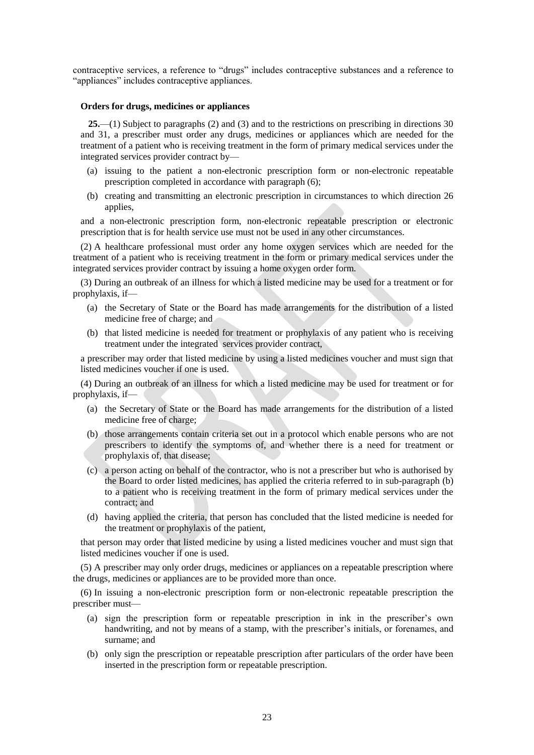contraceptive services, a reference to "drugs" includes contraceptive substances and a reference to "appliances" includes contraceptive appliances.

## **Orders for drugs, medicines or appliances**

**25.**—(1) Subject to paragraphs (2) and (3) and to the restrictions on prescribing in directions 30 and 31, a prescriber must order any drugs, medicines or appliances which are needed for the treatment of a patient who is receiving treatment in the form of primary medical services under the integrated services provider contract by—

- (a) issuing to the patient a non-electronic prescription form or non-electronic repeatable prescription completed in accordance with paragraph (6);
- (b) creating and transmitting an electronic prescription in circumstances to which direction 26 applies,

and a non-electronic prescription form, non-electronic repeatable prescription or electronic prescription that is for health service use must not be used in any other circumstances.

(2) A healthcare professional must order any home oxygen services which are needed for the treatment of a patient who is receiving treatment in the form or primary medical services under the integrated services provider contract by issuing a home oxygen order form.

(3) During an outbreak of an illness for which a listed medicine may be used for a treatment or for prophylaxis, if—

- (a) the Secretary of State or the Board has made arrangements for the distribution of a listed medicine free of charge; and
- (b) that listed medicine is needed for treatment or prophylaxis of any patient who is receiving treatment under the integrated services provider contract,

a prescriber may order that listed medicine by using a listed medicines voucher and must sign that listed medicines voucher if one is used.

(4) During an outbreak of an illness for which a listed medicine may be used for treatment or for prophylaxis, if—

- (a) the Secretary of State or the Board has made arrangements for the distribution of a listed medicine free of charge;
- (b) those arrangements contain criteria set out in a protocol which enable persons who are not prescribers to identify the symptoms of, and whether there is a need for treatment or prophylaxis of, that disease;
- (c) a person acting on behalf of the contractor, who is not a prescriber but who is authorised by the Board to order listed medicines, has applied the criteria referred to in sub-paragraph (b) to a patient who is receiving treatment in the form of primary medical services under the contract; and
- (d) having applied the criteria, that person has concluded that the listed medicine is needed for the treatment or prophylaxis of the patient,

that person may order that listed medicine by using a listed medicines voucher and must sign that listed medicines voucher if one is used.

(5) A prescriber may only order drugs, medicines or appliances on a repeatable prescription where the drugs, medicines or appliances are to be provided more than once.

(6) In issuing a non-electronic prescription form or non-electronic repeatable prescription the prescriber must—

- (a) sign the prescription form or repeatable prescription in ink in the prescriber's own handwriting, and not by means of a stamp, with the prescriber's initials, or forenames, and surname; and
- (b) only sign the prescription or repeatable prescription after particulars of the order have been inserted in the prescription form or repeatable prescription.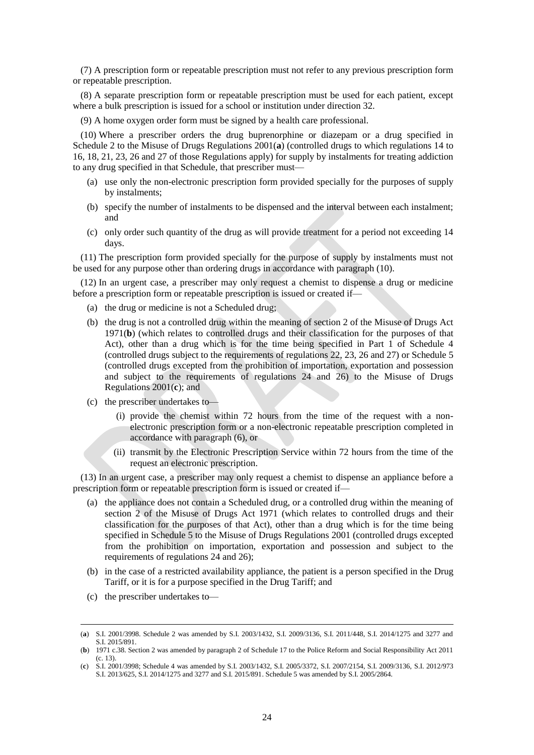(7) A prescription form or repeatable prescription must not refer to any previous prescription form or repeatable prescription.

(8) A separate prescription form or repeatable prescription must be used for each patient, except where a bulk prescription is issued for a school or institution under direction 32.

(9) A home oxygen order form must be signed by a health care professional.

(10) Where a prescriber orders the drug buprenorphine or diazepam or a drug specified in Schedule 2 to the Misuse of Drugs Regulations 2001(**a**) (controlled drugs to which regulations 14 to 16, 18, 21, 23, 26 and 27 of those Regulations apply) for supply by instalments for treating addiction to any drug specified in that Schedule, that prescriber must—

- (a) use only the non-electronic prescription form provided specially for the purposes of supply by instalments;
- (b) specify the number of instalments to be dispensed and the interval between each instalment; and
- (c) only order such quantity of the drug as will provide treatment for a period not exceeding 14 days.

(11) The prescription form provided specially for the purpose of supply by instalments must not be used for any purpose other than ordering drugs in accordance with paragraph (10).

(12) In an urgent case, a prescriber may only request a chemist to dispense a drug or medicine before a prescription form or repeatable prescription is issued or created if—

- (a) the drug or medicine is not a Scheduled drug;
- (b) the drug is not a controlled drug within the meaning of section 2 of the Misuse of Drugs Act 1971(**b**) (which relates to controlled drugs and their classification for the purposes of that Act), other than a drug which is for the time being specified in Part 1 of Schedule 4 (controlled drugs subject to the requirements of regulations 22, 23, 26 and 27) or Schedule 5 (controlled drugs excepted from the prohibition of importation, exportation and possession and subject to the requirements of regulations 24 and 26) to the Misuse of Drugs Regulations 2001(**c**); and
- (c) the prescriber undertakes to—
	- (i) provide the chemist within 72 hours from the time of the request with a nonelectronic prescription form or a non-electronic repeatable prescription completed in accordance with paragraph (6), or
	- (ii) transmit by the Electronic Prescription Service within 72 hours from the time of the request an electronic prescription.

(13) In an urgent case, a prescriber may only request a chemist to dispense an appliance before a prescription form or repeatable prescription form is issued or created if—

- (a) the appliance does not contain a Scheduled drug, or a controlled drug within the meaning of section 2 of the Misuse of Drugs Act 1971 (which relates to controlled drugs and their classification for the purposes of that Act), other than a drug which is for the time being specified in Schedule 5 to the Misuse of Drugs Regulations 2001 (controlled drugs excepted from the prohibition on importation, exportation and possession and subject to the requirements of regulations 24 and 26);
- (b) in the case of a restricted availability appliance, the patient is a person specified in the Drug Tariff, or it is for a purpose specified in the Drug Tariff; and
- (c) the prescriber undertakes to—

<sup>(</sup>**a**) S.I. 2001/3998. Schedule 2 was amended by S.I. 2003/1432, S.I. 2009/3136, S.I. 2011/448, S.I. 2014/1275 and 3277 and S.I. 2015/891.

<sup>(</sup>**b**) 1971 c.38. Section 2 was amended by paragraph 2 of Schedule 17 to the Police Reform and Social Responsibility Act 2011 (c. 13).

<sup>(</sup>**c**) S.I. 2001/3998; Schedule 4 was amended by S.I. 2003/1432, S.I. 2005/3372, S.I. 2007/2154, S.I. 2009/3136, S.I. 2012/973 S.I. 2013/625, S.I. 2014/1275 and 3277 and S.I. 2015/891. Schedule 5 was amended by S.I. 2005/2864.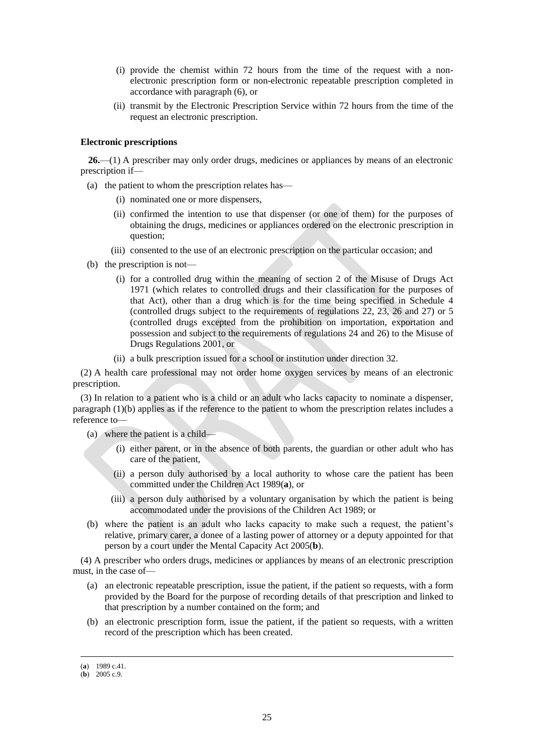- (i) provide the chemist within 72 hours from the time of the request with a nonelectronic prescription form or non-electronic repeatable prescription completed in accordance with paragraph (6), or
- (ii) transmit by the Electronic Prescription Service within 72 hours from the time of the request an electronic prescription.

## **Electronic prescriptions**

**26.**—(1) A prescriber may only order drugs, medicines or appliances by means of an electronic prescription if—

(a) the patient to whom the prescription relates has—

- (i) nominated one or more dispensers,
- (ii) confirmed the intention to use that dispenser (or one of them) for the purposes of obtaining the drugs, medicines or appliances ordered on the electronic prescription in question;
- (iii) consented to the use of an electronic prescription on the particular occasion; and
- (b) the prescription is not—
	- (i) for a controlled drug within the meaning of section 2 of the Misuse of Drugs Act 1971 (which relates to controlled drugs and their classification for the purposes of that Act), other than a drug which is for the time being specified in Schedule 4 (controlled drugs subject to the requirements of regulations 22, 23, 26 and 27) or 5 (controlled drugs excepted from the prohibition on importation, exportation and possession and subject to the requirements of regulations 24 and 26) to the Misuse of Drugs Regulations 2001, or
	- (ii) a bulk prescription issued for a school or institution under direction 32.

(2) A health care professional may not order home oxygen services by means of an electronic prescription.

(3) In relation to a patient who is a child or an adult who lacks capacity to nominate a dispenser, paragraph (1)(b) applies as if the reference to the patient to whom the prescription relates includes a reference to—

- (a) where the patient is a child—
	- (i) either parent, or in the absence of both parents, the guardian or other adult who has care of the patient,
	- (ii) a person duly authorised by a local authority to whose care the patient has been committed under the Children Act 1989(**a**), or
	- (iii) a person duly authorised by a voluntary organisation by which the patient is being accommodated under the provisions of the Children Act 1989; or
- (b) where the patient is an adult who lacks capacity to make such a request, the patient's relative, primary carer, a donee of a lasting power of attorney or a deputy appointed for that person by a court under the Mental Capacity Act 2005(**b**).

(4) A prescriber who orders drugs, medicines or appliances by means of an electronic prescription must, in the case of—

- (a) an electronic repeatable prescription, issue the patient, if the patient so requests, with a form provided by the Board for the purpose of recording details of that prescription and linked to that prescription by a number contained on the form; and
- (b) an electronic prescription form, issue the patient, if the patient so requests, with a written record of the prescription which has been created.

<sup>(</sup>**a**) 1989 c.41.

 $(b)$  2005 c.9.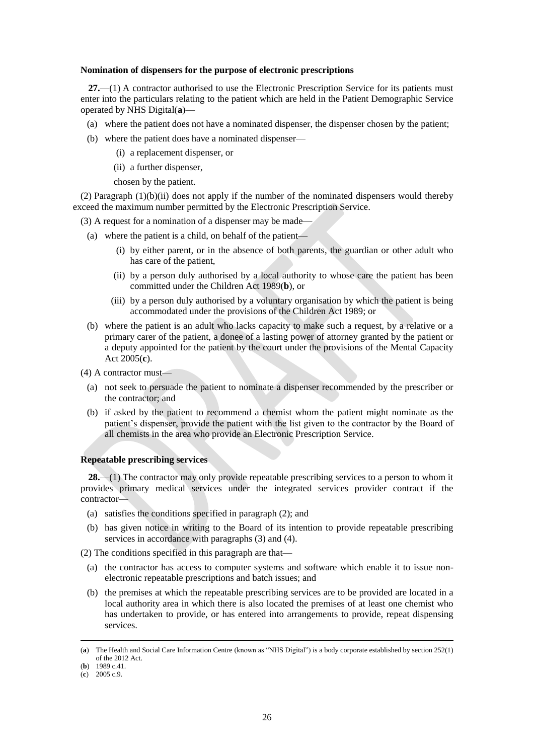#### **Nomination of dispensers for the purpose of electronic prescriptions**

**27.**—(1) A contractor authorised to use the Electronic Prescription Service for its patients must enter into the particulars relating to the patient which are held in the Patient Demographic Service operated by NHS Digital(**a**)—

- (a) where the patient does not have a nominated dispenser, the dispenser chosen by the patient;
- (b) where the patient does have a nominated dispenser—
	- (i) a replacement dispenser, or
	- (ii) a further dispenser,

chosen by the patient.

 $(2)$  Paragraph  $(1)(b)(ii)$  does not apply if the number of the nominated dispensers would thereby exceed the maximum number permitted by the Electronic Prescription Service.

(3) A request for a nomination of a dispenser may be made—

- (a) where the patient is a child, on behalf of the patient—
	- (i) by either parent, or in the absence of both parents, the guardian or other adult who has care of the patient,
	- (ii) by a person duly authorised by a local authority to whose care the patient has been committed under the Children Act 1989(**b**), or
	- (iii) by a person duly authorised by a voluntary organisation by which the patient is being accommodated under the provisions of the Children Act 1989; or
- (b) where the patient is an adult who lacks capacity to make such a request, by a relative or a primary carer of the patient, a donee of a lasting power of attorney granted by the patient or a deputy appointed for the patient by the court under the provisions of the Mental Capacity Act 2005(**c**).
- (4) A contractor must—
	- (a) not seek to persuade the patient to nominate a dispenser recommended by the prescriber or the contractor; and
	- (b) if asked by the patient to recommend a chemist whom the patient might nominate as the patient's dispenser, provide the patient with the list given to the contractor by the Board of all chemists in the area who provide an Electronic Prescription Service.

## **Repeatable prescribing services**

**28.**—(1) The contractor may only provide repeatable prescribing services to a person to whom it provides primary medical services under the integrated services provider contract if the contractor—

- (a) satisfies the conditions specified in paragraph (2); and
- (b) has given notice in writing to the Board of its intention to provide repeatable prescribing services in accordance with paragraphs (3) and (4).

(2) The conditions specified in this paragraph are that—

- (a) the contractor has access to computer systems and software which enable it to issue nonelectronic repeatable prescriptions and batch issues; and
- (b) the premises at which the repeatable prescribing services are to be provided are located in a local authority area in which there is also located the premises of at least one chemist who has undertaken to provide, or has entered into arrangements to provide, repeat dispensing services.

<sup>(</sup>**a**) The Health and Social Care Information Centre (known as "NHS Digital") is a body corporate established by section 252(1) of the 2012 Act.

<sup>(</sup>**b**) 1989 c.41.

<sup>(</sup>**c**) 2005 c.9.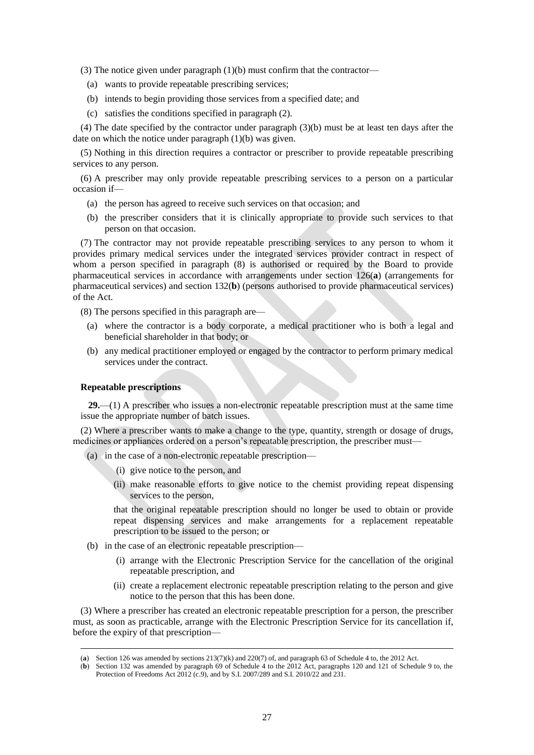(3) The notice given under paragraph (1)(b) must confirm that the contractor—

- (a) wants to provide repeatable prescribing services;
- (b) intends to begin providing those services from a specified date; and
- (c) satisfies the conditions specified in paragraph (2).

(4) The date specified by the contractor under paragraph (3)(b) must be at least ten days after the date on which the notice under paragraph (1)(b) was given.

(5) Nothing in this direction requires a contractor or prescriber to provide repeatable prescribing services to any person.

(6) A prescriber may only provide repeatable prescribing services to a person on a particular occasion if—

- (a) the person has agreed to receive such services on that occasion; and
- (b) the prescriber considers that it is clinically appropriate to provide such services to that person on that occasion.

(7) The contractor may not provide repeatable prescribing services to any person to whom it provides primary medical services under the integrated services provider contract in respect of whom a person specified in paragraph (8) is authorised or required by the Board to provide pharmaceutical services in accordance with arrangements under section 126(**a**) (arrangements for pharmaceutical services) and section 132(**b**) (persons authorised to provide pharmaceutical services) of the Act.

(8) The persons specified in this paragraph are—

- (a) where the contractor is a body corporate, a medical practitioner who is both a legal and beneficial shareholder in that body; or
- (b) any medical practitioner employed or engaged by the contractor to perform primary medical services under the contract.

## **Repeatable prescriptions**

 $\overline{a}$ 

**29.**—(1) A prescriber who issues a non-electronic repeatable prescription must at the same time issue the appropriate number of batch issues.

(2) Where a prescriber wants to make a change to the type, quantity, strength or dosage of drugs, medicines or appliances ordered on a person's repeatable prescription, the prescriber must—

- (a) in the case of a non-electronic repeatable prescription—
	- (i) give notice to the person, and
	- (ii) make reasonable efforts to give notice to the chemist providing repeat dispensing services to the person,

that the original repeatable prescription should no longer be used to obtain or provide repeat dispensing services and make arrangements for a replacement repeatable prescription to be issued to the person; or

- (b) in the case of an electronic repeatable prescription—
	- (i) arrange with the Electronic Prescription Service for the cancellation of the original repeatable prescription, and
	- (ii) create a replacement electronic repeatable prescription relating to the person and give notice to the person that this has been done.

(3) Where a prescriber has created an electronic repeatable prescription for a person, the prescriber must, as soon as practicable, arrange with the Electronic Prescription Service for its cancellation if, before the expiry of that prescription—

<sup>(</sup>**a**) Section 126 was amended by sections 213(7)(k) and 220(7) of, and paragraph 63 of Schedule 4 to, the 2012 Act.

<sup>(</sup>**b**) Section 132 was amended by paragraph 69 of Schedule 4 to the 2012 Act, paragraphs 120 and 121 of Schedule 9 to, the Protection of Freedoms Act 2012 (c.9), and by S.I. 2007/289 and S.I. 2010/22 and 231.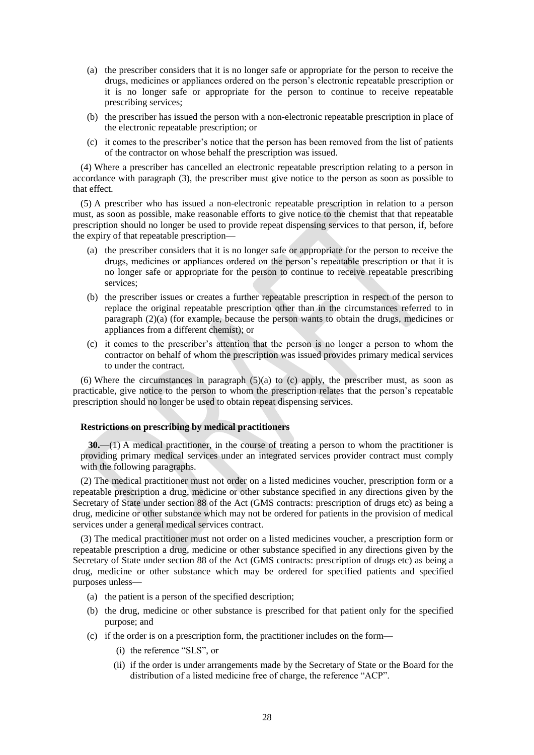- (a) the prescriber considers that it is no longer safe or appropriate for the person to receive the drugs, medicines or appliances ordered on the person's electronic repeatable prescription or it is no longer safe or appropriate for the person to continue to receive repeatable prescribing services;
- (b) the prescriber has issued the person with a non-electronic repeatable prescription in place of the electronic repeatable prescription; or
- (c) it comes to the prescriber's notice that the person has been removed from the list of patients of the contractor on whose behalf the prescription was issued.

(4) Where a prescriber has cancelled an electronic repeatable prescription relating to a person in accordance with paragraph (3), the prescriber must give notice to the person as soon as possible to that effect.

(5) A prescriber who has issued a non-electronic repeatable prescription in relation to a person must, as soon as possible, make reasonable efforts to give notice to the chemist that that repeatable prescription should no longer be used to provide repeat dispensing services to that person, if, before the expiry of that repeatable prescription—

- (a) the prescriber considers that it is no longer safe or appropriate for the person to receive the drugs, medicines or appliances ordered on the person's repeatable prescription or that it is no longer safe or appropriate for the person to continue to receive repeatable prescribing services;
- (b) the prescriber issues or creates a further repeatable prescription in respect of the person to replace the original repeatable prescription other than in the circumstances referred to in paragraph (2)(a) (for example, because the person wants to obtain the drugs, medicines or appliances from a different chemist); or
- (c) it comes to the prescriber's attention that the person is no longer a person to whom the contractor on behalf of whom the prescription was issued provides primary medical services to under the contract.

(6) Where the circumstances in paragraph (5)(a) to (c) apply, the prescriber must, as soon as practicable, give notice to the person to whom the prescription relates that the person's repeatable prescription should no longer be used to obtain repeat dispensing services.

## **Restrictions on prescribing by medical practitioners**

**30.**—(1) A medical practitioner, in the course of treating a person to whom the practitioner is providing primary medical services under an integrated services provider contract must comply with the following paragraphs.

(2) The medical practitioner must not order on a listed medicines voucher, prescription form or a repeatable prescription a drug, medicine or other substance specified in any directions given by the Secretary of State under section 88 of the Act (GMS contracts: prescription of drugs etc) as being a drug, medicine or other substance which may not be ordered for patients in the provision of medical services under a general medical services contract.

(3) The medical practitioner must not order on a listed medicines voucher, a prescription form or repeatable prescription a drug, medicine or other substance specified in any directions given by the Secretary of State under section 88 of the Act (GMS contracts: prescription of drugs etc) as being a drug, medicine or other substance which may be ordered for specified patients and specified purposes unless—

- (a) the patient is a person of the specified description;
- (b) the drug, medicine or other substance is prescribed for that patient only for the specified purpose; and
- (c) if the order is on a prescription form, the practitioner includes on the form—
	- (i) the reference "SLS", or
	- (ii) if the order is under arrangements made by the Secretary of State or the Board for the distribution of a listed medicine free of charge, the reference "ACP".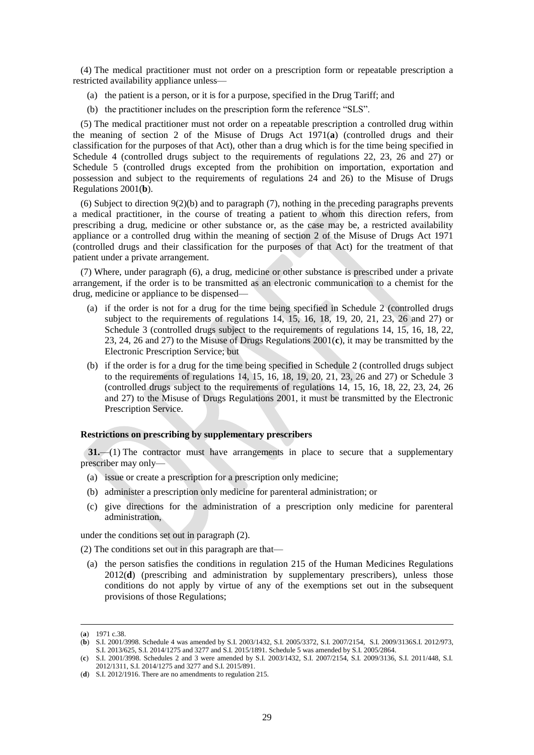(4) The medical practitioner must not order on a prescription form or repeatable prescription a restricted availability appliance unless—

- (a) the patient is a person, or it is for a purpose, specified in the Drug Tariff; and
- (b) the practitioner includes on the prescription form the reference "SLS".

(5) The medical practitioner must not order on a repeatable prescription a controlled drug within the meaning of section 2 of the Misuse of Drugs Act 1971(**a**) (controlled drugs and their classification for the purposes of that Act), other than a drug which is for the time being specified in Schedule 4 (controlled drugs subject to the requirements of regulations 22, 23, 26 and 27) or Schedule 5 (controlled drugs excepted from the prohibition on importation, exportation and possession and subject to the requirements of regulations 24 and 26) to the Misuse of Drugs Regulations 2001(**b**).

(6) Subject to direction  $9(2)(b)$  and to paragraph (7), nothing in the preceding paragraphs prevents a medical practitioner, in the course of treating a patient to whom this direction refers, from prescribing a drug, medicine or other substance or, as the case may be, a restricted availability appliance or a controlled drug within the meaning of section 2 of the Misuse of Drugs Act 1971 (controlled drugs and their classification for the purposes of that Act) for the treatment of that patient under a private arrangement.

(7) Where, under paragraph (6), a drug, medicine or other substance is prescribed under a private arrangement, if the order is to be transmitted as an electronic communication to a chemist for the drug, medicine or appliance to be dispensed—

- (a) if the order is not for a drug for the time being specified in Schedule 2 (controlled drugs subject to the requirements of regulations 14, 15, 16, 18, 19, 20, 21, 23, 26 and 27) or Schedule 3 (controlled drugs subject to the requirements of regulations 14, 15, 16, 18, 22, 23, 24, 26 and 27) to the Misuse of Drugs Regulations 2001(**c**), it may be transmitted by the Electronic Prescription Service; but
- (b) if the order is for a drug for the time being specified in Schedule 2 (controlled drugs subject to the requirements of regulations 14, 15, 16, 18, 19, 20, 21, 23, 26 and 27) or Schedule 3 (controlled drugs subject to the requirements of regulations 14, 15, 16, 18, 22, 23, 24, 26 and 27) to the Misuse of Drugs Regulations 2001, it must be transmitted by the Electronic Prescription Service.

#### **Restrictions on prescribing by supplementary prescribers**

**31.**—(1) The contractor must have arrangements in place to secure that a supplementary prescriber may only—

- (a) issue or create a prescription for a prescription only medicine;
- (b) administer a prescription only medicine for parenteral administration; or
- (c) give directions for the administration of a prescription only medicine for parenteral administration,

under the conditions set out in paragraph (2).

(2) The conditions set out in this paragraph are that—

(a) the person satisfies the conditions in regulation 215 of the Human Medicines Regulations 2012(**d**) (prescribing and administration by supplementary prescribers), unless those conditions do not apply by virtue of any of the exemptions set out in the subsequent provisions of those Regulations;

<sup>(</sup>**a**) 1971 c.38.

<sup>(</sup>**b**) S.I. 2001/3998. Schedule 4 was amended by S.I. 2003/1432, S.I. 2005/3372, S.I. 2007/2154, S.I. 2009/3136S.I. 2012/973, S.I. 2013/625, S.I. 2014/1275 and 3277 and S.I. 2015/1891. Schedule 5 was amended by S.I. 2005/2864.

<sup>(</sup>**c**) S.I. 2001/3998. Schedules 2 and 3 were amended by S.I. 2003/1432, S.I. 2007/2154, S.I. 2009/3136, S.I. 2011/448, S.I. 2012/1311, S.I. 2014/1275 and 3277 and S.I. 2015/891.

<sup>(</sup>**d**) S.I. 2012/1916. There are no amendments to regulation 215.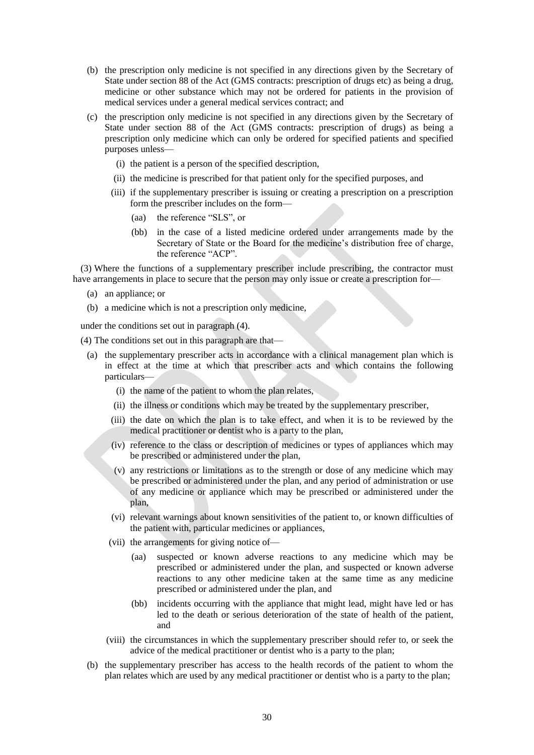- (b) the prescription only medicine is not specified in any directions given by the Secretary of State under section 88 of the Act (GMS contracts: prescription of drugs etc) as being a drug, medicine or other substance which may not be ordered for patients in the provision of medical services under a general medical services contract; and
- (c) the prescription only medicine is not specified in any directions given by the Secretary of State under section 88 of the Act (GMS contracts: prescription of drugs) as being a prescription only medicine which can only be ordered for specified patients and specified purposes unless—
	- (i) the patient is a person of the specified description,
	- (ii) the medicine is prescribed for that patient only for the specified purposes, and
	- (iii) if the supplementary prescriber is issuing or creating a prescription on a prescription form the prescriber includes on the form—
		- (aa) the reference "SLS", or
		- (bb) in the case of a listed medicine ordered under arrangements made by the Secretary of State or the Board for the medicine's distribution free of charge, the reference "ACP".

(3) Where the functions of a supplementary prescriber include prescribing, the contractor must have arrangements in place to secure that the person may only issue or create a prescription for—

- (a) an appliance; or
- (b) a medicine which is not a prescription only medicine,

under the conditions set out in paragraph (4).

- (4) The conditions set out in this paragraph are that—
	- (a) the supplementary prescriber acts in accordance with a clinical management plan which is in effect at the time at which that prescriber acts and which contains the following particulars—
		- (i) the name of the patient to whom the plan relates,
		- (ii) the illness or conditions which may be treated by the supplementary prescriber,
		- (iii) the date on which the plan is to take effect, and when it is to be reviewed by the medical practitioner or dentist who is a party to the plan,
		- (iv) reference to the class or description of medicines or types of appliances which may be prescribed or administered under the plan,
		- (v) any restrictions or limitations as to the strength or dose of any medicine which may be prescribed or administered under the plan, and any period of administration or use of any medicine or appliance which may be prescribed or administered under the plan,
		- (vi) relevant warnings about known sensitivities of the patient to, or known difficulties of the patient with, particular medicines or appliances,
		- (vii) the arrangements for giving notice of—
			- (aa) suspected or known adverse reactions to any medicine which may be prescribed or administered under the plan, and suspected or known adverse reactions to any other medicine taken at the same time as any medicine prescribed or administered under the plan, and
			- (bb) incidents occurring with the appliance that might lead, might have led or has led to the death or serious deterioration of the state of health of the patient, and
		- (viii) the circumstances in which the supplementary prescriber should refer to, or seek the advice of the medical practitioner or dentist who is a party to the plan;
	- (b) the supplementary prescriber has access to the health records of the patient to whom the plan relates which are used by any medical practitioner or dentist who is a party to the plan;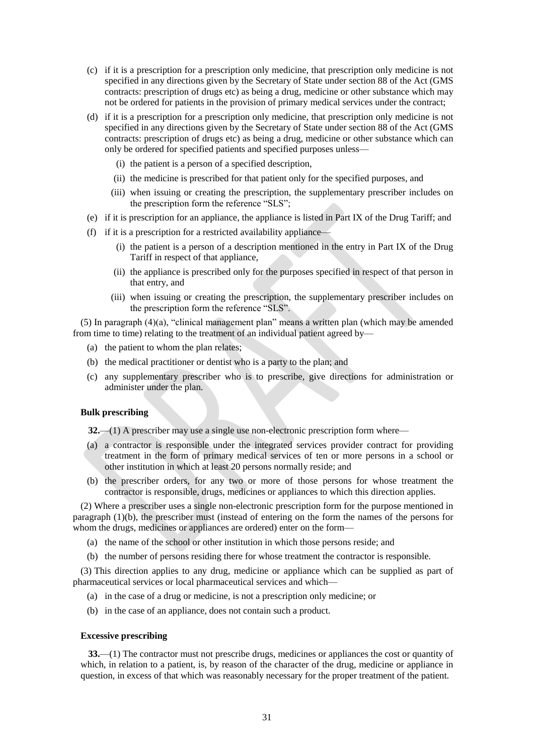- (c) if it is a prescription for a prescription only medicine, that prescription only medicine is not specified in any directions given by the Secretary of State under section 88 of the Act (GMS contracts: prescription of drugs etc) as being a drug, medicine or other substance which may not be ordered for patients in the provision of primary medical services under the contract;
- (d) if it is a prescription for a prescription only medicine, that prescription only medicine is not specified in any directions given by the Secretary of State under section 88 of the Act (GMS contracts: prescription of drugs etc) as being a drug, medicine or other substance which can only be ordered for specified patients and specified purposes unless—
	- (i) the patient is a person of a specified description,
	- (ii) the medicine is prescribed for that patient only for the specified purposes, and
	- (iii) when issuing or creating the prescription, the supplementary prescriber includes on the prescription form the reference "SLS";
- (e) if it is prescription for an appliance, the appliance is listed in Part IX of the Drug Tariff; and
- (f) if it is a prescription for a restricted availability appliance—
	- (i) the patient is a person of a description mentioned in the entry in Part IX of the Drug Tariff in respect of that appliance,
	- (ii) the appliance is prescribed only for the purposes specified in respect of that person in that entry, and
	- (iii) when issuing or creating the prescription, the supplementary prescriber includes on the prescription form the reference "SLS".

(5) In paragraph (4)(a), "clinical management plan" means a written plan (which may be amended from time to time) relating to the treatment of an individual patient agreed by—

- (a) the patient to whom the plan relates;
- (b) the medical practitioner or dentist who is a party to the plan; and
- (c) any supplementary prescriber who is to prescribe, give directions for administration or administer under the plan.

## **Bulk prescribing**

**32.**—(1) A prescriber may use a single use non-electronic prescription form where—

- (a) a contractor is responsible under the integrated services provider contract for providing treatment in the form of primary medical services of ten or more persons in a school or other institution in which at least 20 persons normally reside; and
- (b) the prescriber orders, for any two or more of those persons for whose treatment the contractor is responsible, drugs, medicines or appliances to which this direction applies.

(2) Where a prescriber uses a single non-electronic prescription form for the purpose mentioned in paragraph (1)(b), the prescriber must (instead of entering on the form the names of the persons for whom the drugs, medicines or appliances are ordered) enter on the form—

- (a) the name of the school or other institution in which those persons reside; and
- (b) the number of persons residing there for whose treatment the contractor is responsible.

(3) This direction applies to any drug, medicine or appliance which can be supplied as part of pharmaceutical services or local pharmaceutical services and which—

- (a) in the case of a drug or medicine, is not a prescription only medicine; or
- (b) in the case of an appliance, does not contain such a product.

#### **Excessive prescribing**

**33.**—(1) The contractor must not prescribe drugs, medicines or appliances the cost or quantity of which, in relation to a patient, is, by reason of the character of the drug, medicine or appliance in question, in excess of that which was reasonably necessary for the proper treatment of the patient.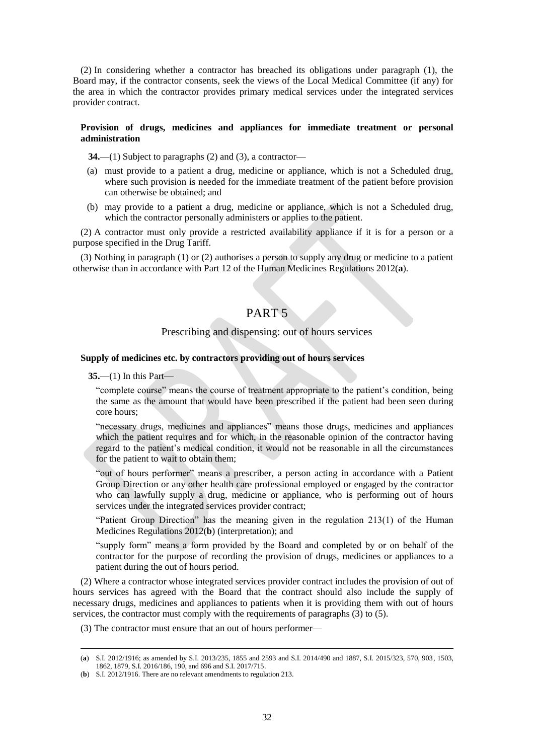(2) In considering whether a contractor has breached its obligations under paragraph (1), the Board may, if the contractor consents, seek the views of the Local Medical Committee (if any) for the area in which the contractor provides primary medical services under the integrated services provider contract.

## **Provision of drugs, medicines and appliances for immediate treatment or personal administration**

**34.**—(1) Subject to paragraphs (2) and (3), a contractor—

- (a) must provide to a patient a drug, medicine or appliance, which is not a Scheduled drug, where such provision is needed for the immediate treatment of the patient before provision can otherwise be obtained; and
- (b) may provide to a patient a drug, medicine or appliance, which is not a Scheduled drug, which the contractor personally administers or applies to the patient.

(2) A contractor must only provide a restricted availability appliance if it is for a person or a purpose specified in the Drug Tariff.

(3) Nothing in paragraph (1) or (2) authorises a person to supply any drug or medicine to a patient otherwise than in accordance with Part 12 of the Human Medicines Regulations 2012(**a**).

# PART 5

## Prescribing and dispensing: out of hours services

## **Supply of medicines etc. by contractors providing out of hours services**

**35.**—(1) In this Part—

 $\overline{a}$ 

"complete course" means the course of treatment appropriate to the patient's condition, being the same as the amount that would have been prescribed if the patient had been seen during core hours;

"necessary drugs, medicines and appliances" means those drugs, medicines and appliances which the patient requires and for which, in the reasonable opinion of the contractor having regard to the patient's medical condition, it would not be reasonable in all the circumstances for the patient to wait to obtain them;

"out of hours performer" means a prescriber, a person acting in accordance with a Patient Group Direction or any other health care professional employed or engaged by the contractor who can lawfully supply a drug, medicine or appliance, who is performing out of hours services under the integrated services provider contract;

"Patient Group Direction" has the meaning given in the regulation 213(1) of the Human Medicines Regulations 2012(**b**) (interpretation); and

"supply form" means a form provided by the Board and completed by or on behalf of the contractor for the purpose of recording the provision of drugs, medicines or appliances to a patient during the out of hours period.

(2) Where a contractor whose integrated services provider contract includes the provision of out of hours services has agreed with the Board that the contract should also include the supply of necessary drugs, medicines and appliances to patients when it is providing them with out of hours services, the contractor must comply with the requirements of paragraphs (3) to (5).

(3) The contractor must ensure that an out of hours performer—

<sup>(</sup>**a**) S.I. 2012/1916; as amended by S.I. 2013/235, 1855 and 2593 and S.I. 2014/490 and 1887, S.I. 2015/323, 570, 903, 1503, 1862, 1879, S.I. 2016/186, 190, and 696 and S.I. 2017/715.

<sup>(</sup>**b**) S.I. 2012/1916. There are no relevant amendments to regulation 213.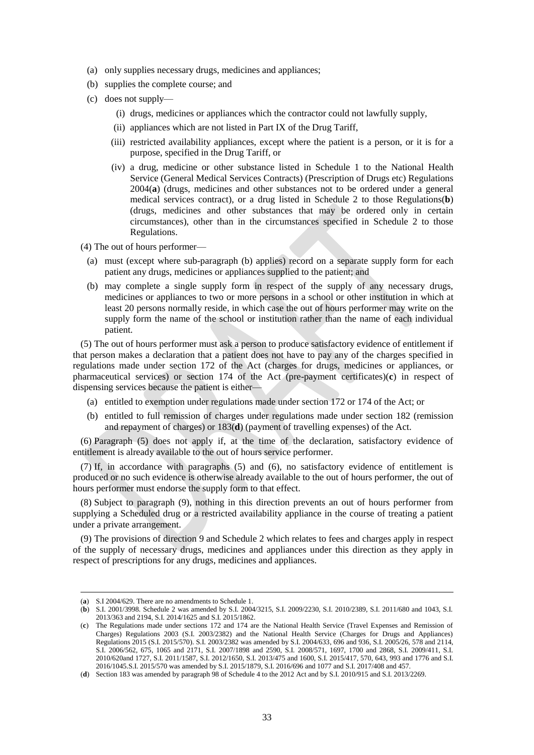- (a) only supplies necessary drugs, medicines and appliances;
- (b) supplies the complete course; and
- (c) does not supply—
	- (i) drugs, medicines or appliances which the contractor could not lawfully supply,
	- (ii) appliances which are not listed in Part IX of the Drug Tariff,
	- (iii) restricted availability appliances, except where the patient is a person, or it is for a purpose, specified in the Drug Tariff, or
	- (iv) a drug, medicine or other substance listed in Schedule 1 to the National Health Service (General Medical Services Contracts) (Prescription of Drugs etc) Regulations 2004(**a**) (drugs, medicines and other substances not to be ordered under a general medical services contract), or a drug listed in Schedule 2 to those Regulations(**b**) (drugs, medicines and other substances that may be ordered only in certain circumstances), other than in the circumstances specified in Schedule 2 to those Regulations.
- (4) The out of hours performer—
	- (a) must (except where sub-paragraph (b) applies) record on a separate supply form for each patient any drugs, medicines or appliances supplied to the patient; and
	- (b) may complete a single supply form in respect of the supply of any necessary drugs, medicines or appliances to two or more persons in a school or other institution in which at least 20 persons normally reside, in which case the out of hours performer may write on the supply form the name of the school or institution rather than the name of each individual patient.

(5) The out of hours performer must ask a person to produce satisfactory evidence of entitlement if that person makes a declaration that a patient does not have to pay any of the charges specified in regulations made under section 172 of the Act (charges for drugs, medicines or appliances, or pharmaceutical services) or section 174 of the Act (pre-payment certificates)(**c**) in respect of dispensing services because the patient is either—

- (a) entitled to exemption under regulations made under section 172 or 174 of the Act; or
- (b) entitled to full remission of charges under regulations made under section 182 (remission and repayment of charges) or 183(**d**) (payment of travelling expenses) of the Act.

(6) Paragraph (5) does not apply if, at the time of the declaration, satisfactory evidence of entitlement is already available to the out of hours service performer.

(7) If, in accordance with paragraphs (5) and (6), no satisfactory evidence of entitlement is produced or no such evidence is otherwise already available to the out of hours performer, the out of hours performer must endorse the supply form to that effect.

(8) Subject to paragraph (9), nothing in this direction prevents an out of hours performer from supplying a Scheduled drug or a restricted availability appliance in the course of treating a patient under a private arrangement.

(9) The provisions of direction 9 and Schedule 2 which relates to fees and charges apply in respect of the supply of necessary drugs, medicines and appliances under this direction as they apply in respect of prescriptions for any drugs, medicines and appliances.

<sup>(</sup>**a**) S.I 2004/629. There are no amendments to Schedule 1.

<sup>(</sup>**b**) S.I. 2001/3998. Schedule 2 was amended by S.I. 2004/3215, S.I. 2009/2230, S.I. 2010/2389, S.I. 2011/680 and 1043, S.I. 2013/363 and 2194, S.I. 2014/1625 and S.I. 2015/1862.

<sup>(</sup>**c**) The Regulations made under sections 172 and 174 are the National Health Service (Travel Expenses and Remission of Charges) Regulations 2003 (S.I. 2003/2382) and the National Health Service (Charges for Drugs and Appliances) Regulations 2015 (S.I. 2015/570). S.I. 2003/2382 was amended by S.I. 2004/633, 696 and 936, S.I. 2005/26, 578 and 2114, S.I. 2006/562, 675, 1065 and 2171, S.I. 2007/1898 and 2590, S.I. 2008/571, 1697, 1700 and 2868, S.I. 2009/411, S.I. 2010/620and 1727, S.I. 2011/1587, S.I. 2012/1650, S.I. 2013/475 and 1600, S.I. 2015/417, 570, 643, 993 and 1776 and S.I. 2016/1045.S.I. 2015/570 was amended by S.I. 2015/1879, S.I. 2016/696 and 1077 and S.I. 2017/408 and 457.

<sup>(</sup>**d**) Section 183 was amended by paragraph 98 of Schedule 4 to the 2012 Act and by S.I. 2010/915 and S.I. 2013/2269.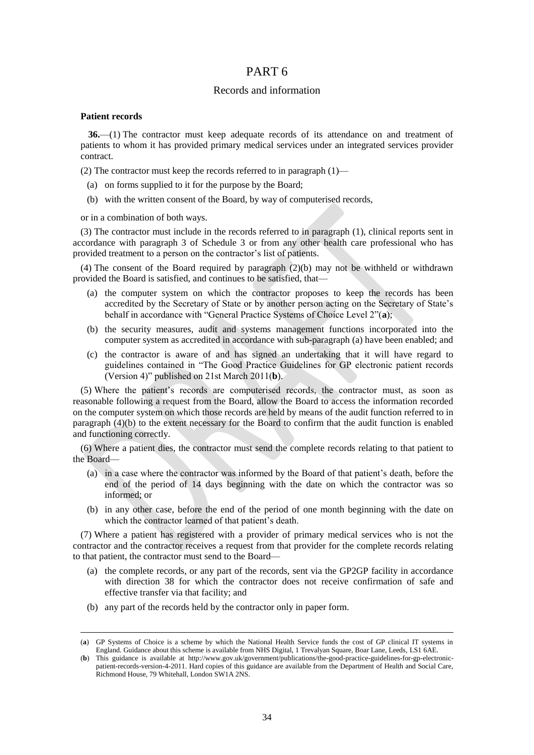# PART 6

# Records and information

## **Patient records**

 $\overline{a}$ 

**36.**—(1) The contractor must keep adequate records of its attendance on and treatment of patients to whom it has provided primary medical services under an integrated services provider contract.

(2) The contractor must keep the records referred to in paragraph (1)—

- (a) on forms supplied to it for the purpose by the Board;
- (b) with the written consent of the Board, by way of computerised records,

or in a combination of both ways.

(3) The contractor must include in the records referred to in paragraph (1), clinical reports sent in accordance with paragraph 3 of Schedule 3 or from any other health care professional who has provided treatment to a person on the contractor's list of patients.

(4) The consent of the Board required by paragraph (2)(b) may not be withheld or withdrawn provided the Board is satisfied, and continues to be satisfied, that—

- (a) the computer system on which the contractor proposes to keep the records has been accredited by the Secretary of State or by another person acting on the Secretary of State's behalf in accordance with "General Practice Systems of Choice Level 2"(**a**);
- (b) the security measures, audit and systems management functions incorporated into the computer system as accredited in accordance with sub-paragraph (a) have been enabled; and
- (c) the contractor is aware of and has signed an undertaking that it will have regard to guidelines contained in "The Good Practice Guidelines for GP electronic patient records (Version 4)" published on 21st March 2011(**b**).

(5) Where the patient's records are computerised records, the contractor must, as soon as reasonable following a request from the Board, allow the Board to access the information recorded on the computer system on which those records are held by means of the audit function referred to in paragraph (4)(b) to the extent necessary for the Board to confirm that the audit function is enabled and functioning correctly.

(6) Where a patient dies, the contractor must send the complete records relating to that patient to the Board—

- (a) in a case where the contractor was informed by the Board of that patient's death, before the end of the period of 14 days beginning with the date on which the contractor was so informed; or
- (b) in any other case, before the end of the period of one month beginning with the date on which the contractor learned of that patient's death.

(7) Where a patient has registered with a provider of primary medical services who is not the contractor and the contractor receives a request from that provider for the complete records relating to that patient, the contractor must send to the Board—

- (a) the complete records, or any part of the records, sent via the GP2GP facility in accordance with direction 38 for which the contractor does not receive confirmation of safe and effective transfer via that facility; and
- (b) any part of the records held by the contractor only in paper form.

<sup>(</sup>**a**) GP Systems of Choice is a scheme by which the National Health Service funds the cost of GP clinical IT systems in England. Guidance about this scheme is available from NHS Digital, 1 Trevalyan Square, Boar Lane, Leeds, LS1 6AE.

<sup>(</sup>**b**) This guidance is available at [http://www.gov.uk/government/publications/the-good-practice-guidelines-for-gp-electronic](http://www.gov.uk/government/publications/the-good-practice-guidelines-for-gp-electronic-patient-records-version-4-2011)[patient-records-version-4-2011.](http://www.gov.uk/government/publications/the-good-practice-guidelines-for-gp-electronic-patient-records-version-4-2011) Hard copies of this guidance are available from the Department of Health and Social Care, Richmond House, 79 Whitehall, London SW1A 2NS.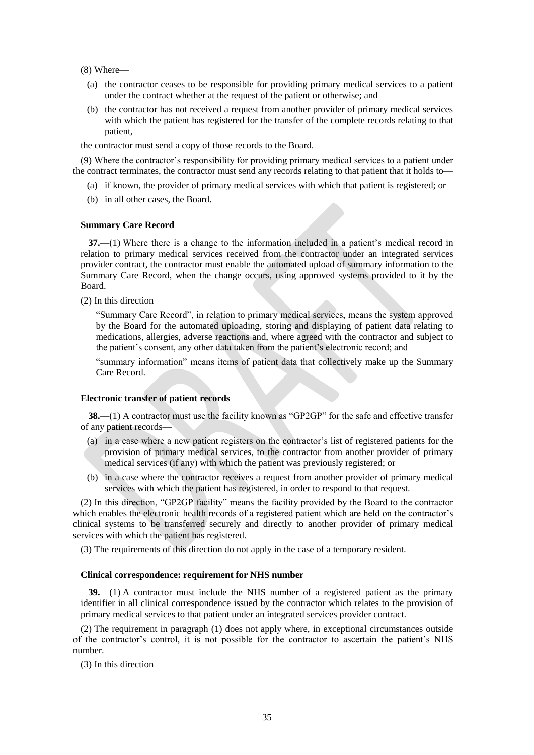(8) Where—

- (a) the contractor ceases to be responsible for providing primary medical services to a patient under the contract whether at the request of the patient or otherwise; and
- (b) the contractor has not received a request from another provider of primary medical services with which the patient has registered for the transfer of the complete records relating to that patient,

the contractor must send a copy of those records to the Board.

(9) Where the contractor's responsibility for providing primary medical services to a patient under the contract terminates, the contractor must send any records relating to that patient that it holds to—

- (a) if known, the provider of primary medical services with which that patient is registered; or
- (b) in all other cases, the Board.

## **Summary Care Record**

**37.**—(1) Where there is a change to the information included in a patient's medical record in relation to primary medical services received from the contractor under an integrated services provider contract, the contractor must enable the automated upload of summary information to the Summary Care Record, when the change occurs, using approved systems provided to it by the Board.

(2) In this direction—

"Summary Care Record", in relation to primary medical services, means the system approved by the Board for the automated uploading, storing and displaying of patient data relating to medications, allergies, adverse reactions and, where agreed with the contractor and subject to the patient's consent, any other data taken from the patient's electronic record; and

"summary information" means items of patient data that collectively make up the Summary Care Record.

## **Electronic transfer of patient records**

**38.**—(1) A contractor must use the facility known as "GP2GP" for the safe and effective transfer of any patient records—

- (a) in a case where a new patient registers on the contractor's list of registered patients for the provision of primary medical services, to the contractor from another provider of primary medical services (if any) with which the patient was previously registered; or
- (b) in a case where the contractor receives a request from another provider of primary medical services with which the patient has registered, in order to respond to that request.

(2) In this direction, "GP2GP facility" means the facility provided by the Board to the contractor which enables the electronic health records of a registered patient which are held on the contractor's clinical systems to be transferred securely and directly to another provider of primary medical services with which the patient has registered.

(3) The requirements of this direction do not apply in the case of a temporary resident.

## **Clinical correspondence: requirement for NHS number**

**39.**—(1) A contractor must include the NHS number of a registered patient as the primary identifier in all clinical correspondence issued by the contractor which relates to the provision of primary medical services to that patient under an integrated services provider contract.

(2) The requirement in paragraph (1) does not apply where, in exceptional circumstances outside of the contractor's control, it is not possible for the contractor to ascertain the patient's NHS number.

(3) In this direction—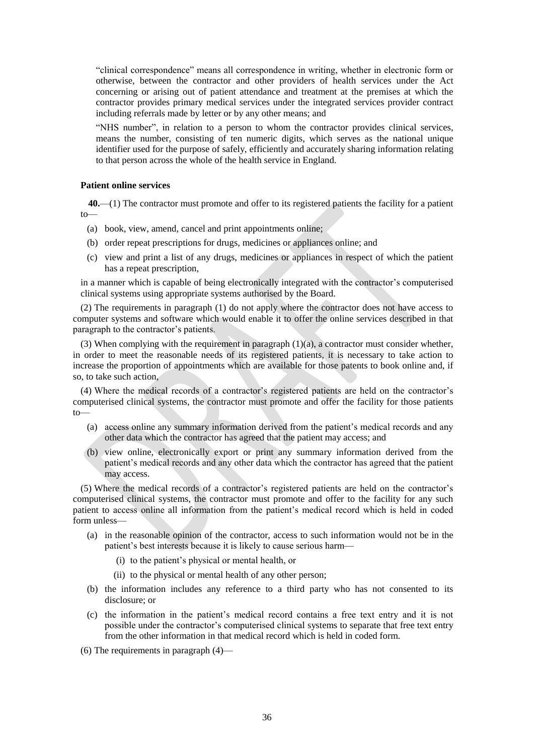"clinical correspondence" means all correspondence in writing, whether in electronic form or otherwise, between the contractor and other providers of health services under the Act concerning or arising out of patient attendance and treatment at the premises at which the contractor provides primary medical services under the integrated services provider contract including referrals made by letter or by any other means; and

"NHS number", in relation to a person to whom the contractor provides clinical services, means the number, consisting of ten numeric digits, which serves as the national unique identifier used for the purpose of safely, efficiently and accurately sharing information relating to that person across the whole of the health service in England.

## **Patient online services**

**40.**—(1) The contractor must promote and offer to its registered patients the facility for a patient to—

- (a) book, view, amend, cancel and print appointments online;
- (b) order repeat prescriptions for drugs, medicines or appliances online; and
- (c) view and print a list of any drugs, medicines or appliances in respect of which the patient has a repeat prescription,

in a manner which is capable of being electronically integrated with the contractor's computerised clinical systems using appropriate systems authorised by the Board.

(2) The requirements in paragraph (1) do not apply where the contractor does not have access to computer systems and software which would enable it to offer the online services described in that paragraph to the contractor's patients.

(3) When complying with the requirement in paragraph (1)(a), a contractor must consider whether, in order to meet the reasonable needs of its registered patients, it is necessary to take action to increase the proportion of appointments which are available for those patents to book online and, if so, to take such action,

(4) Where the medical records of a contractor's registered patients are held on the contractor's computerised clinical systems, the contractor must promote and offer the facility for those patients to—

- (a) access online any summary information derived from the patient's medical records and any other data which the contractor has agreed that the patient may access; and
- (b) view online, electronically export or print any summary information derived from the patient's medical records and any other data which the contractor has agreed that the patient may access.

(5) Where the medical records of a contractor's registered patients are held on the contractor's computerised clinical systems, the contractor must promote and offer to the facility for any such patient to access online all information from the patient's medical record which is held in coded form unless—

- (a) in the reasonable opinion of the contractor, access to such information would not be in the patient's best interests because it is likely to cause serious harm—
	- (i) to the patient's physical or mental health, or
	- (ii) to the physical or mental health of any other person;
- (b) the information includes any reference to a third party who has not consented to its disclosure; or
- (c) the information in the patient's medical record contains a free text entry and it is not possible under the contractor's computerised clinical systems to separate that free text entry from the other information in that medical record which is held in coded form.
- (6) The requirements in paragraph (4)—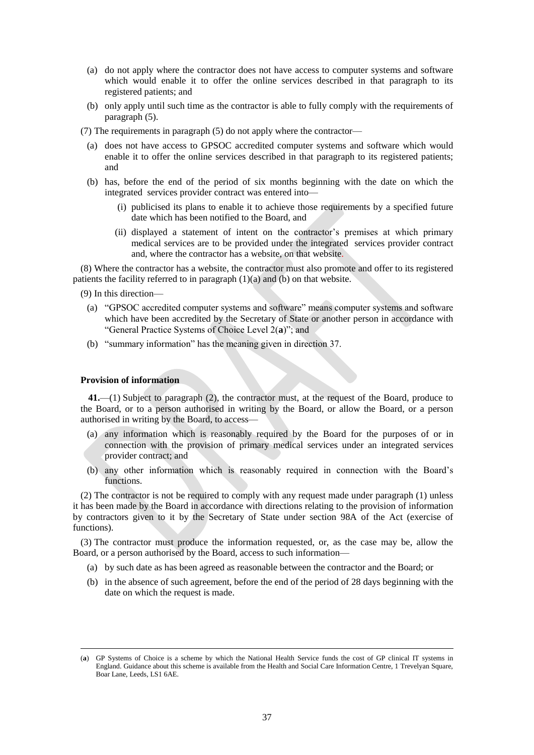- (a) do not apply where the contractor does not have access to computer systems and software which would enable it to offer the online services described in that paragraph to its registered patients; and
- (b) only apply until such time as the contractor is able to fully comply with the requirements of paragraph (5).
- (7) The requirements in paragraph (5) do not apply where the contractor—
	- (a) does not have access to GPSOC accredited computer systems and software which would enable it to offer the online services described in that paragraph to its registered patients; and
	- (b) has, before the end of the period of six months beginning with the date on which the integrated services provider contract was entered into—
		- (i) publicised its plans to enable it to achieve those requirements by a specified future date which has been notified to the Board, and
		- (ii) displayed a statement of intent on the contractor's premises at which primary medical services are to be provided under the integrated services provider contract and, where the contractor has a website, on that website.

(8) Where the contractor has a website, the contractor must also promote and offer to its registered patients the facility referred to in paragraph (1)(a) and (b) on that website.

(9) In this direction—

- (a) "GPSOC accredited computer systems and software" means computer systems and software which have been accredited by the Secretary of State or another person in accordance with "General Practice Systems of Choice Level 2(**a**)"; and
- (b) "summary information" has the meaning given in direction 37.

#### **Provision of information**

 $\overline{a}$ 

**41.**—(1) Subject to paragraph (2), the contractor must, at the request of the Board, produce to the Board, or to a person authorised in writing by the Board, or allow the Board, or a person authorised in writing by the Board, to access—

- (a) any information which is reasonably required by the Board for the purposes of or in connection with the provision of primary medical services under an integrated services provider contract; and
- (b) any other information which is reasonably required in connection with the Board's functions.

(2) The contractor is not be required to comply with any request made under paragraph (1) unless it has been made by the Board in accordance with directions relating to the provision of information by contractors given to it by the Secretary of State under section 98A of the Act (exercise of functions).

(3) The contractor must produce the information requested, or, as the case may be, allow the Board, or a person authorised by the Board, access to such information—

- (a) by such date as has been agreed as reasonable between the contractor and the Board; or
- (b) in the absence of such agreement, before the end of the period of 28 days beginning with the date on which the request is made.

<sup>(</sup>**a**) GP Systems of Choice is a scheme by which the National Health Service funds the cost of GP clinical IT systems in England. Guidance about this scheme is available from the Health and Social Care Information Centre, 1 Trevelyan Square, Boar Lane, Leeds, LS1 6AE.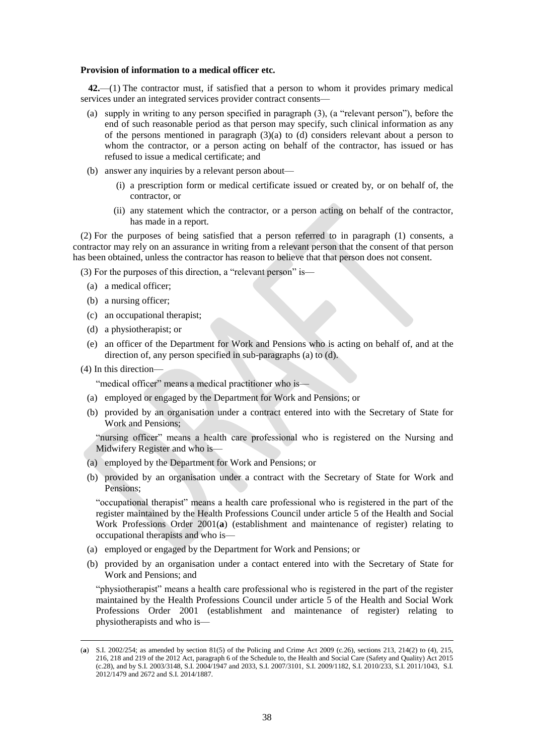## **Provision of information to a medical officer etc.**

**42.**—(1) The contractor must, if satisfied that a person to whom it provides primary medical services under an integrated services provider contract consents—

- (a) supply in writing to any person specified in paragraph (3), (a "relevant person"), before the end of such reasonable period as that person may specify, such clinical information as any of the persons mentioned in paragraph  $(3)(a)$  to  $(d)$  considers relevant about a person to whom the contractor, or a person acting on behalf of the contractor, has issued or has refused to issue a medical certificate; and
- (b) answer any inquiries by a relevant person about—
	- (i) a prescription form or medical certificate issued or created by, or on behalf of, the contractor, or
	- (ii) any statement which the contractor, or a person acting on behalf of the contractor, has made in a report.

(2) For the purposes of being satisfied that a person referred to in paragraph (1) consents, a contractor may rely on an assurance in writing from a relevant person that the consent of that person has been obtained, unless the contractor has reason to believe that that person does not consent.

(3) For the purposes of this direction, a "relevant person" is—

- (a) a medical officer;
- (b) a nursing officer;
- (c) an occupational therapist;
- (d) a physiotherapist; or
- (e) an officer of the Department for Work and Pensions who is acting on behalf of, and at the direction of, any person specified in sub-paragraphs (a) to (d).
- (4) In this direction—

 $\overline{a}$ 

"medical officer" means a medical practitioner who is—

- (a) employed or engaged by the Department for Work and Pensions; or
- (b) provided by an organisation under a contract entered into with the Secretary of State for Work and Pensions;

"nursing officer" means a health care professional who is registered on the Nursing and Midwifery Register and who is—

- (a) employed by the Department for Work and Pensions; or
- (b) provided by an organisation under a contract with the Secretary of State for Work and Pensions;

"occupational therapist" means a health care professional who is registered in the part of the register maintained by the Health Professions Council under article 5 of the Health and Social Work Professions Order 2001(**a**) (establishment and maintenance of register) relating to occupational therapists and who is—

- (a) employed or engaged by the Department for Work and Pensions; or
- (b) provided by an organisation under a contact entered into with the Secretary of State for Work and Pensions; and

"physiotherapist" means a health care professional who is registered in the part of the register maintained by the Health Professions Council under article 5 of the Health and Social Work Professions Order 2001 (establishment and maintenance of register) relating to physiotherapists and who is—

<sup>(</sup>**a**) S.I. 2002/254; as amended by section 81(5) of the Policing and Crime Act 2009 (c.26), sections 213, 214(2) to (4), 215, 216, 218 and 219 of the 2012 Act, paragraph 6 of the Schedule to, the Health and Social Care (Safety and Quality) Act 2015 (c.28), and by S.I. 2003/3148, S.I. 2004/1947 and 2033, S.I. 2007/3101, S.I. 2009/1182, S.I. 2010/233, S.I. 2011/1043, S.I. 2012/1479 and 2672 and S.I. 2014/1887.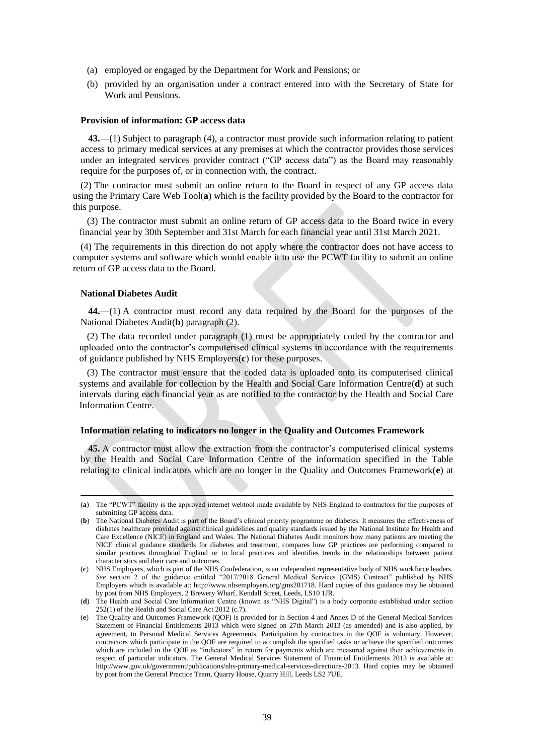- (a) employed or engaged by the Department for Work and Pensions; or
- (b) provided by an organisation under a contract entered into with the Secretary of State for Work and Pensions.

#### **Provision of information: GP access data**

**43.**—(1) Subject to paragraph (4), a contractor must provide such information relating to patient access to primary medical services at any premises at which the contractor provides those services under an integrated services provider contract ("GP access data") as the Board may reasonably require for the purposes of, or in connection with, the contract.

(2) The contractor must submit an online return to the Board in respect of any GP access data using the Primary Care Web Tool(**a**) which is the facility provided by the Board to the contractor for this purpose.

(3) The contractor must submit an online return of GP access data to the Board twice in every financial year by 30th September and 31st March for each financial year until 31st March 2021.

(4) The requirements in this direction do not apply where the contractor does not have access to computer systems and software which would enable it to use the PCWT facility to submit an online return of GP access data to the Board.

## **National Diabetes Audit**

 $\overline{a}$ 

**44.**—(1) A contractor must record any data required by the Board for the purposes of the National Diabetes Audit(**b**) paragraph (2).

(2) The data recorded under paragraph (1) must be appropriately coded by the contractor and uploaded onto the contractor's computerised clinical systems in accordance with the requirements of guidance published by NHS Employers(**c**) for these purposes.

(3) The contractor must ensure that the coded data is uploaded onto its computerised clinical systems and available for collection by the Health and Social Care Information Centre(**d**) at such intervals during each financial year as are notified to the contractor by the Health and Social Care Information Centre.

## **Information relating to indicators no longer in the Quality and Outcomes Framework**

**45.** A contractor must allow the extraction from the contractor's computerised clinical systems by the Health and Social Care Information Centre of the information specified in the Table relating to clinical indicators which are no longer in the Quality and Outcomes Framework(**e**) at

<sup>(</sup>**a**) The "PCWT" facility is the approved internet webtool made available by NHS England to contractors for the purposes of submitting GP access data.

<sup>(</sup>**b**) The National Diabetes Audit is part of the Board's clinical priority programme on diabetes. It measures the effectiveness of diabetes healthcare provided against clinical guidelines and quality standards issued by the National Institute for Health and Care Excellence (NICE) in England and Wales. The National Diabetes Audit monitors how many patients are meeting the NICE clinical guidance standards for diabetes and treatment, compares how GP practices are performing compared to similar practices throughout England or to local practices and identifies trends in the relationships between patient characteristics and their care and outcomes.

<sup>(</sup>**c**) NHS Employers, which is part of the NHS Confederation, is an independent representative body of NHS workforce leaders. *See* section 2 of the guidance entitled "2017/2018 General Medical Services (GMS) Contract" published by NHS Employers which is available at: [http://www.nhsemployers.org/gms201718.](http://www.nhsemployers.org/gms201718) Hard copies of this guidance may be obtained by post from NHS Employers, 2 Brewery Wharf, Kendall Street, Leeds, LS10 1JR.

<sup>(</sup>**d**) The Health and Social Care Information Centre (known as "NHS Digital") is a body corporate established under section 252(1) of the Health and Social Care Act 2012 (c.7).

<sup>(</sup>**e**) The Quality and Outcomes Framework (QOF) is provided for in Section 4 and Annex D of the General Medical Services Statement of Financial Entitlements 2013 which were signed on 27th March 2013 (as amended) and is also applied, by agreement, to Personal Medical Services Agreements. Participation by contractors in the QOF is voluntary. However, contractors which participate in the QOF are required to accomplish the specified tasks or achieve the specified outcomes which are included in the QOF as "indicators" in return for payments which are measured against their achievements in respect of particular indicators. The General Medical Services Statement of Financial Entitlements 2013 is available at: [http://www.gov.uk/government/publications/nhs-primary-medical-services-directions-2013.](http://www.gov.uk/government/publications/nhs-primary-medical-services-directions-2013) Hard copies may be obtained by post from the General Practice Team, Quarry House, Quarry Hill, Leeds LS2 7UE.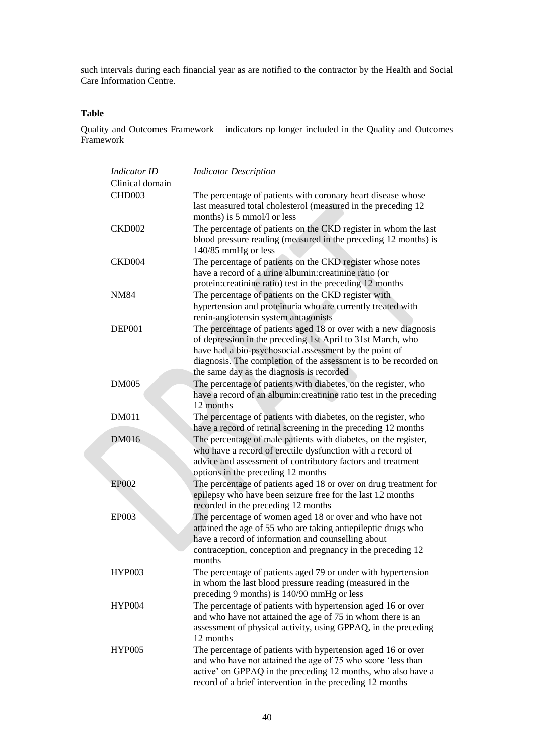such intervals during each financial year as are notified to the contractor by the Health and Social Care Information Centre.

## **Table**

Quality and Outcomes Framework – indicators np longer included in the Quality and Outcomes Framework

| <b>Indicator ID</b> | <b>Indicator Description</b>                                                                                                                                                                                                                                                                              |
|---------------------|-----------------------------------------------------------------------------------------------------------------------------------------------------------------------------------------------------------------------------------------------------------------------------------------------------------|
| Clinical domain     |                                                                                                                                                                                                                                                                                                           |
| CHD <sub>003</sub>  | The percentage of patients with coronary heart disease whose<br>last measured total cholesterol (measured in the preceding 12<br>months) is 5 mmol/l or less                                                                                                                                              |
| <b>CKD002</b>       | The percentage of patients on the CKD register in whom the last<br>blood pressure reading (measured in the preceding 12 months) is<br>140/85 mmHg or less                                                                                                                                                 |
| CKD004              | The percentage of patients on the CKD register whose notes<br>have a record of a urine albumin: creatinine ratio (or<br>protein: creatinine ratio) test in the preceding 12 months                                                                                                                        |
| <b>NM84</b>         | The percentage of patients on the CKD register with<br>hypertension and proteinuria who are currently treated with<br>renin-angiotensin system antagonists                                                                                                                                                |
| DEP001              | The percentage of patients aged 18 or over with a new diagnosis<br>of depression in the preceding 1st April to 31st March, who<br>have had a bio-psychosocial assessment by the point of<br>diagnosis. The completion of the assessment is to be recorded on<br>the same day as the diagnosis is recorded |
| <b>DM005</b>        | The percentage of patients with diabetes, on the register, who<br>have a record of an albumin: creatinine ratio test in the preceding<br>12 months                                                                                                                                                        |
| <b>DM011</b>        | The percentage of patients with diabetes, on the register, who<br>have a record of retinal screening in the preceding 12 months                                                                                                                                                                           |
| <b>DM016</b>        | The percentage of male patients with diabetes, on the register,<br>who have a record of erectile dysfunction with a record of<br>advice and assessment of contributory factors and treatment<br>options in the preceding 12 months                                                                        |
| <b>EP002</b>        | The percentage of patients aged 18 or over on drug treatment for<br>epilepsy who have been seizure free for the last 12 months<br>recorded in the preceding 12 months                                                                                                                                     |
| EP003               | The percentage of women aged 18 or over and who have not<br>attained the age of 55 who are taking antiepileptic drugs who<br>have a record of information and counselling about<br>contraception, conception and pregnancy in the preceding 12<br>months                                                  |
| <b>HYP003</b>       | The percentage of patients aged 79 or under with hypertension<br>in whom the last blood pressure reading (measured in the<br>preceding 9 months) is 140/90 mmHg or less                                                                                                                                   |
| <b>HYP004</b>       | The percentage of patients with hypertension aged 16 or over<br>and who have not attained the age of 75 in whom there is an<br>assessment of physical activity, using GPPAQ, in the preceding<br>12 months                                                                                                |
| <b>HYP005</b>       | The percentage of patients with hypertension aged 16 or over<br>and who have not attained the age of 75 who score 'less than<br>active' on GPPAQ in the preceding 12 months, who also have a<br>record of a brief intervention in the preceding 12 months                                                 |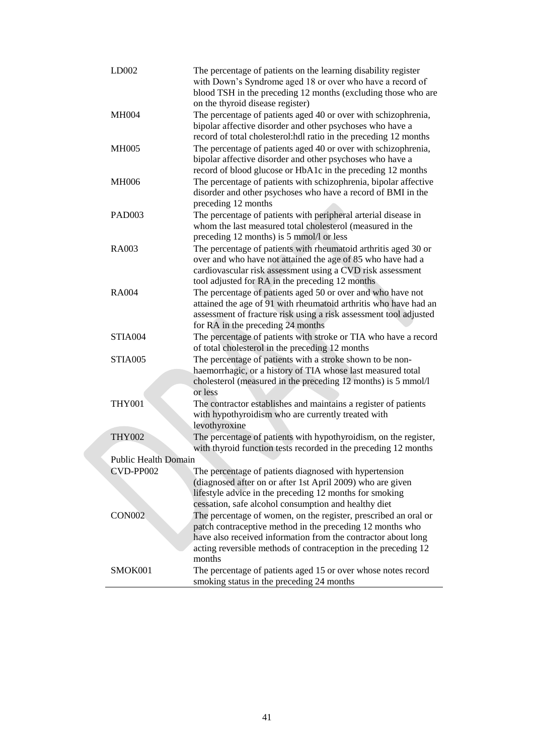| LD002                       | The percentage of patients on the learning disability register<br>with Down's Syndrome aged 18 or over who have a record of<br>blood TSH in the preceding 12 months (excluding those who are<br>on the thyroid disease register)                                          |
|-----------------------------|---------------------------------------------------------------------------------------------------------------------------------------------------------------------------------------------------------------------------------------------------------------------------|
| <b>MH004</b>                | The percentage of patients aged 40 or over with schizophrenia,<br>bipolar affective disorder and other psychoses who have a<br>record of total cholesterol:hdl ratio in the preceding 12 months                                                                           |
| <b>MH005</b>                | The percentage of patients aged 40 or over with schizophrenia,<br>bipolar affective disorder and other psychoses who have a<br>record of blood glucose or HbA1c in the preceding 12 months                                                                                |
| <b>MH006</b>                | The percentage of patients with schizophrenia, bipolar affective<br>disorder and other psychoses who have a record of BMI in the<br>preceding 12 months                                                                                                                   |
| <b>PAD003</b>               | The percentage of patients with peripheral arterial disease in<br>whom the last measured total cholesterol (measured in the<br>preceding 12 months) is 5 mmol/l or less                                                                                                   |
| <b>RA003</b>                | The percentage of patients with rheumatoid arthritis aged 30 or<br>over and who have not attained the age of 85 who have had a<br>cardiovascular risk assessment using a CVD risk assessment<br>tool adjusted for RA in the preceding 12 months                           |
| RA004                       | The percentage of patients aged 50 or over and who have not<br>attained the age of 91 with rheumatoid arthritis who have had an<br>assessment of fracture risk using a risk assessment tool adjusted<br>for RA in the preceding 24 months                                 |
| STIA004                     | The percentage of patients with stroke or TIA who have a record<br>of total cholesterol in the preceding 12 months                                                                                                                                                        |
| STIA005                     | The percentage of patients with a stroke shown to be non-<br>haemorrhagic, or a history of TIA whose last measured total<br>cholesterol (measured in the preceding 12 months) is 5 mmol/l<br>or less                                                                      |
| <b>THY001</b>               | The contractor establishes and maintains a register of patients<br>with hypothyroidism who are currently treated with<br>levothyroxine                                                                                                                                    |
| <b>THY002</b>               | The percentage of patients with hypothyroidism, on the register,<br>with thyroid function tests recorded in the preceding 12 months                                                                                                                                       |
| <b>Public Health Domain</b> |                                                                                                                                                                                                                                                                           |
| CVD-PP002                   | The percentage of patients diagnosed with hypertension                                                                                                                                                                                                                    |
|                             | (diagnosed after on or after 1st April 2009) who are given<br>lifestyle advice in the preceding 12 months for smoking<br>cessation, safe alcohol consumption and healthy diet                                                                                             |
| <b>CON002</b>               | The percentage of women, on the register, prescribed an oral or<br>patch contraceptive method in the preceding 12 months who<br>have also received information from the contractor about long<br>acting reversible methods of contraception in the preceding 12<br>months |
| SMOK001                     | The percentage of patients aged 15 or over whose notes record<br>smoking status in the preceding 24 months                                                                                                                                                                |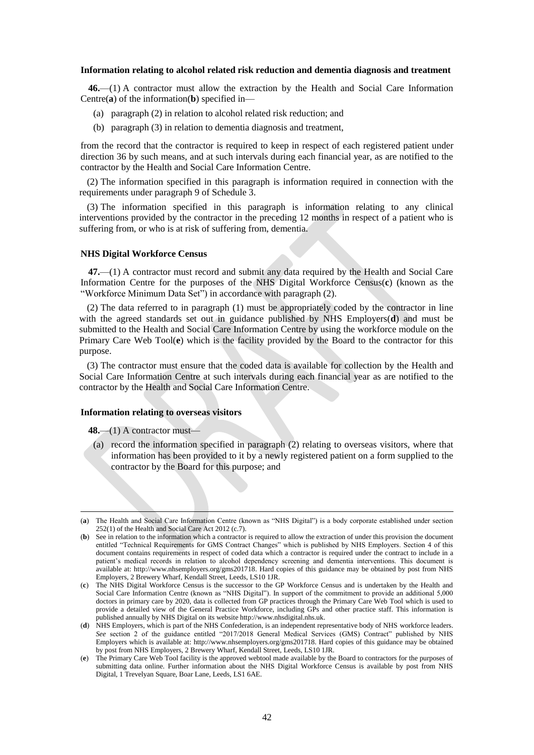#### **Information relating to alcohol related risk reduction and dementia diagnosis and treatment**

**46.**—(1) A contractor must allow the extraction by the Health and Social Care Information Centre(**a**) of the information(**b**) specified in—

- (a) paragraph (2) in relation to alcohol related risk reduction; and
- (b) paragraph (3) in relation to dementia diagnosis and treatment,

from the record that the contractor is required to keep in respect of each registered patient under direction 36 by such means, and at such intervals during each financial year, as are notified to the contractor by the Health and Social Care Information Centre.

(2) The information specified in this paragraph is information required in connection with the requirements under paragraph 9 of Schedule 3.

(3) The information specified in this paragraph is information relating to any clinical interventions provided by the contractor in the preceding 12 months in respect of a patient who is suffering from, or who is at risk of suffering from, dementia.

#### **NHS Digital Workforce Census**

**47.**—(1) A contractor must record and submit any data required by the Health and Social Care Information Centre for the purposes of the NHS Digital Workforce Census(**c**) (known as the "Workforce Minimum Data Set") in accordance with paragraph (2).

(2) The data referred to in paragraph (1) must be appropriately coded by the contractor in line with the agreed standards set out in guidance published by NHS Employers(**d**) and must be submitted to the Health and Social Care Information Centre by using the workforce module on the Primary Care Web Tool(**e**) which is the facility provided by the Board to the contractor for this purpose.

(3) The contractor must ensure that the coded data is available for collection by the Health and Social Care Information Centre at such intervals during each financial year as are notified to the contractor by the Health and Social Care Information Centre.

#### **Information relating to overseas visitors**

**48.**—(1) A contractor must—

 $\overline{a}$ 

(a) record the information specified in paragraph (2) relating to overseas visitors, where that information has been provided to it by a newly registered patient on a form supplied to the contractor by the Board for this purpose; and

<sup>(</sup>**a**) The Health and Social Care Information Centre (known as "NHS Digital") is a body corporate established under section 252(1) of the Health and Social Care Act 2012 (c.7).

<sup>(</sup>**b**) See in relation to the information which a contractor is required to allow the extraction of under this provision the document entitled "Technical Requirements for GMS Contract Changes" which is published by NHS Employers. Section 4 of this document contains requirements in respect of coded data which a contractor is required under the contract to include in a patient's medical records in relation to alcohol dependency screening and dementia interventions. This document is available at: [http://www.nhsemployers.org/gms201718.](http://www.nhsemployers.org/gms201718) Hard copies of this guidance may be obtained by post from NHS Employers, 2 Brewery Wharf, Kendall Street, Leeds, LS10 1JR.

<sup>(</sup>**c**) The NHS Digital Workforce Census is the successor to the GP Workforce Census and is undertaken by the Health and Social Care Information Centre (known as "NHS Digital"). In support of the commitment to provide an additional 5,000 doctors in primary care by 2020, data is collected from GP practices through the Primary Care Web Tool which is used to provide a detailed view of the General Practice Workforce, including GPs and other practice staff. This information is published annually by NHS Digital on its website http://www.nhsdigital.nhs.uk.

<sup>(</sup>**d**) NHS Employers, which is part of the NHS Confederation, is an independent representative body of NHS workforce leaders. *See* section 2 of the guidance entitled "2017/2018 General Medical Services (GMS) Contract" published by NHS Employers which is available at: [http://www.nhsemployers.org/gms201718.](http://www.nhsemployers.org/gms201718) Hard copies of this guidance may be obtained by post from NHS Employers, 2 Brewery Wharf, Kendall Street, Leeds, LS10 1JR.

<sup>(</sup>**e**) The Primary Care Web Tool facility is the approved webtool made available by the Board to contractors for the purposes of submitting data online. Further information about the NHS Digital Workforce Census is available by post from NHS Digital, 1 Trevelyan Square, Boar Lane, Leeds, LS1 6AE.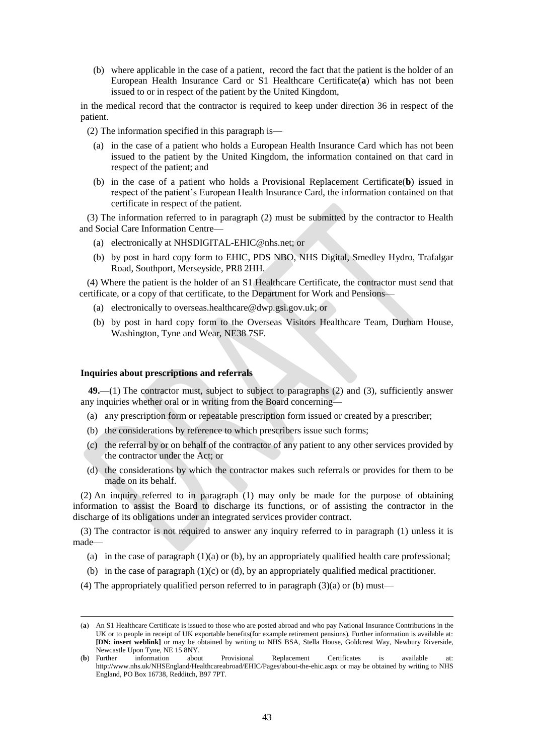(b) where applicable in the case of a patient, record the fact that the patient is the holder of an European Health Insurance Card or S1 Healthcare Certificate(**a**) which has not been issued to or in respect of the patient by the United Kingdom,

in the medical record that the contractor is required to keep under direction 36 in respect of the patient.

(2) The information specified in this paragraph is—

- (a) in the case of a patient who holds a European Health Insurance Card which has not been issued to the patient by the United Kingdom, the information contained on that card in respect of the patient; and
- (b) in the case of a patient who holds a Provisional Replacement Certificate(**b**) issued in respect of the patient's European Health Insurance Card, the information contained on that certificate in respect of the patient.

(3) The information referred to in paragraph (2) must be submitted by the contractor to Health and Social Care Information Centre—

- (a) electronically at [NHSDIGITAL-EHIC@nhs.net;](mailto:NHSDIGITAL-EHIC@nhs.net) or
- (b) by post in hard copy form to EHIC, PDS NBO, NHS Digital, Smedley Hydro, Trafalgar Road, Southport, Merseyside, PR8 2HH.

(4) Where the patient is the holder of an S1 Healthcare Certificate, the contractor must send that certificate, or a copy of that certificate, to the Department for Work and Pensions—

- (a) electronically to [overseas.healthcare@dwp.gsi.gov.uk;](mailto:overseas.healthcare@dwp.gsi.gov.uk) or
- (b) by post in hard copy form to the Overseas Visitors Healthcare Team, Durham House, Washington, Tyne and Wear, NE38 7SF.

#### **Inquiries about prescriptions and referrals**

 $\overline{a}$ 

**49.**—(1) The contractor must, subject to subject to paragraphs (2) and (3), sufficiently answer any inquiries whether oral or in writing from the Board concerning—

- (a) any prescription form or repeatable prescription form issued or created by a prescriber;
- (b) the considerations by reference to which prescribers issue such forms;
- (c) the referral by or on behalf of the contractor of any patient to any other services provided by the contractor under the Act; or
- (d) the considerations by which the contractor makes such referrals or provides for them to be made on its behalf.

(2) An inquiry referred to in paragraph (1) may only be made for the purpose of obtaining information to assist the Board to discharge its functions, or of assisting the contractor in the discharge of its obligations under an integrated services provider contract.

(3) The contractor is not required to answer any inquiry referred to in paragraph (1) unless it is made—

- (a) in the case of paragraph  $(1)(a)$  or  $(b)$ , by an appropriately qualified health care professional;
- (b) in the case of paragraph  $(1)(c)$  or  $(d)$ , by an appropriately qualified medical practitioner.
- (4) The appropriately qualified person referred to in paragraph  $(3)(a)$  or (b) must—

<sup>(</sup>**a**) An S1 Healthcare Certificate is issued to those who are posted abroad and who pay National Insurance Contributions in the UK or to people in receipt of UK exportable benefits(for example retirement pensions). Further information is available at: **[DN: insert weblink]** or may be obtained by writing to NHS BSA, Stella House, Goldcrest Way, Newbury Riverside, Newcastle Upon Tyne, NE 15 8NY.

<sup>(</sup>**b**) Further information about Provisional Replacement Certificates is available at: <http://www.nhs.uk/NHSEngland/Healthcareabroad/EHIC/Pages/about-the-ehic.aspx> or may be obtained by writing to NHS England, PO Box 16738, Redditch, B97 7PT.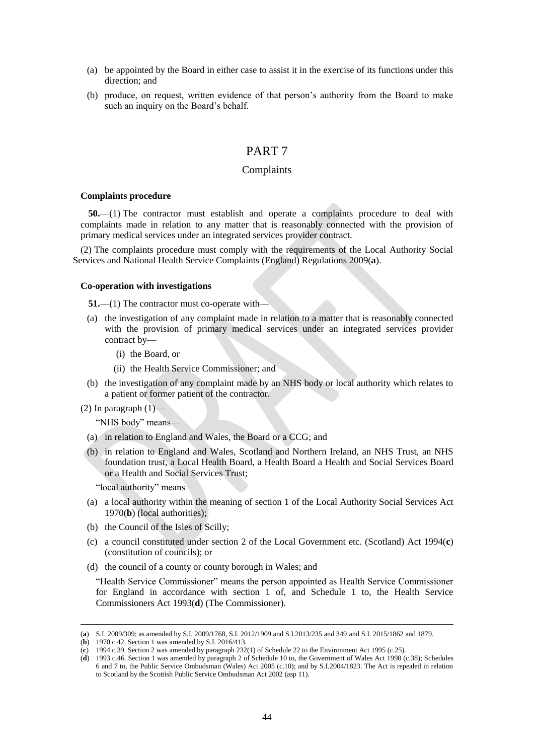- (a) be appointed by the Board in either case to assist it in the exercise of its functions under this direction; and
- (b) produce, on request, written evidence of that person's authority from the Board to make such an inquiry on the Board's behalf.

# PART 7

## Complaints

#### **Complaints procedure**

**50.**—(1) The contractor must establish and operate a complaints procedure to deal with complaints made in relation to any matter that is reasonably connected with the provision of primary medical services under an integrated services provider contract.

(2) The complaints procedure must comply with the requirements of the Local Authority Social Services and National Health Service Complaints (England) Regulations 2009(**a**).

#### **Co-operation with investigations**

**51.**—(1) The contractor must co-operate with—

- (a) the investigation of any complaint made in relation to a matter that is reasonably connected with the provision of primary medical services under an integrated services provider contract by—
	- (i) the Board, or
	- (ii) the Health Service Commissioner; and
- (b) the investigation of any complaint made by an NHS body or local authority which relates to a patient or former patient of the contractor.
- (2) In paragraph  $(1)$ —

 $\overline{a}$ 

"NHS body" means—

- (a) in relation to England and Wales, the Board or a CCG; and
- (b) in relation to England and Wales, Scotland and Northern Ireland, an NHS Trust, an NHS foundation trust, a Local Health Board, a Health Board a Health and Social Services Board or a Health and Social Services Trust;

"local authority" means—

- (a) a local authority within the meaning of section 1 of the Local Authority Social Services Act 1970(**b**) (local authorities);
- (b) the Council of the Isles of Scilly;
- (c) a council constituted under section 2 of the Local Government etc. (Scotland) Act 1994(**c**) (constitution of councils); or
- (d) the council of a county or county borough in Wales; and

"Health Service Commissioner" means the person appointed as Health Service Commissioner for England in accordance with section 1 of, and Schedule 1 to, the Health Service Commissioners Act 1993(**d**) (The Commissioner).

<sup>(</sup>**a**) S.I. 2009/309; as amended by S.I. 2009/1768, S.I. 2012/1909 and S.I.2013/235 and 349 and S.I. 2015/1862 and 1879.

<sup>(</sup>**b**) 1970 c.42. Section 1 was amended by S.I. 2016/413.

<sup>(</sup>**c**) 1994 c.39. Section 2 was amended by paragraph 232(1) of Schedule 22 to the Environment Act 1995 (c.25).

<sup>(</sup>**d**) 1993 c.46. Section 1 was amended by paragraph 2 of Schedule 10 to, the Government of Wales Act 1998 (c.38); Schedules 6 and 7 to, the Public Service Ombudsman (Wales) Act 2005 (c.10); and by S.I.2004/1823. The Act is repealed in relation to Scotland by the Scottish Public Service Ombudsman Act 2002 (asp 11).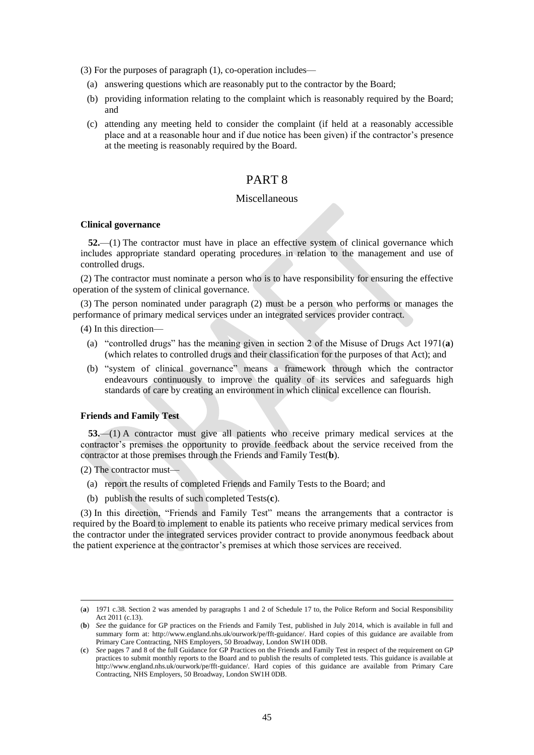(3) For the purposes of paragraph (1), co-operation includes—

- (a) answering questions which are reasonably put to the contractor by the Board;
- (b) providing information relating to the complaint which is reasonably required by the Board; and
- (c) attending any meeting held to consider the complaint (if held at a reasonably accessible place and at a reasonable hour and if due notice has been given) if the contractor's presence at the meeting is reasonably required by the Board.

# PART 8

## Miscellaneous

## **Clinical governance**

**52.**—(1) The contractor must have in place an effective system of clinical governance which includes appropriate standard operating procedures in relation to the management and use of controlled drugs.

(2) The contractor must nominate a person who is to have responsibility for ensuring the effective operation of the system of clinical governance.

(3) The person nominated under paragraph (2) must be a person who performs or manages the performance of primary medical services under an integrated services provider contract.

(4) In this direction—

- (a) "controlled drugs" has the meaning given in section 2 of the Misuse of Drugs Act 1971(**a**) (which relates to controlled drugs and their classification for the purposes of that Act); and
- (b) "system of clinical governance" means a framework through which the contractor endeavours continuously to improve the quality of its services and safeguards high standards of care by creating an environment in which clinical excellence can flourish.

#### **Friends and Family Test**

**53.**—(1) A contractor must give all patients who receive primary medical services at the contractor's premises the opportunity to provide feedback about the service received from the contractor at those premises through the Friends and Family Test(**b**).

(2) The contractor must—

 $\overline{a}$ 

- (a) report the results of completed Friends and Family Tests to the Board; and
- (b) publish the results of such completed Tests(**c**).

(3) In this direction, "Friends and Family Test" means the arrangements that a contractor is required by the Board to implement to enable its patients who receive primary medical services from the contractor under the integrated services provider contract to provide anonymous feedback about the patient experience at the contractor's premises at which those services are received.

<sup>(</sup>**a**) 1971 c.38. Section 2 was amended by paragraphs 1 and 2 of Schedule 17 to, the Police Reform and Social Responsibility Act 2011 (c.13).

<sup>(</sup>**b**) *See* the guidance for GP practices on the Friends and Family Test, published in July 2014, which is available in full and summary form at: http://www.england.nhs.uk/ourwork/pe/fft-guidance/. Hard copies of this guidance are available from Primary Care Contracting, NHS Employers, 50 Broadway, London SW1H 0DB.

<sup>(</sup>**c**) *See* pages 7 and 8 of the full Guidance for GP Practices on the Friends and Family Test in respect of the requirement on GP practices to submit monthly reports to the Board and to publish the results of completed tests. This guidance is available at [http://www.england.nhs.uk/ourwork/pe/fft-guidance/.](http://www.england.nhs.uk/ourwork/pe/fft-guidance/) Hard copies of this guidance are available from Primary Care Contracting, NHS Employers, 50 Broadway, London SW1H 0DB.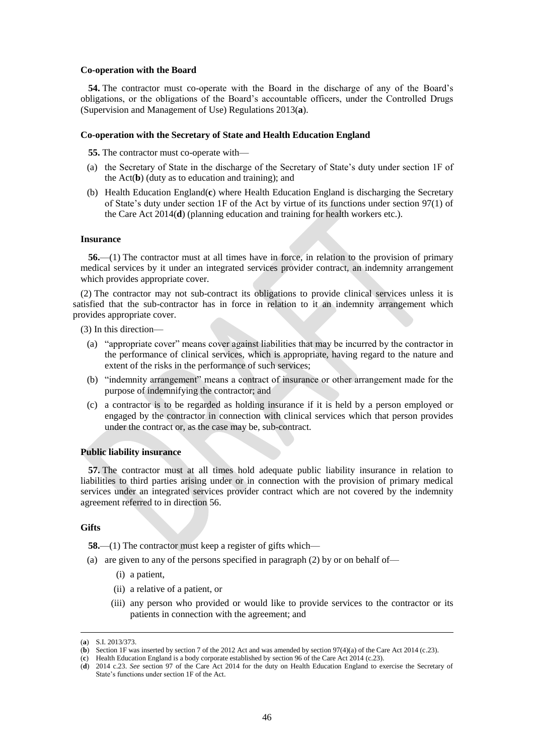#### **Co-operation with the Board**

**54.** The contractor must co-operate with the Board in the discharge of any of the Board's obligations, or the obligations of the Board's accountable officers, under the Controlled Drugs (Supervision and Management of Use) Regulations 2013(**a**).

#### **Co-operation with the Secretary of State and Health Education England**

**55.** The contractor must co-operate with—

- (a) the Secretary of State in the discharge of the Secretary of State's duty under section 1F of the Act(**b**) (duty as to education and training); and
- (b) Health Education England(**c**) where Health Education England is discharging the Secretary of State's duty under section 1F of the Act by virtue of its functions under section 97(1) of the Care Act 2014(**d**) (planning education and training for health workers etc.).

#### **Insurance**

**56.**—(1) The contractor must at all times have in force, in relation to the provision of primary medical services by it under an integrated services provider contract, an indemnity arrangement which provides appropriate cover.

(2) The contractor may not sub-contract its obligations to provide clinical services unless it is satisfied that the sub-contractor has in force in relation to it an indemnity arrangement which provides appropriate cover.

- (3) In this direction—
	- (a) "appropriate cover" means cover against liabilities that may be incurred by the contractor in the performance of clinical services, which is appropriate, having regard to the nature and extent of the risks in the performance of such services;
	- (b) "indemnity arrangement" means a contract of insurance or other arrangement made for the purpose of indemnifying the contractor; and
	- (c) a contractor is to be regarded as holding insurance if it is held by a person employed or engaged by the contractor in connection with clinical services which that person provides under the contract or, as the case may be, sub-contract.

#### **Public liability insurance**

**57.** The contractor must at all times hold adequate public liability insurance in relation to liabilities to third parties arising under or in connection with the provision of primary medical services under an integrated services provider contract which are not covered by the indemnity agreement referred to in direction 56.

## **Gifts**

 $\overline{a}$ 

**58.**—(1) The contractor must keep a register of gifts which—

- (a) are given to any of the persons specified in paragraph (2) by or on behalf of—
	- (i) a patient,
	- (ii) a relative of a patient, or
	- (iii) any person who provided or would like to provide services to the contractor or its patients in connection with the agreement; and

<sup>(</sup>**a**) S.I. 2013/373.

<sup>(</sup>**b**) Section 1F was inserted by section 7 of the 2012 Act and was amended by section 97(4)(a) of the Care Act 2014 (c.23).

<sup>(</sup>**c**) Health Education England is a body corporate established by section 96 of the Care Act 2014 (c.23).

<sup>(</sup>**d**) 2014 c.23. *See* section 97 of the Care Act 2014 for the duty on Health Education England to exercise the Secretary of State's functions under section 1F of the Act.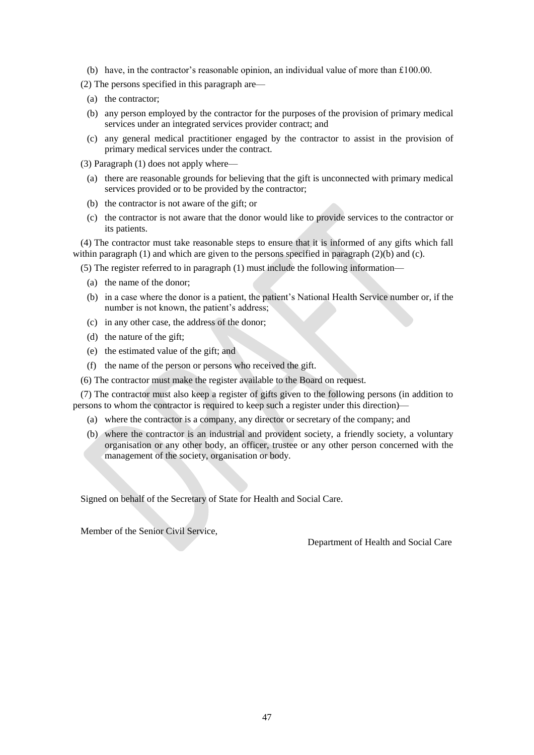- (b) have, in the contractor's reasonable opinion, an individual value of more than £100.00.
- (2) The persons specified in this paragraph are—
	- (a) the contractor;
	- (b) any person employed by the contractor for the purposes of the provision of primary medical services under an integrated services provider contract; and
	- (c) any general medical practitioner engaged by the contractor to assist in the provision of primary medical services under the contract.

(3) Paragraph (1) does not apply where—

- (a) there are reasonable grounds for believing that the gift is unconnected with primary medical services provided or to be provided by the contractor;
- (b) the contractor is not aware of the gift; or
- (c) the contractor is not aware that the donor would like to provide services to the contractor or its patients.

(4) The contractor must take reasonable steps to ensure that it is informed of any gifts which fall within paragraph (1) and which are given to the persons specified in paragraph (2)(b) and (c).

(5) The register referred to in paragraph (1) must include the following information—

- (a) the name of the donor;
- (b) in a case where the donor is a patient, the patient's National Health Service number or, if the number is not known, the patient's address;
- (c) in any other case, the address of the donor;
- (d) the nature of the gift;
- (e) the estimated value of the gift; and
- (f) the name of the person or persons who received the gift.
- (6) The contractor must make the register available to the Board on request.

(7) The contractor must also keep a register of gifts given to the following persons (in addition to persons to whom the contractor is required to keep such a register under this direction)—

- (a) where the contractor is a company, any director or secretary of the company; and
- (b) where the contractor is an industrial and provident society, a friendly society, a voluntary organisation or any other body, an officer, trustee or any other person concerned with the management of the society, organisation or body.

Signed on behalf of the Secretary of State for Health and Social Care.

Member of the Senior Civil Service,

Department of Health and Social Care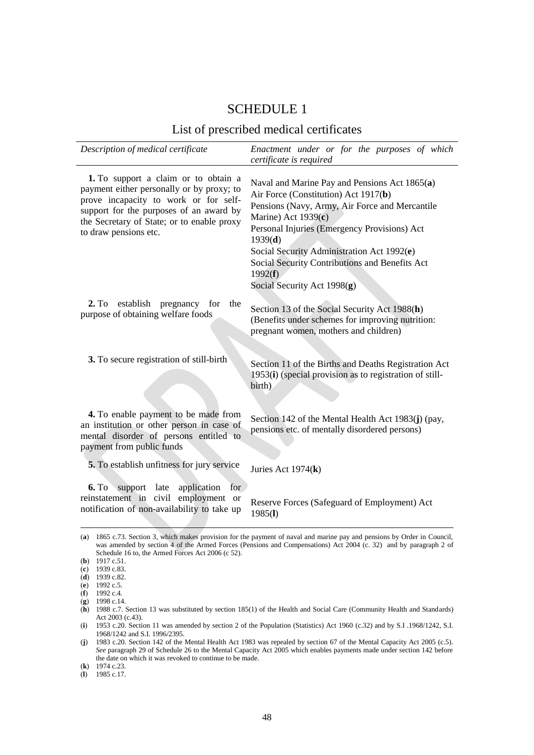# SCHEDULE 1

# List of prescribed medical certificates

| Description of medical certificate                                                                                                                                                                                                           | Enactment under or for the purposes of which<br>certificate is required                                                                                                                                                                                                                                                                                               |
|----------------------------------------------------------------------------------------------------------------------------------------------------------------------------------------------------------------------------------------------|-----------------------------------------------------------------------------------------------------------------------------------------------------------------------------------------------------------------------------------------------------------------------------------------------------------------------------------------------------------------------|
| 1. To support a claim or to obtain a<br>payment either personally or by proxy; to<br>prove incapacity to work or for self-<br>support for the purposes of an award by<br>the Secretary of State; or to enable proxy<br>to draw pensions etc. | Naval and Marine Pay and Pensions Act 1865(a)<br>Air Force (Constitution) Act 1917(b)<br>Pensions (Navy, Army, Air Force and Mercantile<br>Marine) Act $1939(c)$<br>Personal Injuries (Emergency Provisions) Act<br>1939(d)<br>Social Security Administration Act 1992(e)<br>Social Security Contributions and Benefits Act<br>1992(f)<br>Social Security Act 1998(g) |
| 2. T <sub>0</sub><br>establish<br>pregnancy<br>the<br>for<br>purpose of obtaining welfare foods                                                                                                                                              | Section 13 of the Social Security Act 1988(h)<br>(Benefits under schemes for improving nutrition:<br>pregnant women, mothers and children)                                                                                                                                                                                                                            |
| 3. To secure registration of still-birth                                                                                                                                                                                                     | Section 11 of the Births and Deaths Registration Act<br>1953(i) (special provision as to registration of still-<br>birth)                                                                                                                                                                                                                                             |
| 4. To enable payment to be made from<br>an institution or other person in case of<br>mental disorder of persons entitled to<br>payment from public funds                                                                                     | Section 142 of the Mental Health Act 1983(j) (pay,<br>pensions etc. of mentally disordered persons)                                                                                                                                                                                                                                                                   |
| 5. To establish unfitness for jury service                                                                                                                                                                                                   | Juries Act 1974(k)                                                                                                                                                                                                                                                                                                                                                    |
| for<br>6. T <sub>0</sub><br>support late<br>application<br>reinstatement in civil employment or<br>notification of non-availability to take up                                                                                               | Reserve Forces (Safeguard of Employment) Act<br>1985(l)<br>(a) 1865 c 73. Section 3, which makes provision for the nayment of naval and marine nay and pensions by Order in Council                                                                                                                                                                                   |

<sup>(</sup>**a**) 1865 c.73. Section 3, which makes provision for the payment of naval and marine pay and pensions by Order in Council, was amended by section 4 of the Armed Forces (Pensions and Compensations) Act 2004 (c. 32) and by paragraph 2 of Schedule 16 to, the Armed Forces Act 2006 (c 52).

<sup>(</sup>**b**) 1917 c.51.

<sup>(</sup>**c**) 1939 c.83.

<sup>(</sup>**d**) 1939 c.82.

<sup>(</sup>**e**) 1992 c.5.

<sup>(</sup>**f**) 1992 c.4.

<sup>(</sup>**g**) 1998 c.14.

<sup>(</sup>**h**) 1988 c.7. Section 13 was substituted by section 185(1) of the Health and Social Care (Community Health and Standards) Act 2003 (c.43).

<sup>(</sup>**i**) 1953 c.20. Section 11 was amended by section 2 of the Population (Statistics) Act 1960 (c.32) and by S.I .1968/1242, S.I. 1968/1242 and S.I. 1996/2395.

<sup>(</sup>**j**) 1983 c.20. Section 142 of the Mental Health Act 1983 was repealed by section 67 of the Mental Capacity Act 2005 (c.5). *See* paragraph 29 of Schedule 26 to the Mental Capacity Act 2005 which enables payments made under section 142 before the date on which it was revoked to continue to be made.

<sup>(</sup>**k**) 1974 c.23.

<sup>(</sup>**l**) 1985 c.17.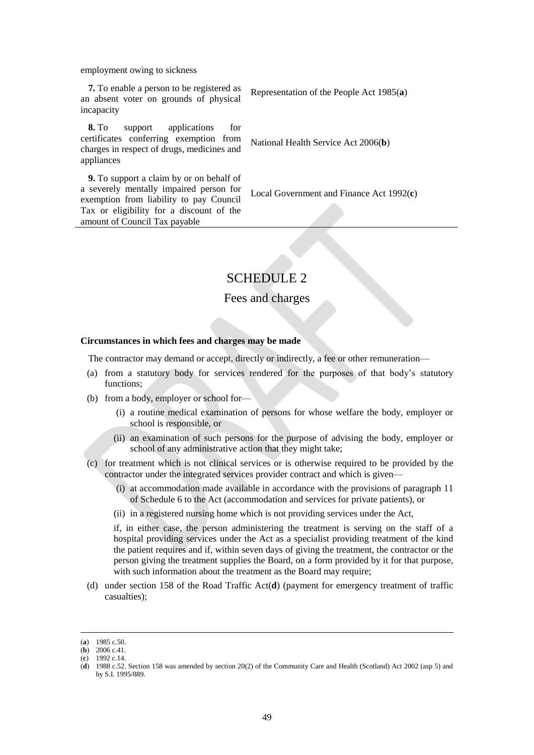employment owing to sickness

**7.** To enable a person to be registered as an absent voter on grounds of physical incapacity

**8.** To support applications for certificates conferring exemption from charges in respect of drugs, medicines and appliances

Representation of the People Act 1985(**a**)

National Health Service Act 2006(**b**)

**9.** To support a claim by or on behalf of a severely mentally impaired person for exemption from liability to pay Council Tax or eligibility for a discount of the amount of Council Tax payable

Local Government and Finance Act 1992(**c**)

# SCHEDULE 2

# Fees and charges

## **Circumstances in which fees and charges may be made**

The contractor may demand or accept, directly or indirectly, a fee or other remuneration—

- (a) from a statutory body for services rendered for the purposes of that body's statutory functions;
- (b) from a body, employer or school for—
	- (i) a routine medical examination of persons for whose welfare the body, employer or school is responsible, or
	- (ii) an examination of such persons for the purpose of advising the body, employer or school of any administrative action that they might take;
- (c) for treatment which is not clinical services or is otherwise required to be provided by the contractor under the integrated services provider contract and which is given—
	- (i) at accommodation made available in accordance with the provisions of paragraph 11 of Schedule 6 to the Act (accommodation and services for private patients), or
	- (ii) in a registered nursing home which is not providing services under the Act,

if, in either case, the person administering the treatment is serving on the staff of a hospital providing services under the Act as a specialist providing treatment of the kind the patient requires and if, within seven days of giving the treatment, the contractor or the person giving the treatment supplies the Board, on a form provided by it for that purpose, with such information about the treatment as the Board may require;

(d) under section 158 of the Road Traffic Act(**d**) (payment for emergency treatment of traffic casualties);

 $\overline{a}$ (**a**) 1985 c.50.

<sup>(</sup>**b**) 2006 c.41.

<sup>(</sup>**c**) 1992 c.14.

<sup>(</sup>**d**) 1988 c.52. Section 158 was amended by section 20(2) of the Community Care and Health (Scotland) Act 2002 (asp 5) and by S.I. 1995/889.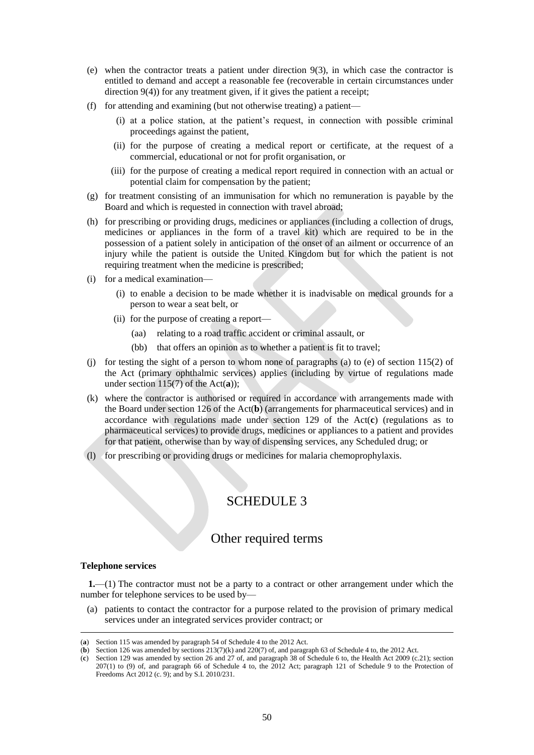- (e) when the contractor treats a patient under direction 9(3), in which case the contractor is entitled to demand and accept a reasonable fee (recoverable in certain circumstances under direction 9(4)) for any treatment given, if it gives the patient a receipt;
- (f) for attending and examining (but not otherwise treating) a patient—
	- (i) at a police station, at the patient's request, in connection with possible criminal proceedings against the patient,
	- (ii) for the purpose of creating a medical report or certificate, at the request of a commercial, educational or not for profit organisation, or
	- (iii) for the purpose of creating a medical report required in connection with an actual or potential claim for compensation by the patient;
- (g) for treatment consisting of an immunisation for which no remuneration is payable by the Board and which is requested in connection with travel abroad;
- (h) for prescribing or providing drugs, medicines or appliances (including a collection of drugs, medicines or appliances in the form of a travel kit) which are required to be in the possession of a patient solely in anticipation of the onset of an ailment or occurrence of an injury while the patient is outside the United Kingdom but for which the patient is not requiring treatment when the medicine is prescribed;
- (i) for a medical examination—
	- (i) to enable a decision to be made whether it is inadvisable on medical grounds for a person to wear a seat belt, or
	- (ii) for the purpose of creating a report—
		- (aa) relating to a road traffic accident or criminal assault, or
		- (bb) that offers an opinion as to whether a patient is fit to travel;
- (i) for testing the sight of a person to whom none of paragraphs (a) to (e) of section  $115(2)$  of the Act (primary ophthalmic services) applies (including by virtue of regulations made under section 115(7) of the Act(**a**));
- (k) where the contractor is authorised or required in accordance with arrangements made with the Board under section 126 of the Act(**b**) (arrangements for pharmaceutical services) and in accordance with regulations made under section 129 of the Act(**c**) (regulations as to pharmaceutical services) to provide drugs, medicines or appliances to a patient and provides for that patient, otherwise than by way of dispensing services, any Scheduled drug; or
- (l) for prescribing or providing drugs or medicines for malaria chemoprophylaxis.

# SCHEDULE 3

# Other required terms

## **Telephone services**

 $\overline{a}$ 

**1.**—(1) The contractor must not be a party to a contract or other arrangement under which the number for telephone services to be used by—

(a) patients to contact the contractor for a purpose related to the provision of primary medical services under an integrated services provider contract; or

<sup>(</sup>**a**) Section 115 was amended by paragraph 54 of Schedule 4 to the 2012 Act.

<sup>(</sup>**b**) Section 126 was amended by sections  $213(7)(k)$  and  $220(7)$  of, and paragraph 63 of Schedule 4 to, the 2012 Act.

<sup>(</sup>**c**) Section 129 was amended by section 26 and 27 of, and paragraph 38 of Schedule 6 to, the Health Act 2009 (c.21); section 207(1) to (9) of, and paragraph 66 of Schedule 4 to, the 2012 Act; paragraph 121 of Schedule 9 to the Protection of Freedoms Act 2012 (c. 9); and by S.I. 2010/231.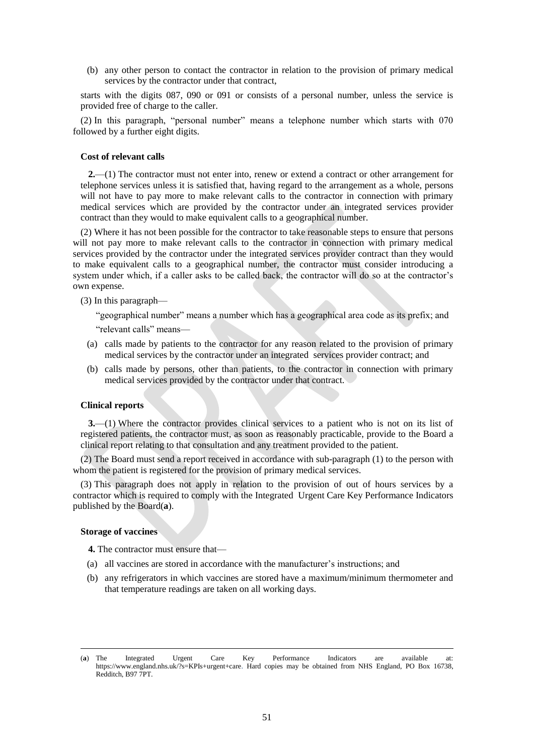(b) any other person to contact the contractor in relation to the provision of primary medical services by the contractor under that contract,

starts with the digits 087, 090 or 091 or consists of a personal number, unless the service is provided free of charge to the caller.

(2) In this paragraph, "personal number" means a telephone number which starts with 070 followed by a further eight digits.

#### **Cost of relevant calls**

**2.**—(1) The contractor must not enter into, renew or extend a contract or other arrangement for telephone services unless it is satisfied that, having regard to the arrangement as a whole, persons will not have to pay more to make relevant calls to the contractor in connection with primary medical services which are provided by the contractor under an integrated services provider contract than they would to make equivalent calls to a geographical number.

(2) Where it has not been possible for the contractor to take reasonable steps to ensure that persons will not pay more to make relevant calls to the contractor in connection with primary medical services provided by the contractor under the integrated services provider contract than they would to make equivalent calls to a geographical number, the contractor must consider introducing a system under which, if a caller asks to be called back, the contractor will do so at the contractor's own expense.

(3) In this paragraph—

"geographical number" means a number which has a geographical area code as its prefix; and

"relevant calls" means—

- (a) calls made by patients to the contractor for any reason related to the provision of primary medical services by the contractor under an integrated services provider contract; and
- (b) calls made by persons, other than patients, to the contractor in connection with primary medical services provided by the contractor under that contract.

## **Clinical reports**

**3.**—(1) Where the contractor provides clinical services to a patient who is not on its list of registered patients, the contractor must, as soon as reasonably practicable, provide to the Board a clinical report relating to that consultation and any treatment provided to the patient.

(2) The Board must send a report received in accordance with sub-paragraph (1) to the person with whom the patient is registered for the provision of primary medical services.

(3) This paragraph does not apply in relation to the provision of out of hours services by a contractor which is required to comply with the Integrated Urgent Care Key Performance Indicators published by the Board(**a**).

#### **Storage of vaccines**

- **4.** The contractor must ensure that—
- (a) all vaccines are stored in accordance with the manufacturer's instructions; and
- (b) any refrigerators in which vaccines are stored have a maximum/minimum thermometer and that temperature readings are taken on all working days.

<sup>(</sup>**a**) The Integrated Urgent Care Key Performance Indicators are available at: [https://www.england.nhs.uk/?s=KPIs+urgent+care.](https://www.england.nhs.uk/?s=KPIs+urgent+care) Hard copies may be obtained from NHS England, PO Box 16738, Redditch, B97 7PT.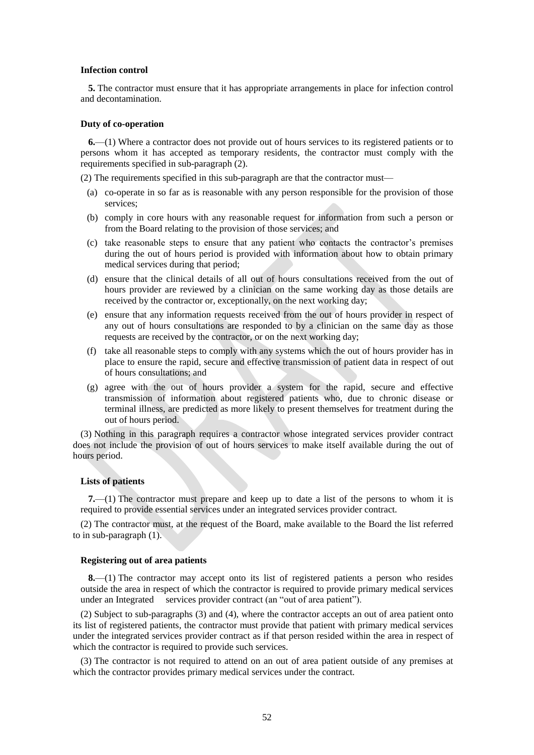#### **Infection control**

**5.** The contractor must ensure that it has appropriate arrangements in place for infection control and decontamination.

#### **Duty of co-operation**

**6.**—(1) Where a contractor does not provide out of hours services to its registered patients or to persons whom it has accepted as temporary residents, the contractor must comply with the requirements specified in sub-paragraph (2).

(2) The requirements specified in this sub-paragraph are that the contractor must—

- (a) co-operate in so far as is reasonable with any person responsible for the provision of those services;
- (b) comply in core hours with any reasonable request for information from such a person or from the Board relating to the provision of those services; and
- (c) take reasonable steps to ensure that any patient who contacts the contractor's premises during the out of hours period is provided with information about how to obtain primary medical services during that period;
- (d) ensure that the clinical details of all out of hours consultations received from the out of hours provider are reviewed by a clinician on the same working day as those details are received by the contractor or, exceptionally, on the next working day;
- (e) ensure that any information requests received from the out of hours provider in respect of any out of hours consultations are responded to by a clinician on the same day as those requests are received by the contractor, or on the next working day;
- (f) take all reasonable steps to comply with any systems which the out of hours provider has in place to ensure the rapid, secure and effective transmission of patient data in respect of out of hours consultations; and
- (g) agree with the out of hours provider a system for the rapid, secure and effective transmission of information about registered patients who, due to chronic disease or terminal illness, are predicted as more likely to present themselves for treatment during the out of hours period.

(3) Nothing in this paragraph requires a contractor whose integrated services provider contract does not include the provision of out of hours services to make itself available during the out of hours period.

#### **Lists of patients**

**7.**—(1) The contractor must prepare and keep up to date a list of the persons to whom it is required to provide essential services under an integrated services provider contract.

(2) The contractor must, at the request of the Board, make available to the Board the list referred to in sub-paragraph (1).

## **Registering out of area patients**

**8.**—(1) The contractor may accept onto its list of registered patients a person who resides outside the area in respect of which the contractor is required to provide primary medical services under an Integrated services provider contract (an "out of area patient").

(2) Subject to sub-paragraphs (3) and (4), where the contractor accepts an out of area patient onto its list of registered patients, the contractor must provide that patient with primary medical services under the integrated services provider contract as if that person resided within the area in respect of which the contractor is required to provide such services.

(3) The contractor is not required to attend on an out of area patient outside of any premises at which the contractor provides primary medical services under the contract.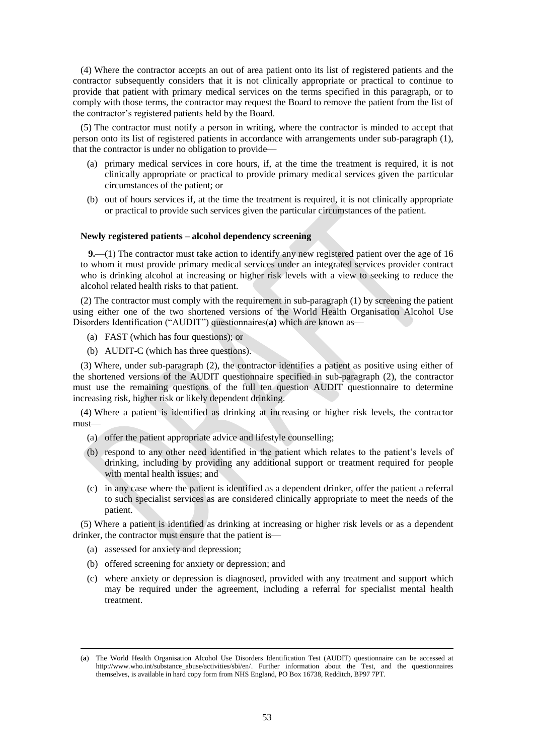(4) Where the contractor accepts an out of area patient onto its list of registered patients and the contractor subsequently considers that it is not clinically appropriate or practical to continue to provide that patient with primary medical services on the terms specified in this paragraph, or to comply with those terms, the contractor may request the Board to remove the patient from the list of the contractor's registered patients held by the Board.

(5) The contractor must notify a person in writing, where the contractor is minded to accept that person onto its list of registered patients in accordance with arrangements under sub-paragraph (1), that the contractor is under no obligation to provide—

- (a) primary medical services in core hours, if, at the time the treatment is required, it is not clinically appropriate or practical to provide primary medical services given the particular circumstances of the patient; or
- (b) out of hours services if, at the time the treatment is required, it is not clinically appropriate or practical to provide such services given the particular circumstances of the patient.

#### **Newly registered patients – alcohol dependency screening**

**9.**—(1) The contractor must take action to identify any new registered patient over the age of 16 to whom it must provide primary medical services under an integrated services provider contract who is drinking alcohol at increasing or higher risk levels with a view to seeking to reduce the alcohol related health risks to that patient.

(2) The contractor must comply with the requirement in sub-paragraph (1) by screening the patient using either one of the two shortened versions of the World Health Organisation Alcohol Use Disorders Identification ("AUDIT") questionnaires(**a**) which are known as—

- (a) FAST (which has four questions); or
- (b) AUDIT-C (which has three questions).

(3) Where, under sub-paragraph (2), the contractor identifies a patient as positive using either of the shortened versions of the AUDIT questionnaire specified in sub-paragraph (2), the contractor must use the remaining questions of the full ten question AUDIT questionnaire to determine increasing risk, higher risk or likely dependent drinking.

(4) Where a patient is identified as drinking at increasing or higher risk levels, the contractor must—

- (a) offer the patient appropriate advice and lifestyle counselling;
- (b) respond to any other need identified in the patient which relates to the patient's levels of drinking, including by providing any additional support or treatment required for people with mental health issues; and
- (c) in any case where the patient is identified as a dependent drinker, offer the patient a referral to such specialist services as are considered clinically appropriate to meet the needs of the patient.

(5) Where a patient is identified as drinking at increasing or higher risk levels or as a dependent drinker, the contractor must ensure that the patient is—

(a) assessed for anxiety and depression;

- (b) offered screening for anxiety or depression; and
- (c) where anxiety or depression is diagnosed, provided with any treatment and support which may be required under the agreement, including a referral for specialist mental health treatment.

<sup>(</sup>**a**) The World Health Organisation Alcohol Use Disorders Identification Test (AUDIT) questionnaire can be accessed at [http://www.who.int/substance\\_abuse/activities/sbi/en/.](http://www.who.int/substance_abuse/activities/sbi/en/) Further information about the Test, and the questionnaires themselves, is available in hard copy form from NHS England, PO Box 16738, Redditch, BP97 7PT.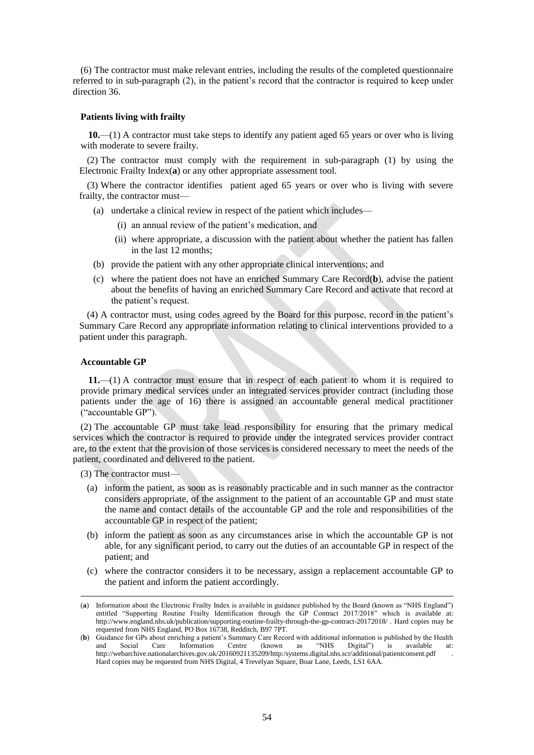(6) The contractor must make relevant entries, including the results of the completed questionnaire referred to in sub-paragraph (2), in the patient's record that the contractor is required to keep under direction 36.

#### **Patients living with frailty**

**10.**—(1) A contractor must take steps to identify any patient aged 65 years or over who is living with moderate to severe frailty.

(2) The contractor must comply with the requirement in sub-paragraph (1) by using the Electronic Frailty Index(**a**) or any other appropriate assessment tool.

(3) Where the contractor identifies patient aged 65 years or over who is living with severe frailty, the contractor must—

- (a) undertake a clinical review in respect of the patient which includes—
	- (i) an annual review of the patient's medication, and
	- (ii) where appropriate, a discussion with the patient about whether the patient has fallen in the last 12 months;
- (b) provide the patient with any other appropriate clinical interventions; and
- (c) where the patient does not have an enriched Summary Care Record(**b**), advise the patient about the benefits of having an enriched Summary Care Record and activate that record at the patient's request.

(4) A contractor must, using codes agreed by the Board for this purpose, record in the patient's Summary Care Record any appropriate information relating to clinical interventions provided to a patient under this paragraph.

#### **Accountable GP**

**11.**—(1) A contractor must ensure that in respect of each patient to whom it is required to provide primary medical services under an integrated services provider contract (including those patients under the age of 16) there is assigned an accountable general medical practitioner ("accountable GP").

(2) The accountable GP must take lead responsibility for ensuring that the primary medical services which the contractor is required to provide under the integrated services provider contract are, to the extent that the provision of those services is considered necessary to meet the needs of the patient, coordinated and delivered to the patient.

(3) The contractor must—

- (a) inform the patient, as soon as is reasonably practicable and in such manner as the contractor considers appropriate, of the assignment to the patient of an accountable GP and must state the name and contact details of the accountable GP and the role and responsibilities of the accountable GP in respect of the patient;
- (b) inform the patient as soon as any circumstances arise in which the accountable GP is not able, for any significant period, to carry out the duties of an accountable GP in respect of the patient; and
- (c) where the contractor considers it to be necessary, assign a replacement accountable GP to the patient and inform the patient accordingly.

<sup>(</sup>**a**) Information about the Electronic Frailty Index is available in guidance published by the Board (known as "NHS England") entitled "Supporting Routine Frailty Identification through the GP Contract 2017/2018" which is available at: <http://www.england.nhs.uk/publication/supporting-routine-frailty-through-the-gp-contract-20172018/> . Hard copies may be requested from NHS England, PO Box 16738, Redditch, B97 7PT.

<sup>(</sup>**b**) Guidance for GPs about enriching a patient's Summary Care Record with additional information is published by the Health and Social Care Information Centre (known as "NHS Divital") is available at: and Social Care Information Centre (known as "NHS Digital") is available at: <http://webarchive.nationalarchives.gov.uk/20160921135209/http:/systems.digital.nhs.scr/additional/patientconsent.pdf> Hard copies may be requested from NHS Digital, 4 Trevelyan Square, Boar Lane, Leeds, LS1 6AA.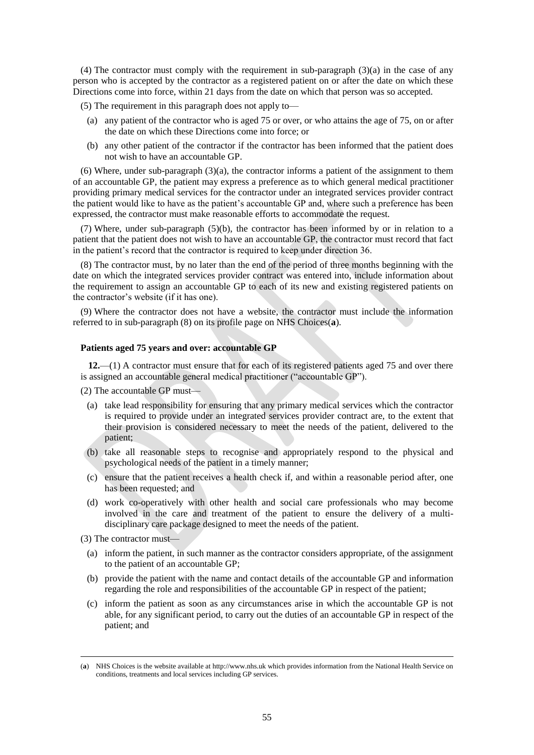(4) The contractor must comply with the requirement in sub-paragraph  $(3)(a)$  in the case of any person who is accepted by the contractor as a registered patient on or after the date on which these Directions come into force, within 21 days from the date on which that person was so accepted.

(5) The requirement in this paragraph does not apply to—

- (a) any patient of the contractor who is aged 75 or over, or who attains the age of 75, on or after the date on which these Directions come into force; or
- (b) any other patient of the contractor if the contractor has been informed that the patient does not wish to have an accountable GP.

(6) Where, under sub-paragraph  $(3)(a)$ , the contractor informs a patient of the assignment to them of an accountable GP, the patient may express a preference as to which general medical practitioner providing primary medical services for the contractor under an integrated services provider contract the patient would like to have as the patient's accountable GP and, where such a preference has been expressed, the contractor must make reasonable efforts to accommodate the request.

(7) Where, under sub-paragraph (5)(b), the contractor has been informed by or in relation to a patient that the patient does not wish to have an accountable GP, the contractor must record that fact in the patient's record that the contractor is required to keep under direction 36.

(8) The contractor must, by no later than the end of the period of three months beginning with the date on which the integrated services provider contract was entered into, include information about the requirement to assign an accountable GP to each of its new and existing registered patients on the contractor's website (if it has one).

(9) Where the contractor does not have a website, the contractor must include the information referred to in sub-paragraph (8) on its profile page on NHS Choices(**a**).

## **Patients aged 75 years and over: accountable GP**

**12.**—(1) A contractor must ensure that for each of its registered patients aged 75 and over there is assigned an accountable general medical practitioner ("accountable GP").

 $(2)$  The accountable GP must-

- (a) take lead responsibility for ensuring that any primary medical services which the contractor is required to provide under an integrated services provider contract are, to the extent that their provision is considered necessary to meet the needs of the patient, delivered to the patient;
- (b) take all reasonable steps to recognise and appropriately respond to the physical and psychological needs of the patient in a timely manner;
- (c) ensure that the patient receives a health check if, and within a reasonable period after, one has been requested; and
- (d) work co-operatively with other health and social care professionals who may become involved in the care and treatment of the patient to ensure the delivery of a multidisciplinary care package designed to meet the needs of the patient.

(3) The contractor must—

- (a) inform the patient, in such manner as the contractor considers appropriate, of the assignment to the patient of an accountable GP;
- (b) provide the patient with the name and contact details of the accountable GP and information regarding the role and responsibilities of the accountable GP in respect of the patient;
- (c) inform the patient as soon as any circumstances arise in which the accountable GP is not able, for any significant period, to carry out the duties of an accountable GP in respect of the patient; and

<sup>(</sup>**a**) NHS Choices is the website available at [http://www.nhs.uk](http://www.nhs.uk/) which provides information from the National Health Service on conditions, treatments and local services including GP services.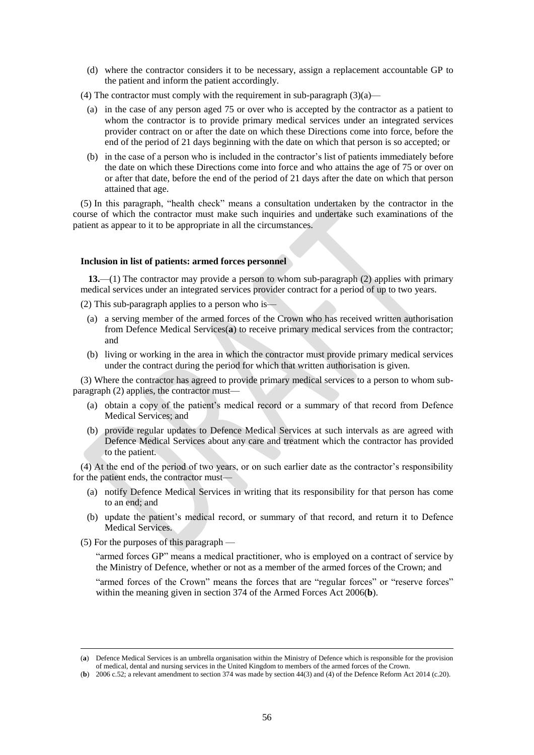(d) where the contractor considers it to be necessary, assign a replacement accountable GP to the patient and inform the patient accordingly.

(4) The contractor must comply with the requirement in sub-paragraph  $(3)(a)$ —

- (a) in the case of any person aged 75 or over who is accepted by the contractor as a patient to whom the contractor is to provide primary medical services under an integrated services provider contract on or after the date on which these Directions come into force, before the end of the period of 21 days beginning with the date on which that person is so accepted; or
- (b) in the case of a person who is included in the contractor's list of patients immediately before the date on which these Directions come into force and who attains the age of 75 or over on or after that date, before the end of the period of 21 days after the date on which that person attained that age.

(5) In this paragraph, "health check" means a consultation undertaken by the contractor in the course of which the contractor must make such inquiries and undertake such examinations of the patient as appear to it to be appropriate in all the circumstances.

## **Inclusion in list of patients: armed forces personnel**

**13.**—(1) The contractor may provide a person to whom sub-paragraph (2) applies with primary medical services under an integrated services provider contract for a period of up to two years.

(2) This sub-paragraph applies to a person who is—

- (a) a serving member of the armed forces of the Crown who has received written authorisation from Defence Medical Services(**a**) to receive primary medical services from the contractor; and
- (b) living or working in the area in which the contractor must provide primary medical services under the contract during the period for which that written authorisation is given.

(3) Where the contractor has agreed to provide primary medical services to a person to whom subparagraph (2) applies, the contractor must-

- (a) obtain a copy of the patient's medical record or a summary of that record from Defence Medical Services; and
- (b) provide regular updates to Defence Medical Services at such intervals as are agreed with Defence Medical Services about any care and treatment which the contractor has provided to the patient.

(4) At the end of the period of two years, or on such earlier date as the contractor's responsibility for the patient ends, the contractor must—

- (a) notify Defence Medical Services in writing that its responsibility for that person has come to an end; and
- (b) update the patient's medical record, or summary of that record, and return it to Defence Medical Services.
- (5) For the purposes of this paragraph —

 $\overline{a}$ 

"armed forces GP" means a medical practitioner, who is employed on a contract of service by the Ministry of Defence, whether or not as a member of the armed forces of the Crown; and

"armed forces of the Crown" means the forces that are "regular forces" or "reserve forces" within the meaning given in section 374 of the Armed Forces Act 2006(**b**).

<sup>(</sup>**a**) Defence Medical Services is an umbrella organisation within the Ministry of Defence which is responsible for the provision of medical, dental and nursing services in the United Kingdom to members of the armed forces of the Crown.

<sup>(</sup>**b**) 2006 c.52; a relevant amendment to section 374 was made by section 44(3) and (4) of the Defence Reform Act 2014 (c.20).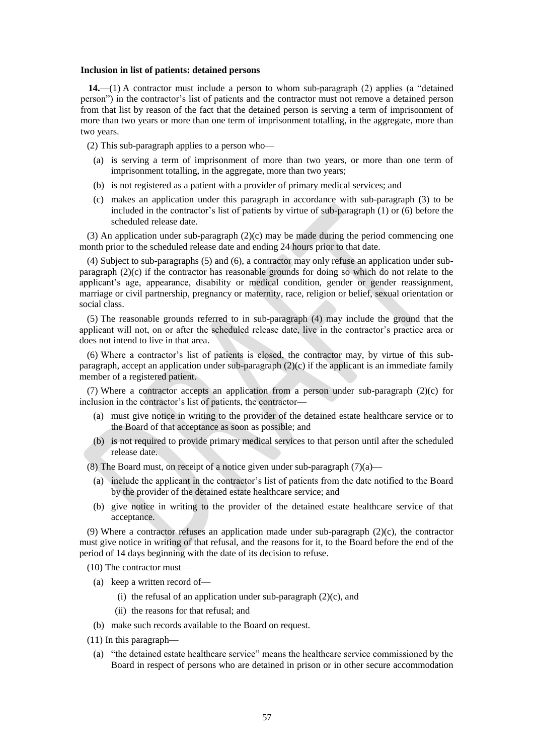#### **Inclusion in list of patients: detained persons**

**14.**—(1) A contractor must include a person to whom sub-paragraph (2) applies (a "detained person") in the contractor's list of patients and the contractor must not remove a detained person from that list by reason of the fact that the detained person is serving a term of imprisonment of more than two years or more than one term of imprisonment totalling, in the aggregate, more than two years.

(2) This sub-paragraph applies to a person who—

- (a) is serving a term of imprisonment of more than two years, or more than one term of imprisonment totalling, in the aggregate, more than two years;
- (b) is not registered as a patient with a provider of primary medical services; and
- (c) makes an application under this paragraph in accordance with sub-paragraph (3) to be included in the contractor's list of patients by virtue of sub-paragraph (1) or (6) before the scheduled release date.

 $(3)$  An application under sub-paragraph  $(2)(c)$  may be made during the period commencing one month prior to the scheduled release date and ending 24 hours prior to that date.

(4) Subject to sub-paragraphs (5) and (6), a contractor may only refuse an application under subparagraph (2)(c) if the contractor has reasonable grounds for doing so which do not relate to the applicant's age, appearance, disability or medical condition, gender or gender reassignment, marriage or civil partnership, pregnancy or maternity, race, religion or belief, sexual orientation or social class.

(5) The reasonable grounds referred to in sub-paragraph (4) may include the ground that the applicant will not, on or after the scheduled release date, live in the contractor's practice area or does not intend to live in that area.

(6) Where a contractor's list of patients is closed, the contractor may, by virtue of this subparagraph, accept an application under sub-paragraph (2)(c) if the applicant is an immediate family member of a registered patient.

(7) Where a contractor accepts an application from a person under sub-paragraph (2)(c) for inclusion in the contractor's list of patients, the contractor—

- (a) must give notice in writing to the provider of the detained estate healthcare service or to the Board of that acceptance as soon as possible; and
- (b) is not required to provide primary medical services to that person until after the scheduled release date.

(8) The Board must, on receipt of a notice given under sub-paragraph  $(7)(a)$ —

- (a) include the applicant in the contractor's list of patients from the date notified to the Board by the provider of the detained estate healthcare service; and
- (b) give notice in writing to the provider of the detained estate healthcare service of that acceptance.

(9) Where a contractor refuses an application made under sub-paragraph  $(2)(c)$ , the contractor must give notice in writing of that refusal, and the reasons for it, to the Board before the end of the period of 14 days beginning with the date of its decision to refuse.

(10) The contractor must—

- (a) keep a written record of—
	- (i) the refusal of an application under sub-paragraph  $(2)(c)$ , and
	- (ii) the reasons for that refusal; and
- (b) make such records available to the Board on request.
- (11) In this paragraph—
	- (a) "the detained estate healthcare service" means the healthcare service commissioned by the Board in respect of persons who are detained in prison or in other secure accommodation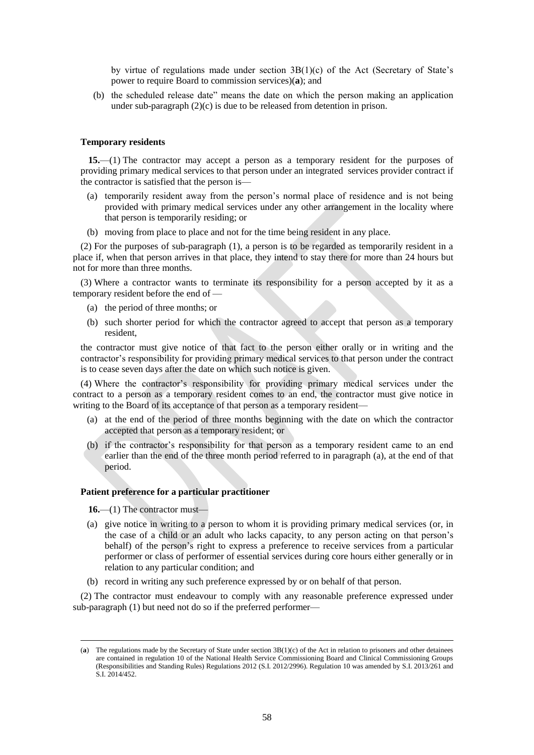by virtue of regulations made under section  $3B(1)(c)$  of the Act (Secretary of State's power to require Board to commission services)(**a**); and

(b) the scheduled release date" means the date on which the person making an application under sub-paragraph  $(2)(c)$  is due to be released from detention in prison.

## **Temporary residents**

**15.**—(1) The contractor may accept a person as a temporary resident for the purposes of providing primary medical services to that person under an integrated services provider contract if the contractor is satisfied that the person is—

- (a) temporarily resident away from the person's normal place of residence and is not being provided with primary medical services under any other arrangement in the locality where that person is temporarily residing; or
- (b) moving from place to place and not for the time being resident in any place.

(2) For the purposes of sub-paragraph (1), a person is to be regarded as temporarily resident in a place if, when that person arrives in that place, they intend to stay there for more than 24 hours but not for more than three months.

(3) Where a contractor wants to terminate its responsibility for a person accepted by it as a temporary resident before the end of —

- (a) the period of three months; or
- (b) such shorter period for which the contractor agreed to accept that person as a temporary resident,

the contractor must give notice of that fact to the person either orally or in writing and the contractor's responsibility for providing primary medical services to that person under the contract is to cease seven days after the date on which such notice is given.

(4) Where the contractor's responsibility for providing primary medical services under the contract to a person as a temporary resident comes to an end, the contractor must give notice in writing to the Board of its acceptance of that person as a temporary resident—

- (a) at the end of the period of three months beginning with the date on which the contractor accepted that person as a temporary resident; or
- (b) if the contractor's responsibility for that person as a temporary resident came to an end earlier than the end of the three month period referred to in paragraph (a), at the end of that period.

#### **Patient preference for a particular practitioner**

**16.**—(1) The contractor must—

 $\overline{a}$ 

- (a) give notice in writing to a person to whom it is providing primary medical services (or, in the case of a child or an adult who lacks capacity, to any person acting on that person's behalf) of the person's right to express a preference to receive services from a particular performer or class of performer of essential services during core hours either generally or in relation to any particular condition; and
- (b) record in writing any such preference expressed by or on behalf of that person.

(2) The contractor must endeavour to comply with any reasonable preference expressed under sub-paragraph (1) but need not do so if the preferred performer—

<sup>(</sup>**a**) The regulations made by the Secretary of State under section 3B(1)(c) of the Act in relation to prisoners and other detainees are contained in regulation 10 of the National Health Service Commissioning Board and Clinical Commissioning Groups (Responsibilities and Standing Rules) Regulations 2012 (S.I. 2012/2996). Regulation 10 was amended by S.I. 2013/261 and S.I. 2014/452.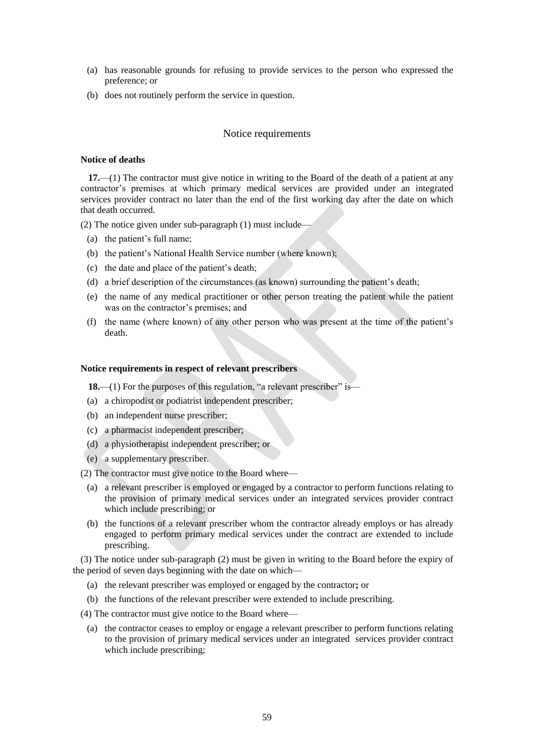- (a) has reasonable grounds for refusing to provide services to the person who expressed the preference; or
- (b) does not routinely perform the service in question.

## Notice requirements

#### **Notice of deaths**

**17.**—(1) The contractor must give notice in writing to the Board of the death of a patient at any contractor's premises at which primary medical services are provided under an integrated services provider contract no later than the end of the first working day after the date on which that death occurred.

(2) The notice given under sub-paragraph (1) must include—

- (a) the patient's full name;
- (b) the patient's National Health Service number (where known);
- (c) the date and place of the patient's death;
- (d) a brief description of the circumstances (as known) surrounding the patient's death;
- (e) the name of any medical practitioner or other person treating the patient while the patient was on the contractor's premises; and
- (f) the name (where known) of any other person who was present at the time of the patient's death.

## **Notice requirements in respect of relevant prescribers**

18.—(1) For the purposes of this regulation, "a relevant prescriber" is—

- (a) a chiropodist or podiatrist independent prescriber;
- (b) an independent nurse prescriber;
- (c) a pharmacist independent prescriber;
- (d) a physiotherapist independent prescriber; or
- (e) a supplementary prescriber.

(2) The contractor must give notice to the Board where—

- (a) a relevant prescriber is employed or engaged by a contractor to perform functions relating to the provision of primary medical services under an integrated services provider contract which include prescribing; or
- (b) the functions of a relevant prescriber whom the contractor already employs or has already engaged to perform primary medical services under the contract are extended to include prescribing.

(3) The notice under sub-paragraph (2) must be given in writing to the Board before the expiry of the period of seven days beginning with the date on which—

- (a) the relevant prescriber was employed or engaged by the contractor**;** or
- (b) the functions of the relevant prescriber were extended to include prescribing.

(4) The contractor must give notice to the Board where—

(a) the contractor ceases to employ or engage a relevant prescriber to perform functions relating to the provision of primary medical services under an integrated services provider contract which include prescribing;